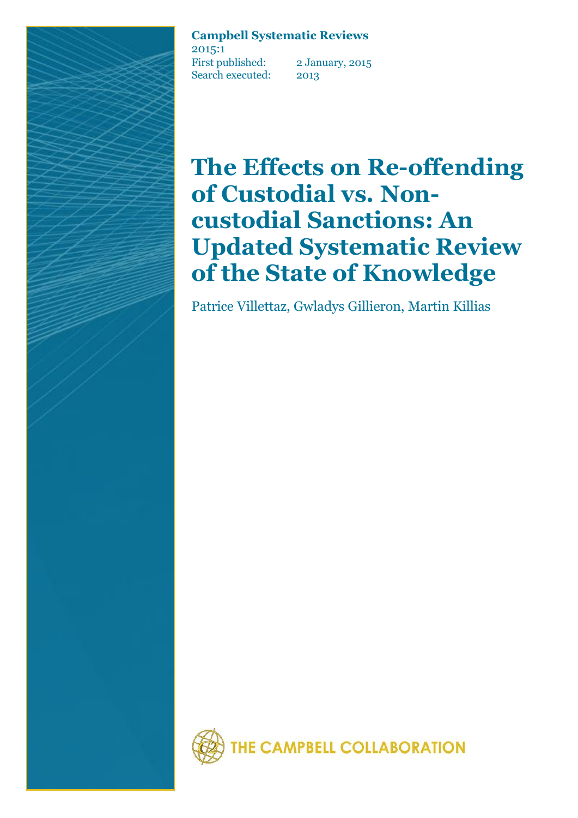### **Campbell Systematic Reviews**

2015:1 First published: 2 January, 2015 Search executed: 2013

# **The Effects on Re-offending of Custodial vs. Noncustodial Sanctions: An Updated Systematic Review of the State of Knowledge**

Patrice Villettaz, Gwladys Gillieron, Martin Killias

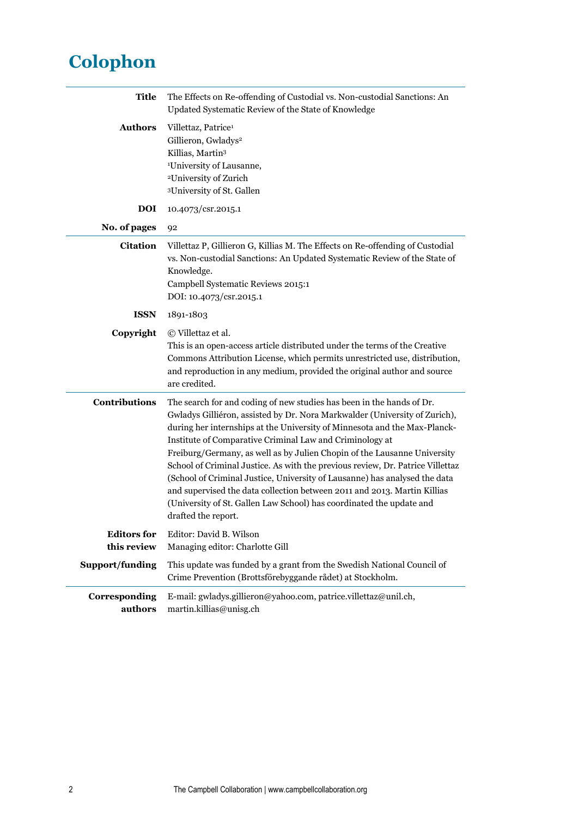## **Colophon**

| <b>Title</b>                      | The Effects on Re-offending of Custodial vs. Non-custodial Sanctions: An<br>Updated Systematic Review of the State of Knowledge                                                                                                                                                                                                                                                                                                                                                                                                                                                                                                                                                                                     |  |  |  |  |
|-----------------------------------|---------------------------------------------------------------------------------------------------------------------------------------------------------------------------------------------------------------------------------------------------------------------------------------------------------------------------------------------------------------------------------------------------------------------------------------------------------------------------------------------------------------------------------------------------------------------------------------------------------------------------------------------------------------------------------------------------------------------|--|--|--|--|
| <b>Authors</b>                    | Villettaz, Patrice <sup>1</sup><br>Gillieron, Gwladys <sup>2</sup><br>Killias, Martin <sup>3</sup><br><sup>1</sup> University of Lausanne,<br><sup>2</sup> University of Zurich<br><sup>3</sup> University of St. Gallen                                                                                                                                                                                                                                                                                                                                                                                                                                                                                            |  |  |  |  |
| <b>DOI</b>                        | 10.4073/csr.2015.1                                                                                                                                                                                                                                                                                                                                                                                                                                                                                                                                                                                                                                                                                                  |  |  |  |  |
| No. of pages                      | 92                                                                                                                                                                                                                                                                                                                                                                                                                                                                                                                                                                                                                                                                                                                  |  |  |  |  |
| <b>Citation</b>                   | Villettaz P, Gillieron G, Killias M. The Effects on Re-offending of Custodial<br>vs. Non-custodial Sanctions: An Updated Systematic Review of the State of<br>Knowledge.<br>Campbell Systematic Reviews 2015:1<br>DOI: 10.4073/csr.2015.1                                                                                                                                                                                                                                                                                                                                                                                                                                                                           |  |  |  |  |
| <b>ISSN</b>                       | 1891-1803                                                                                                                                                                                                                                                                                                                                                                                                                                                                                                                                                                                                                                                                                                           |  |  |  |  |
| Copyright                         | © Villettaz et al.<br>This is an open-access article distributed under the terms of the Creative<br>Commons Attribution License, which permits unrestricted use, distribution,<br>and reproduction in any medium, provided the original author and source<br>are credited.                                                                                                                                                                                                                                                                                                                                                                                                                                          |  |  |  |  |
| <b>Contributions</b>              | The search for and coding of new studies has been in the hands of Dr.<br>Gwladys Gilliéron, assisted by Dr. Nora Markwalder (University of Zurich),<br>during her internships at the University of Minnesota and the Max-Planck-<br>Institute of Comparative Criminal Law and Criminology at<br>Freiburg/Germany, as well as by Julien Chopin of the Lausanne University<br>School of Criminal Justice. As with the previous review, Dr. Patrice Villettaz<br>(School of Criminal Justice, University of Lausanne) has analysed the data<br>and supervised the data collection between 2011 and 2013. Martin Killias<br>(University of St. Gallen Law School) has coordinated the update and<br>drafted the report. |  |  |  |  |
| <b>Editors</b> for<br>this review | Editor: David B. Wilson<br>Managing editor: Charlotte Gill                                                                                                                                                                                                                                                                                                                                                                                                                                                                                                                                                                                                                                                          |  |  |  |  |
| Support/funding                   | This update was funded by a grant from the Swedish National Council of<br>Crime Prevention (Brottsförebyggande rådet) at Stockholm.                                                                                                                                                                                                                                                                                                                                                                                                                                                                                                                                                                                 |  |  |  |  |
| Corresponding<br>authors          | E-mail: gwladys.gillieron@yahoo.com, patrice.villettaz@unil.ch,<br>martin.killias@unisg.ch                                                                                                                                                                                                                                                                                                                                                                                                                                                                                                                                                                                                                          |  |  |  |  |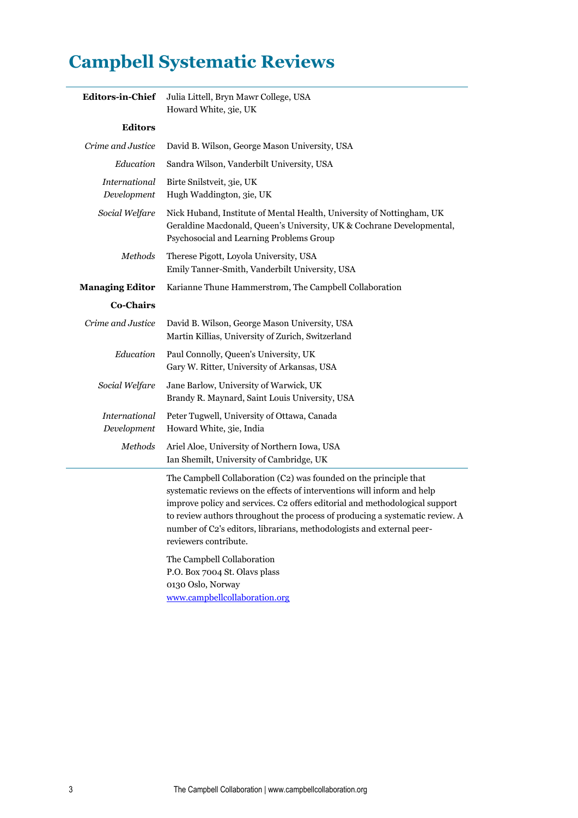### **Campbell Systematic Reviews**

| <b>Editors-in-Chief</b>      | Julia Littell, Bryn Mawr College, USA<br>Howard White, 3ie, UK                                                                                                                                                                                                                                                                                                                                                                              |  |  |  |
|------------------------------|---------------------------------------------------------------------------------------------------------------------------------------------------------------------------------------------------------------------------------------------------------------------------------------------------------------------------------------------------------------------------------------------------------------------------------------------|--|--|--|
| <b>Editors</b>               |                                                                                                                                                                                                                                                                                                                                                                                                                                             |  |  |  |
| Crime and Justice            | David B. Wilson, George Mason University, USA                                                                                                                                                                                                                                                                                                                                                                                               |  |  |  |
| Education                    | Sandra Wilson, Vanderbilt University, USA                                                                                                                                                                                                                                                                                                                                                                                                   |  |  |  |
| International<br>Development | Birte Snilstveit, 3ie, UK<br>Hugh Waddington, 3ie, UK                                                                                                                                                                                                                                                                                                                                                                                       |  |  |  |
| Social Welfare               | Nick Huband, Institute of Mental Health, University of Nottingham, UK<br>Geraldine Macdonald, Queen's University, UK & Cochrane Developmental,<br>Psychosocial and Learning Problems Group                                                                                                                                                                                                                                                  |  |  |  |
| Methods                      | Therese Pigott, Loyola University, USA<br>Emily Tanner-Smith, Vanderbilt University, USA                                                                                                                                                                                                                                                                                                                                                    |  |  |  |
| <b>Managing Editor</b>       | Karianne Thune Hammerstrøm, The Campbell Collaboration                                                                                                                                                                                                                                                                                                                                                                                      |  |  |  |
| <b>Co-Chairs</b>             |                                                                                                                                                                                                                                                                                                                                                                                                                                             |  |  |  |
| Crime and Justice            | David B. Wilson, George Mason University, USA<br>Martin Killias, University of Zurich, Switzerland                                                                                                                                                                                                                                                                                                                                          |  |  |  |
| Education                    | Paul Connolly, Queen's University, UK<br>Gary W. Ritter, University of Arkansas, USA                                                                                                                                                                                                                                                                                                                                                        |  |  |  |
| Social Welfare               | Jane Barlow, University of Warwick, UK<br>Brandy R. Maynard, Saint Louis University, USA                                                                                                                                                                                                                                                                                                                                                    |  |  |  |
| International<br>Development | Peter Tugwell, University of Ottawa, Canada<br>Howard White, 3ie, India                                                                                                                                                                                                                                                                                                                                                                     |  |  |  |
| Methods                      | Ariel Aloe, University of Northern Iowa, USA<br>Ian Shemilt, University of Cambridge, UK                                                                                                                                                                                                                                                                                                                                                    |  |  |  |
|                              | The Campbell Collaboration (C2) was founded on the principle that<br>systematic reviews on the effects of interventions will inform and help<br>improve policy and services. C2 offers editorial and methodological support<br>to review authors throughout the process of producing a systematic review. A<br>number of C2's editors, librarians, methodologists and external peer-<br>reviewers contribute.<br>The Campbell Collaboration |  |  |  |
|                              |                                                                                                                                                                                                                                                                                                                                                                                                                                             |  |  |  |

P.O. Box 7004 St. Olavs plass 0130 Oslo, Norway [www.campbellcollaboration.org](http://www.campbellcollaboration.org/)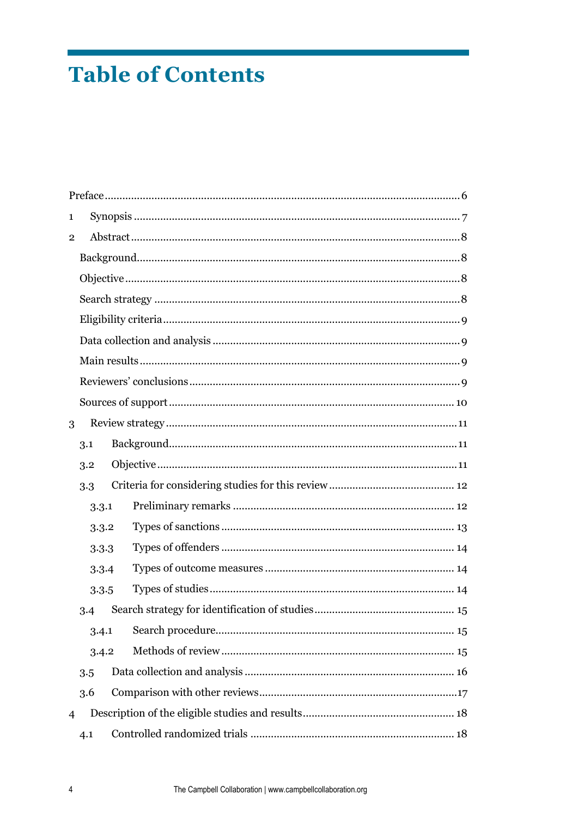## **Table of Contents**

| 1              |       |  |  |  |  |
|----------------|-------|--|--|--|--|
| $\overline{2}$ |       |  |  |  |  |
|                |       |  |  |  |  |
|                |       |  |  |  |  |
|                |       |  |  |  |  |
|                |       |  |  |  |  |
|                |       |  |  |  |  |
|                |       |  |  |  |  |
|                |       |  |  |  |  |
|                |       |  |  |  |  |
| 3              |       |  |  |  |  |
|                | 3.1   |  |  |  |  |
|                | 3.2   |  |  |  |  |
|                | 3.3   |  |  |  |  |
|                | 3.3.1 |  |  |  |  |
|                | 3.3.2 |  |  |  |  |
|                | 3.3.3 |  |  |  |  |
|                | 3.3.4 |  |  |  |  |
|                | 3.3.5 |  |  |  |  |
|                | 3.4   |  |  |  |  |
|                | 3.4.1 |  |  |  |  |
|                | 3.4.2 |  |  |  |  |
|                | 3.5   |  |  |  |  |
|                | 3.6   |  |  |  |  |
| $\overline{4}$ |       |  |  |  |  |
|                | 4.1   |  |  |  |  |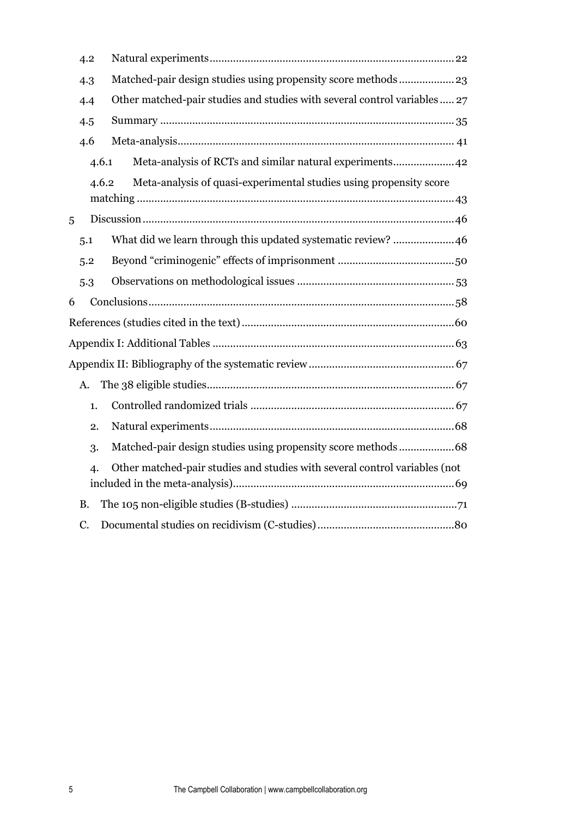|   | 4.2       |                                                                            |  |  |  |
|---|-----------|----------------------------------------------------------------------------|--|--|--|
|   | 4.3       | Matched-pair design studies using propensity score methods 23              |  |  |  |
|   | 4.4       | Other matched-pair studies and studies with several control variables 27   |  |  |  |
|   | 4.5       |                                                                            |  |  |  |
|   | 4.6       |                                                                            |  |  |  |
|   | 4.6.1     |                                                                            |  |  |  |
|   | 4.6.2     | Meta-analysis of quasi-experimental studies using propensity score         |  |  |  |
| 5 |           |                                                                            |  |  |  |
|   | 5.1       | What did we learn through this updated systematic review? 46               |  |  |  |
|   | 5.2       |                                                                            |  |  |  |
|   | 5.3       |                                                                            |  |  |  |
| 6 |           |                                                                            |  |  |  |
|   |           |                                                                            |  |  |  |
|   |           |                                                                            |  |  |  |
|   |           |                                                                            |  |  |  |
|   | A.        |                                                                            |  |  |  |
|   | 1.        |                                                                            |  |  |  |
|   | 2.        |                                                                            |  |  |  |
|   | 3.        | Matched-pair design studies using propensity score methods68               |  |  |  |
|   | 4.        | Other matched-pair studies and studies with several control variables (not |  |  |  |
|   | <b>B.</b> |                                                                            |  |  |  |
|   | C.        |                                                                            |  |  |  |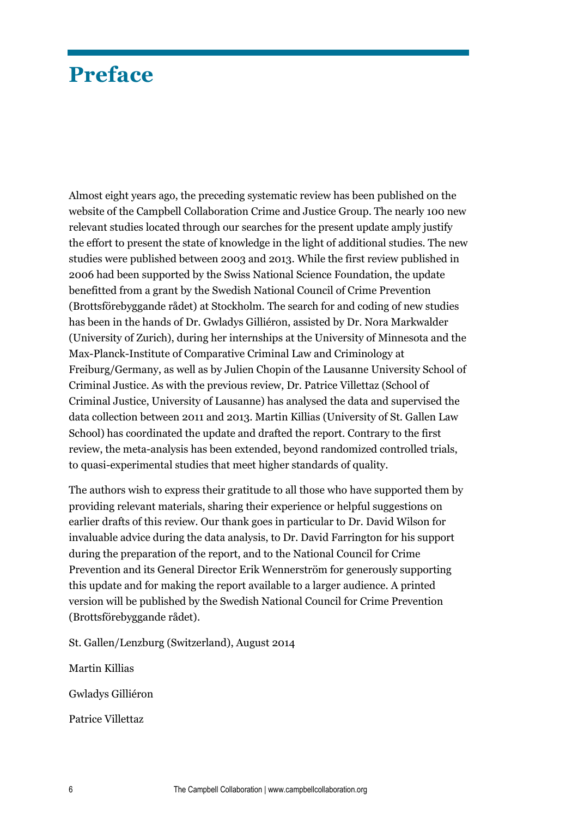### <span id="page-5-0"></span>**Preface**

Almost eight years ago, the preceding systematic review has been published on the website of the Campbell Collaboration Crime and Justice Group. The nearly 100 new relevant studies located through our searches for the present update amply justify the effort to present the state of knowledge in the light of additional studies. The new studies were published between 2003 and 2013. While the first review published in 2006 had been supported by the Swiss National Science Foundation, the update benefitted from a grant by the Swedish National Council of Crime Prevention (Brottsförebyggande rådet) at Stockholm. The search for and coding of new studies has been in the hands of Dr. Gwladys Gilliéron, assisted by Dr. Nora Markwalder (University of Zurich), during her internships at the University of Minnesota and the Max-Planck-Institute of Comparative Criminal Law and Criminology at Freiburg/Germany, as well as by Julien Chopin of the Lausanne University School of Criminal Justice. As with the previous review, Dr. Patrice Villettaz (School of Criminal Justice, University of Lausanne) has analysed the data and supervised the data collection between 2011 and 2013. Martin Killias (University of St. Gallen Law School) has coordinated the update and drafted the report. Contrary to the first review, the meta-analysis has been extended, beyond randomized controlled trials, to quasi-experimental studies that meet higher standards of quality.

The authors wish to express their gratitude to all those who have supported them by providing relevant materials, sharing their experience or helpful suggestions on earlier drafts of this review. Our thank goes in particular to Dr. David Wilson for invaluable advice during the data analysis, to Dr. David Farrington for his support during the preparation of the report, and to the National Council for Crime Prevention and its General Director Erik Wennerström for generously supporting this update and for making the report available to a larger audience. A printed version will be published by the Swedish National Council for Crime Prevention (Brottsförebyggande rådet).

St. Gallen/Lenzburg (Switzerland), August 2014

Martin Killias Gwladys Gilliéron

Patrice Villettaz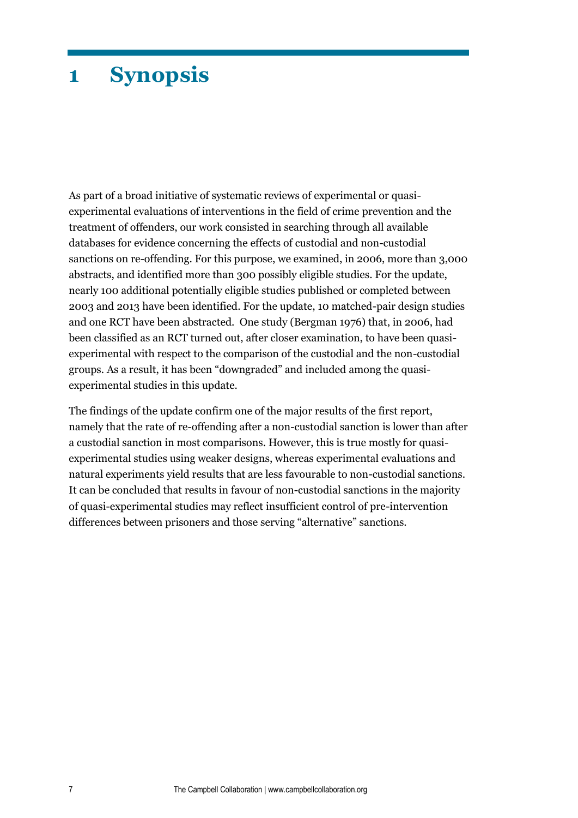### <span id="page-6-0"></span>**1 Synopsis**

As part of a broad initiative of systematic reviews of experimental or quasiexperimental evaluations of interventions in the field of crime prevention and the treatment of offenders, our work consisted in searching through all available databases for evidence concerning the effects of custodial and non-custodial sanctions on re-offending. For this purpose, we examined, in 2006, more than 3,000 abstracts, and identified more than 300 possibly eligible studies. For the update, nearly 100 additional potentially eligible studies published or completed between 2003 and 2013 have been identified. For the update, 10 matched-pair design studies and one RCT have been abstracted. One study (Bergman 1976) that, in 2006, had been classified as an RCT turned out, after closer examination, to have been quasiexperimental with respect to the comparison of the custodial and the non-custodial groups. As a result, it has been "downgraded" and included among the quasiexperimental studies in this update.

The findings of the update confirm one of the major results of the first report, namely that the rate of re-offending after a non-custodial sanction is lower than after a custodial sanction in most comparisons. However, this is true mostly for quasiexperimental studies using weaker designs, whereas experimental evaluations and natural experiments yield results that are less favourable to non-custodial sanctions. It can be concluded that results in favour of non-custodial sanctions in the majority of quasi-experimental studies may reflect insufficient control of pre-intervention differences between prisoners and those serving "alternative" sanctions.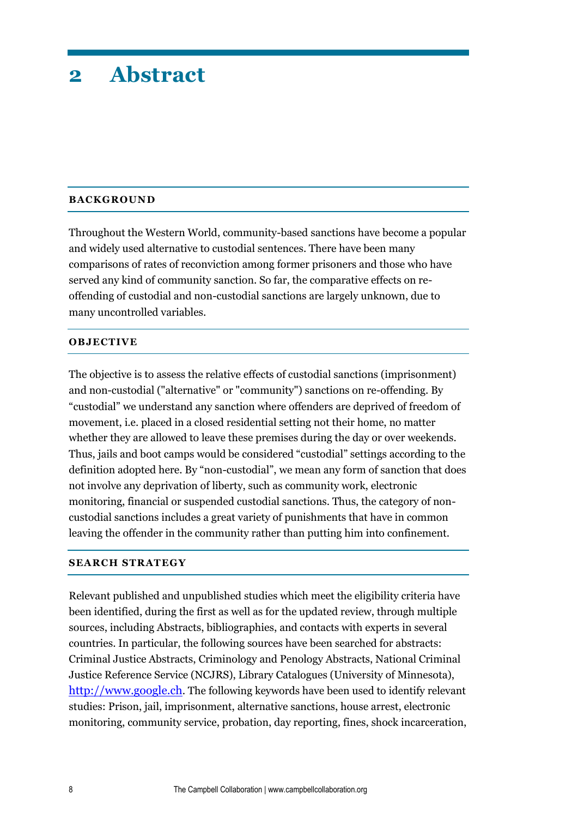### <span id="page-7-0"></span>**2 Abstract**

#### <span id="page-7-1"></span>**BACKGROUND**

Throughout the Western World, community-based sanctions have become a popular and widely used alternative to custodial sentences. There have been many comparisons of rates of reconviction among former prisoners and those who have served any kind of community sanction. So far, the comparative effects on reoffending of custodial and non-custodial sanctions are largely unknown, due to many uncontrolled variables.

#### <span id="page-7-2"></span>**OBJECTIVE**

The objective is to assess the relative effects of custodial sanctions (imprisonment) and non-custodial ("alternative" or "community") sanctions on re-offending. By "custodial" we understand any sanction where offenders are deprived of freedom of movement, i.e. placed in a closed residential setting not their home, no matter whether they are allowed to leave these premises during the day or over weekends. Thus, jails and boot camps would be considered "custodial" settings according to the definition adopted here. By "non-custodial", we mean any form of sanction that does not involve any deprivation of liberty, such as community work, electronic monitoring, financial or suspended custodial sanctions. Thus, the category of noncustodial sanctions includes a great variety of punishments that have in common leaving the offender in the community rather than putting him into confinement.

#### <span id="page-7-3"></span>**SEARCH STRATEGY**

Relevant published and unpublished studies which meet the eligibility criteria have been identified, during the first as well as for the updated review, through multiple sources, including Abstracts, bibliographies, and contacts with experts in several countries. In particular, the following sources have been searched for abstracts: Criminal Justice Abstracts, Criminology and Penology Abstracts, National Criminal Justice Reference Service (NCJRS), Library Catalogues (University of Minnesota), [http://www.google.ch](http://www.google.ch/). The following keywords have been used to identify relevant studies: Prison, jail, imprisonment, alternative sanctions, house arrest, electronic monitoring, community service, probation, day reporting, fines, shock incarceration,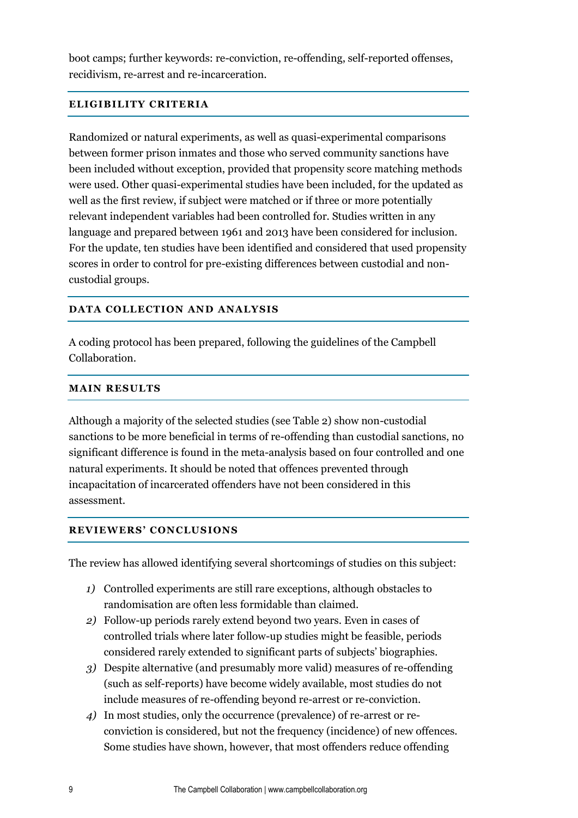boot camps; further keywords: re-conviction, re-offending, self-reported offenses, recidivism, re-arrest and re-incarceration.

#### <span id="page-8-0"></span>**ELIGIBILITY CRITERIA**

Randomized or natural experiments, as well as quasi-experimental comparisons between former prison inmates and those who served community sanctions have been included without exception, provided that propensity score matching methods were used. Other quasi-experimental studies have been included, for the updated as well as the first review, if subject were matched or if three or more potentially relevant independent variables had been controlled for. Studies written in any language and prepared between 1961 and 2013 have been considered for inclusion. For the update, ten studies have been identified and considered that used propensity scores in order to control for pre-existing differences between custodial and noncustodial groups.

#### <span id="page-8-1"></span>**DATA COLLECTION AND ANALYSIS**

A coding protocol has been prepared, following the guidelines of the Campbell Collaboration.

#### <span id="page-8-2"></span>**MAIN RESULTS**

Although a majority of the selected studies (see Table 2) show non-custodial sanctions to be more beneficial in terms of re-offending than custodial sanctions, no significant difference is found in the meta-analysis based on four controlled and one natural experiments. It should be noted that offences prevented through incapacitation of incarcerated offenders have not been considered in this assessment.

#### <span id="page-8-3"></span>**REVIEWERS' CONCLUSIONS**

The review has allowed identifying several shortcomings of studies on this subject:

- *1)* Controlled experiments are still rare exceptions, although obstacles to randomisation are often less formidable than claimed.
- *2)* Follow-up periods rarely extend beyond two years. Even in cases of controlled trials where later follow-up studies might be feasible, periods considered rarely extended to significant parts of subjects' biographies.
- *3)* Despite alternative (and presumably more valid) measures of re-offending (such as self-reports) have become widely available, most studies do not include measures of re-offending beyond re-arrest or re-conviction.
- *4)* In most studies, only the occurrence (prevalence) of re-arrest or reconviction is considered, but not the frequency (incidence) of new offences. Some studies have shown, however, that most offenders reduce offending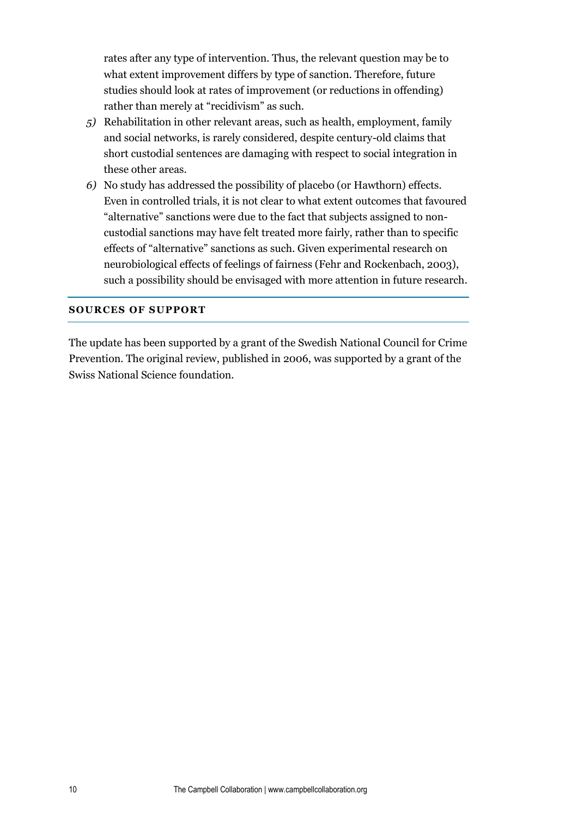rates after any type of intervention. Thus, the relevant question may be to what extent improvement differs by type of sanction. Therefore, future studies should look at rates of improvement (or reductions in offending) rather than merely at "recidivism" as such.

- *5)* Rehabilitation in other relevant areas, such as health, employment, family and social networks, is rarely considered, despite century-old claims that short custodial sentences are damaging with respect to social integration in these other areas.
- *6)* No study has addressed the possibility of placebo (or Hawthorn) effects. Even in controlled trials, it is not clear to what extent outcomes that favoured "alternative" sanctions were due to the fact that subjects assigned to noncustodial sanctions may have felt treated more fairly, rather than to specific effects of "alternative" sanctions as such. Given experimental research on neurobiological effects of feelings of fairness (Fehr and Rockenbach, 2003), such a possibility should be envisaged with more attention in future research.

#### <span id="page-9-0"></span>**SOURCES OF SUPPORT**

The update has been supported by a grant of the Swedish National Council for Crime Prevention. The original review, published in 2006, was supported by a grant of the Swiss National Science foundation.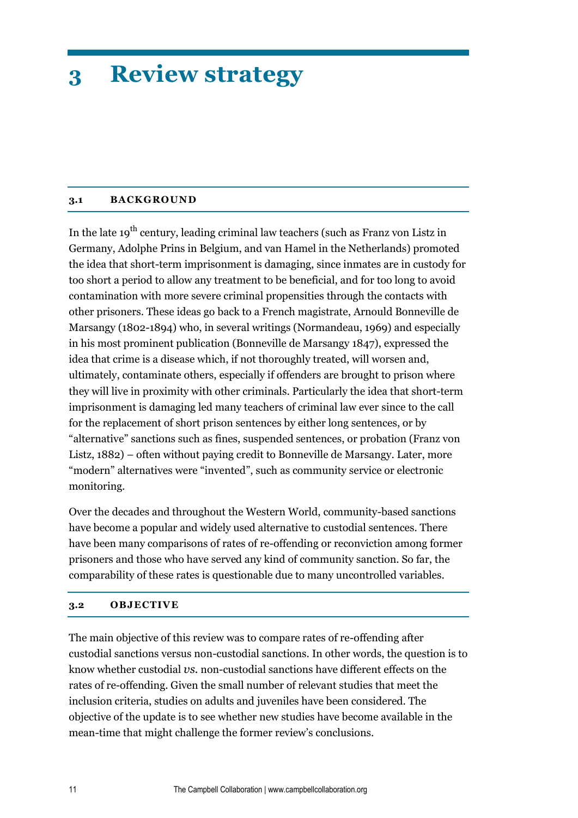# <span id="page-10-0"></span>**3 Review strategy**

#### <span id="page-10-1"></span>**3.1 BACKGROUND**

In the late  $19<sup>th</sup>$  century, leading criminal law teachers (such as Franz von Listz in Germany, Adolphe Prins in Belgium, and van Hamel in the Netherlands) promoted the idea that short-term imprisonment is damaging, since inmates are in custody for too short a period to allow any treatment to be beneficial, and for too long to avoid contamination with more severe criminal propensities through the contacts with other prisoners. These ideas go back to a French magistrate, Arnould Bonneville de Marsangy (1802-1894) who, in several writings (Normandeau, 1969) and especially in his most prominent publication (Bonneville de Marsangy 1847), expressed the idea that crime is a disease which, if not thoroughly treated, will worsen and, ultimately, contaminate others, especially if offenders are brought to prison where they will live in proximity with other criminals. Particularly the idea that short-term imprisonment is damaging led many teachers of criminal law ever since to the call for the replacement of short prison sentences by either long sentences, or by "alternative" sanctions such as fines, suspended sentences, or probation (Franz von Listz, 1882) – often without paying credit to Bonneville de Marsangy. Later, more "modern" alternatives were "invented", such as community service or electronic monitoring.

Over the decades and throughout the Western World, community-based sanctions have become a popular and widely used alternative to custodial sentences. There have been many comparisons of rates of re-offending or reconviction among former prisoners and those who have served any kind of community sanction. So far, the comparability of these rates is questionable due to many uncontrolled variables.

#### <span id="page-10-2"></span>**3.2 OBJECTIVE**

The main objective of this review was to compare rates of re-offending after custodial sanctions versus non-custodial sanctions. In other words, the question is to know whether custodial *vs.* non-custodial sanctions have different effects on the rates of re-offending. Given the small number of relevant studies that meet the inclusion criteria, studies on adults and juveniles have been considered. The objective of the update is to see whether new studies have become available in the mean-time that might challenge the former review's conclusions.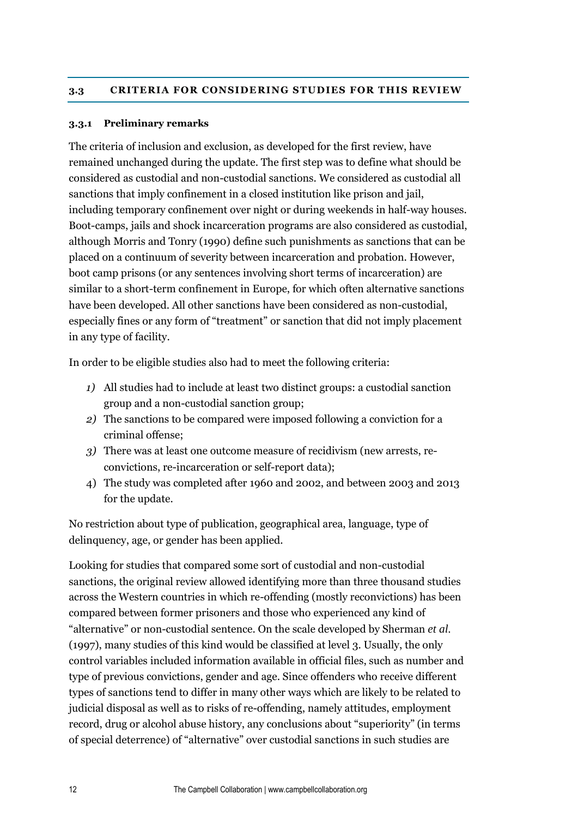#### <span id="page-11-1"></span><span id="page-11-0"></span>**3.3.1 Preliminary remarks**

The criteria of inclusion and exclusion, as developed for the first review, have remained unchanged during the update. The first step was to define what should be considered as custodial and non-custodial sanctions. We considered as custodial all sanctions that imply confinement in a closed institution like prison and jail, including temporary confinement over night or during weekends in half-way houses. Boot-camps, jails and shock incarceration programs are also considered as custodial, although Morris and Tonry (1990) define such punishments as sanctions that can be placed on a continuum of severity between incarceration and probation. However, boot camp prisons (or any sentences involving short terms of incarceration) are similar to a short-term confinement in Europe, for which often alternative sanctions have been developed. All other sanctions have been considered as non-custodial, especially fines or any form of "treatment" or sanction that did not imply placement in any type of facility.

In order to be eligible studies also had to meet the following criteria:

- *1)* All studies had to include at least two distinct groups: a custodial sanction group and a non-custodial sanction group;
- *2)* The sanctions to be compared were imposed following a conviction for a criminal offense;
- *3)* There was at least one outcome measure of recidivism (new arrests, reconvictions, re-incarceration or self-report data);
- 4) The study was completed after 1960 and 2002, and between 2003 and 2013 for the update.

No restriction about type of publication, geographical area, language, type of delinquency, age, or gender has been applied.

Looking for studies that compared some sort of custodial and non-custodial sanctions, the original review allowed identifying more than three thousand studies across the Western countries in which re-offending (mostly reconvictions) has been compared between former prisoners and those who experienced any kind of "alternative" or non-custodial sentence. On the scale developed by Sherman *et al.* (1997), many studies of this kind would be classified at level 3. Usually, the only control variables included information available in official files, such as number and type of previous convictions, gender and age. Since offenders who receive different types of sanctions tend to differ in many other ways which are likely to be related to judicial disposal as well as to risks of re-offending, namely attitudes, employment record, drug or alcohol abuse history, any conclusions about "superiority" (in terms of special deterrence) of "alternative" over custodial sanctions in such studies are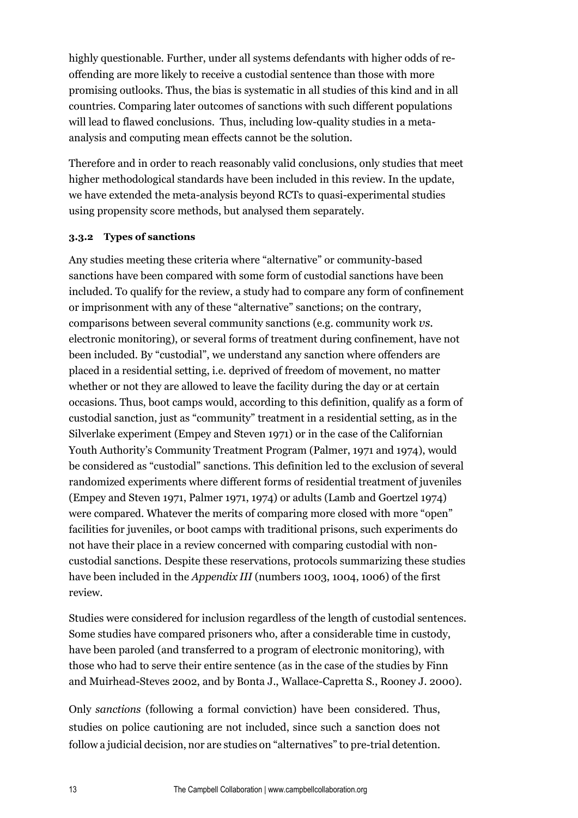highly questionable. Further, under all systems defendants with higher odds of reoffending are more likely to receive a custodial sentence than those with more promising outlooks. Thus, the bias is systematic in all studies of this kind and in all countries. Comparing later outcomes of sanctions with such different populations will lead to flawed conclusions. Thus, including low-quality studies in a metaanalysis and computing mean effects cannot be the solution.

Therefore and in order to reach reasonably valid conclusions, only studies that meet higher methodological standards have been included in this review. In the update, we have extended the meta-analysis beyond RCTs to quasi-experimental studies using propensity score methods, but analysed them separately.

#### <span id="page-12-0"></span>**3.3.2 Types of sanctions**

Any studies meeting these criteria where "alternative" or community-based sanctions have been compared with some form of custodial sanctions have been included. To qualify for the review, a study had to compare any form of confinement or imprisonment with any of these "alternative" sanctions; on the contrary, comparisons between several community sanctions (e.g. community work *vs.* electronic monitoring), or several forms of treatment during confinement, have not been included. By "custodial", we understand any sanction where offenders are placed in a residential setting, i.e. deprived of freedom of movement, no matter whether or not they are allowed to leave the facility during the day or at certain occasions. Thus, boot camps would, according to this definition, qualify as a form of custodial sanction, just as "community" treatment in a residential setting, as in the Silverlake experiment (Empey and Steven 1971) or in the case of the Californian Youth Authority's Community Treatment Program (Palmer, 1971 and 1974), would be considered as "custodial" sanctions. This definition led to the exclusion of several randomized experiments where different forms of residential treatment of juveniles (Empey and Steven 1971, Palmer 1971, 1974) or adults (Lamb and Goertzel 1974) were compared. Whatever the merits of comparing more closed with more "open" facilities for juveniles, or boot camps with traditional prisons, such experiments do not have their place in a review concerned with comparing custodial with noncustodial sanctions. Despite these reservations, protocols summarizing these studies have been included in the *Appendix III* (numbers 1003, 1004, 1006) of the first review.

Studies were considered for inclusion regardless of the length of custodial sentences. Some studies have compared prisoners who, after a considerable time in custody, have been paroled (and transferred to a program of electronic monitoring), with those who had to serve their entire sentence (as in the case of the studies by Finn and Muirhead-Steves 2002, and by Bonta J., Wallace-Capretta S., Rooney J. 2000).

Only *sanctions* (following a formal conviction) have been considered. Thus, studies on police cautioning are not included, since such a sanction does not follow a judicial decision, nor are studies on "alternatives" to pre-trial detention.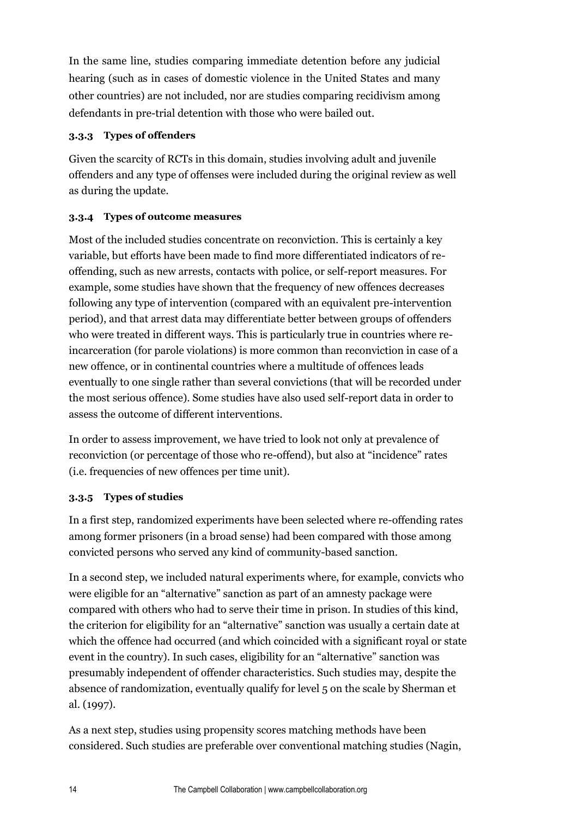In the same line, studies comparing immediate detention before any judicial hearing (such as in cases of domestic violence in the United States and many other countries) are not included, nor are studies comparing recidivism among defendants in pre-trial detention with those who were bailed out.

#### <span id="page-13-0"></span>**3.3.3 Types of offenders**

Given the scarcity of RCTs in this domain, studies involving adult and juvenile offenders and any type of offenses were included during the original review as well as during the update.

#### <span id="page-13-1"></span>**3.3.4 Types of outcome measures**

Most of the included studies concentrate on reconviction. This is certainly a key variable, but efforts have been made to find more differentiated indicators of reoffending, such as new arrests, contacts with police, or self-report measures. For example, some studies have shown that the frequency of new offences decreases following any type of intervention (compared with an equivalent pre-intervention period), and that arrest data may differentiate better between groups of offenders who were treated in different ways. This is particularly true in countries where reincarceration (for parole violations) is more common than reconviction in case of a new offence, or in continental countries where a multitude of offences leads eventually to one single rather than several convictions (that will be recorded under the most serious offence). Some studies have also used self-report data in order to assess the outcome of different interventions.

In order to assess improvement, we have tried to look not only at prevalence of reconviction (or percentage of those who re-offend), but also at "incidence" rates (i.e. frequencies of new offences per time unit).

#### <span id="page-13-2"></span>**3.3.5 Types of studies**

In a first step, randomized experiments have been selected where re-offending rates among former prisoners (in a broad sense) had been compared with those among convicted persons who served any kind of community-based sanction.

In a second step, we included natural experiments where, for example, convicts who were eligible for an "alternative" sanction as part of an amnesty package were compared with others who had to serve their time in prison. In studies of this kind, the criterion for eligibility for an "alternative" sanction was usually a certain date at which the offence had occurred (and which coincided with a significant royal or state event in the country). In such cases, eligibility for an "alternative" sanction was presumably independent of offender characteristics. Such studies may, despite the absence of randomization, eventually qualify for level 5 on the scale by Sherman et al. (1997).

As a next step, studies using propensity scores matching methods have been considered. Such studies are preferable over conventional matching studies (Nagin,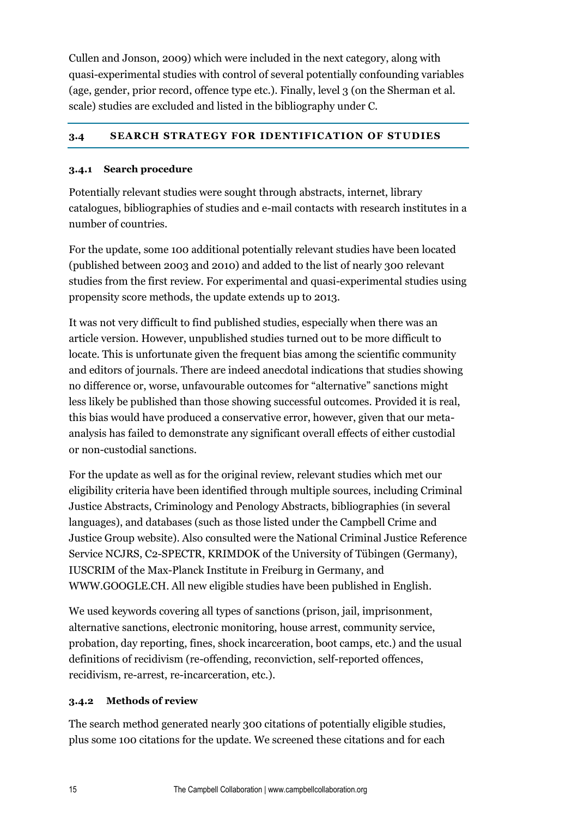Cullen and Jonson, 2009) which were included in the next category, along with quasi-experimental studies with control of several potentially confounding variables (age, gender, prior record, offence type etc.). Finally, level 3 (on the Sherman et al. scale) studies are excluded and listed in the bibliography under C.

#### <span id="page-14-0"></span>**3.4 SEARCH STRATEGY FOR IDENTIFICATION OF STUDIES**

#### <span id="page-14-1"></span>**3.4.1 Search procedure**

Potentially relevant studies were sought through abstracts, internet, library catalogues, bibliographies of studies and e-mail contacts with research institutes in a number of countries.

For the update, some 100 additional potentially relevant studies have been located (published between 2003 and 2010) and added to the list of nearly 300 relevant studies from the first review. For experimental and quasi-experimental studies using propensity score methods, the update extends up to 2013.

It was not very difficult to find published studies, especially when there was an article version. However, unpublished studies turned out to be more difficult to locate. This is unfortunate given the frequent bias among the scientific community and editors of journals. There are indeed anecdotal indications that studies showing no difference or, worse, unfavourable outcomes for "alternative" sanctions might less likely be published than those showing successful outcomes. Provided it is real, this bias would have produced a conservative error, however, given that our metaanalysis has failed to demonstrate any significant overall effects of either custodial or non-custodial sanctions.

For the update as well as for the original review, relevant studies which met our eligibility criteria have been identified through multiple sources, including Criminal Justice Abstracts, Criminology and Penology Abstracts, bibliographies (in several languages), and databases (such as those listed under the Campbell Crime and Justice Group website). Also consulted were the National Criminal Justice Reference Service NCJRS, C2-SPECTR, KRIMDOK of the University of Tübingen (Germany), IUSCRIM of the Max-Planck Institute in Freiburg in Germany, and WWW.GOOGLE.CH. All new eligible studies have been published in English.

We used keywords covering all types of sanctions (prison, jail, imprisonment, alternative sanctions, electronic monitoring, house arrest, community service, probation, day reporting, fines, shock incarceration, boot camps, etc.) and the usual definitions of recidivism (re-offending, reconviction, self-reported offences, recidivism, re-arrest, re-incarceration, etc.).

#### <span id="page-14-2"></span>**3.4.2 Methods of review**

The search method generated nearly 300 citations of potentially eligible studies, plus some 100 citations for the update. We screened these citations and for each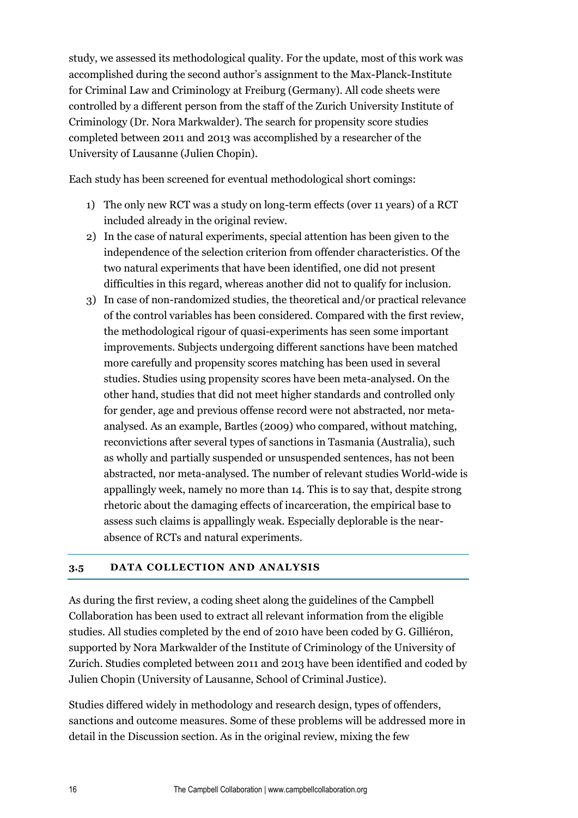study, we assessed its methodological quality. For the update, most of this work was accomplished during the second author's assignment to the Max-Planck-Institute for Criminal Law and Criminology at Freiburg (Germany). All code sheets were controlled by a different person from the staff of the Zurich University Institute of Criminology (Dr. Nora Markwalder). The search for propensity score studies completed between 2011 and 2013 was accomplished by a researcher of the University of Lausanne (Julien Chopin).

Each study has been screened for eventual methodological short comings:

- 1) The only new RCT was a study on long-term effects (over 11 years) of a RCT included already in the original review.
- 2) In the case of natural experiments, special attention has been given to the independence of the selection criterion from offender characteristics. Of the two natural experiments that have been identified, one did not present difficulties in this regard, whereas another did not to qualify for inclusion.
- 3) In case of non-randomized studies, the theoretical and/or practical relevance of the control variables has been considered. Compared with the first review, the methodological rigour of quasi-experiments has seen some important improvements. Subjects undergoing different sanctions have been matched more carefully and propensity scores matching has been used in several studies. Studies using propensity scores have been meta-analysed. On the other hand, studies that did not meet higher standards and controlled only for gender, age and previous offense record were not abstracted, nor metaanalysed. As an example, Bartles (2009) who compared, without matching, reconvictions after several types of sanctions in Tasmania (Australia), such as wholly and partially suspended or unsuspended sentences, has not been abstracted, nor meta-analysed. The number of relevant studies World-wide is appallingly week, namely no more than 14. This is to say that, despite strong rhetoric about the damaging effects of incarceration, the empirical base to assess such claims is appallingly weak. Especially deplorable is the nearabsence of RCTs and natural experiments.

#### <span id="page-15-0"></span>**3.5 DATA COLLECTION AND ANALYSIS**

As during the first review, a coding sheet along the guidelines of the Campbell Collaboration has been used to extract all relevant information from the eligible studies. All studies completed by the end of 2010 have been coded by G. Gilliéron, supported by Nora Markwalder of the Institute of Criminology of the University of Zurich. Studies completed between 2011 and 2013 have been identified and coded by Julien Chopin (University of Lausanne, School of Criminal Justice).

Studies differed widely in methodology and research design, types of offenders, sanctions and outcome measures. Some of these problems will be addressed more in detail in the Discussion section. As in the original review, mixing the few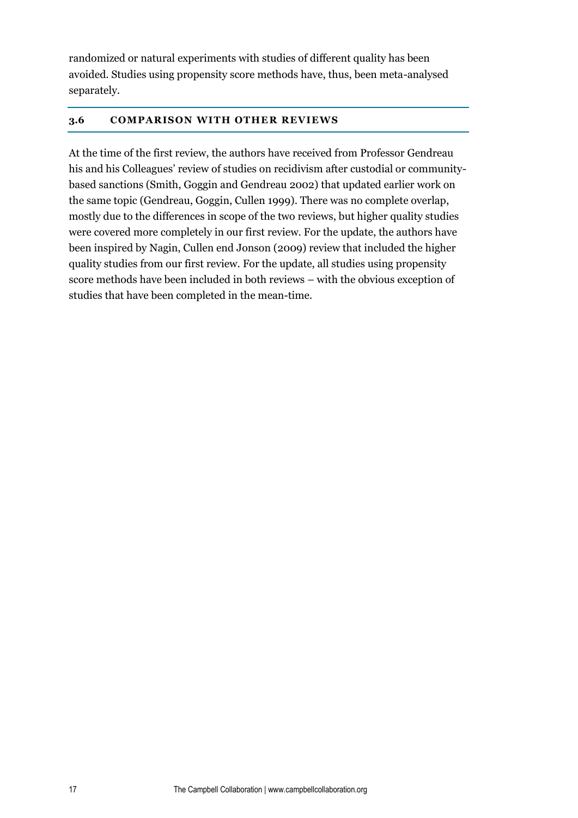randomized or natural experiments with studies of different quality has been avoided. Studies using propensity score methods have, thus, been meta-analysed separately.

#### <span id="page-16-0"></span>**3.6 COMPARISON WITH OTHER REVIEWS**

At the time of the first review, the authors have received from Professor Gendreau his and his Colleagues' review of studies on recidivism after custodial or communitybased sanctions (Smith, Goggin and Gendreau 2002) that updated earlier work on the same topic (Gendreau, Goggin, Cullen 1999). There was no complete overlap, mostly due to the differences in scope of the two reviews, but higher quality studies were covered more completely in our first review. For the update, the authors have been inspired by Nagin, Cullen end Jonson (2009) review that included the higher quality studies from our first review. For the update, all studies using propensity score methods have been included in both reviews – with the obvious exception of studies that have been completed in the mean-time.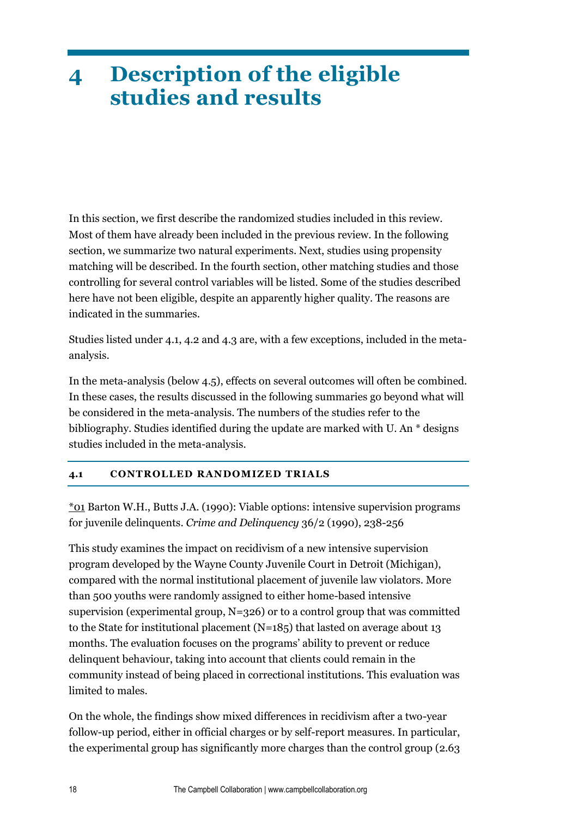## <span id="page-17-0"></span>**4 Description of the eligible studies and results**

In this section, we first describe the randomized studies included in this review. Most of them have already been included in the previous review. In the following section, we summarize two natural experiments. Next, studies using propensity matching will be described. In the fourth section, other matching studies and those controlling for several control variables will be listed. Some of the studies described here have not been eligible, despite an apparently higher quality. The reasons are indicated in the summaries.

Studies listed under 4.1, 4.2 and 4.3 are, with a few exceptions, included in the metaanalysis.

In the meta-analysis (below 4.5), effects on several outcomes will often be combined. In these cases, the results discussed in the following summaries go beyond what will be considered in the meta-analysis. The numbers of the studies refer to the bibliography. Studies identified during the update are marked with U. An \* designs studies included in the meta-analysis.

#### <span id="page-17-1"></span>**4.1 CONTROLLED RANDOMIZED TRIALS**

\*01 Barton W.H., Butts J.A. (1990): Viable options: intensive supervision programs for juvenile delinquents. *Crime and Delinquency* 36/2 (1990), 238-256

This study examines the impact on recidivism of a new intensive supervision program developed by the Wayne County Juvenile Court in Detroit (Michigan), compared with the normal institutional placement of juvenile law violators. More than 500 youths were randomly assigned to either home-based intensive supervision (experimental group, N=326) or to a control group that was committed to the State for institutional placement (N=185) that lasted on average about 13 months. The evaluation focuses on the programs' ability to prevent or reduce delinquent behaviour, taking into account that clients could remain in the community instead of being placed in correctional institutions. This evaluation was limited to males.

On the whole, the findings show mixed differences in recidivism after a two-year follow-up period, either in official charges or by self-report measures. In particular, the experimental group has significantly more charges than the control group (2.63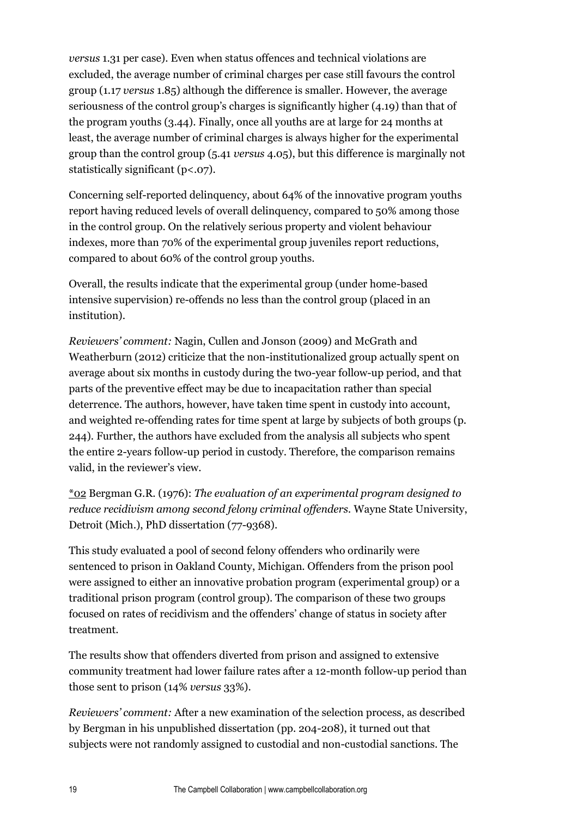*versus* 1.31 per case). Even when status offences and technical violations are excluded, the average number of criminal charges per case still favours the control group (1.17 *versus* 1.85) although the difference is smaller. However, the average seriousness of the control group's charges is significantly higher (4.19) than that of the program youths (3.44). Finally, once all youths are at large for 24 months at least, the average number of criminal charges is always higher for the experimental group than the control group (5.41 *versus* 4.05), but this difference is marginally not statistically significant (p<.07).

Concerning self-reported delinquency, about 64% of the innovative program youths report having reduced levels of overall delinquency, compared to 50% among those in the control group. On the relatively serious property and violent behaviour indexes, more than 70% of the experimental group juveniles report reductions, compared to about 60% of the control group youths.

Overall, the results indicate that the experimental group (under home-based intensive supervision) re-offends no less than the control group (placed in an institution).

*Reviewers' comment:* Nagin, Cullen and Jonson (2009) and McGrath and Weatherburn (2012) criticize that the non-institutionalized group actually spent on average about six months in custody during the two-year follow-up period, and that parts of the preventive effect may be due to incapacitation rather than special deterrence. The authors, however, have taken time spent in custody into account, and weighted re-offending rates for time spent at large by subjects of both groups (p. 244). Further, the authors have excluded from the analysis all subjects who spent the entire 2-years follow-up period in custody. Therefore, the comparison remains valid, in the reviewer's view.

\*02 Bergman G.R. (1976): *The evaluation of an experimental program designed to reduce recidivism among second felony criminal offenders.* Wayne State University, Detroit (Mich.), PhD dissertation (77-9368).

This study evaluated a pool of second felony offenders who ordinarily were sentenced to prison in Oakland County, Michigan. Offenders from the prison pool were assigned to either an innovative probation program (experimental group) or a traditional prison program (control group). The comparison of these two groups focused on rates of recidivism and the offenders' change of status in society after treatment.

The results show that offenders diverted from prison and assigned to extensive community treatment had lower failure rates after a 12-month follow-up period than those sent to prison (14% *versus* 33%).

*Reviewers' comment:* After a new examination of the selection process, as described by Bergman in his unpublished dissertation (pp. 204-208), it turned out that subjects were not randomly assigned to custodial and non-custodial sanctions. The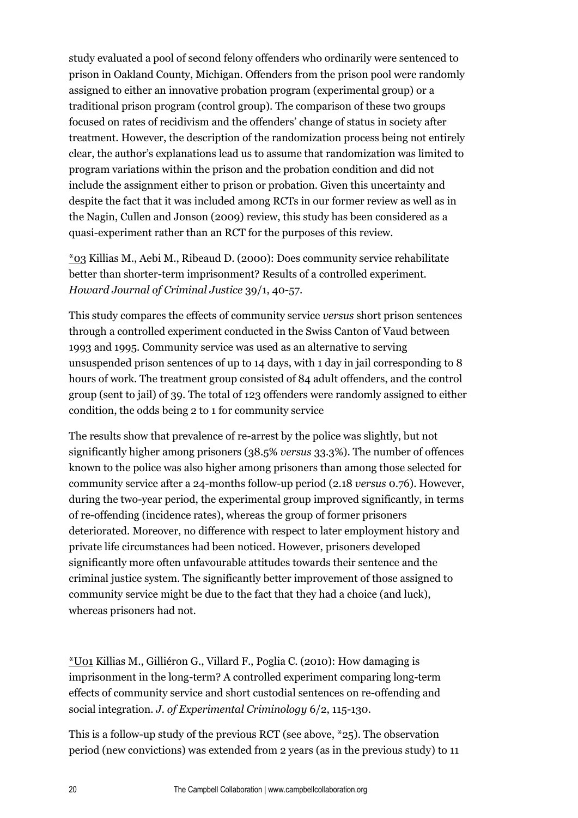study evaluated a pool of second felony offenders who ordinarily were sentenced to prison in Oakland County, Michigan. Offenders from the prison pool were randomly assigned to either an innovative probation program (experimental group) or a traditional prison program (control group). The comparison of these two groups focused on rates of recidivism and the offenders' change of status in society after treatment. However, the description of the randomization process being not entirely clear, the author's explanations lead us to assume that randomization was limited to program variations within the prison and the probation condition and did not include the assignment either to prison or probation. Given this uncertainty and despite the fact that it was included among RCTs in our former review as well as in the Nagin, Cullen and Jonson (2009) review, this study has been considered as a quasi-experiment rather than an RCT for the purposes of this review.

\*03 Killias M., Aebi M., Ribeaud D. (2000): Does community service rehabilitate better than shorter-term imprisonment? Results of a controlled experiment. *Howard Journal of Criminal Justice* 39/1, 40-57.

This study compares the effects of community service *versus* short prison sentences through a controlled experiment conducted in the Swiss Canton of Vaud between 1993 and 1995. Community service was used as an alternative to serving unsuspended prison sentences of up to 14 days, with 1 day in jail corresponding to 8 hours of work. The treatment group consisted of 84 adult offenders, and the control group (sent to jail) of 39. The total of 123 offenders were randomly assigned to either condition, the odds being 2 to 1 for community service

The results show that prevalence of re-arrest by the police was slightly, but not significantly higher among prisoners (38.5% *versus* 33.3%). The number of offences known to the police was also higher among prisoners than among those selected for community service after a 24-months follow-up period (2.18 *versus* 0.76). However, during the two-year period, the experimental group improved significantly, in terms of re-offending (incidence rates), whereas the group of former prisoners deteriorated. Moreover, no difference with respect to later employment history and private life circumstances had been noticed. However, prisoners developed significantly more often unfavourable attitudes towards their sentence and the criminal justice system. The significantly better improvement of those assigned to community service might be due to the fact that they had a choice (and luck), whereas prisoners had not.

\*U01 Killias M., Gilliéron G., Villard F., Poglia C. (2010): How damaging is imprisonment in the long-term? A controlled experiment comparing long-term effects of community service and short custodial sentences on re-offending and social integration. *J. of Experimental Criminology* 6/2, 115-130.

This is a follow-up study of the previous RCT (see above, \*25). The observation period (new convictions) was extended from 2 years (as in the previous study) to 11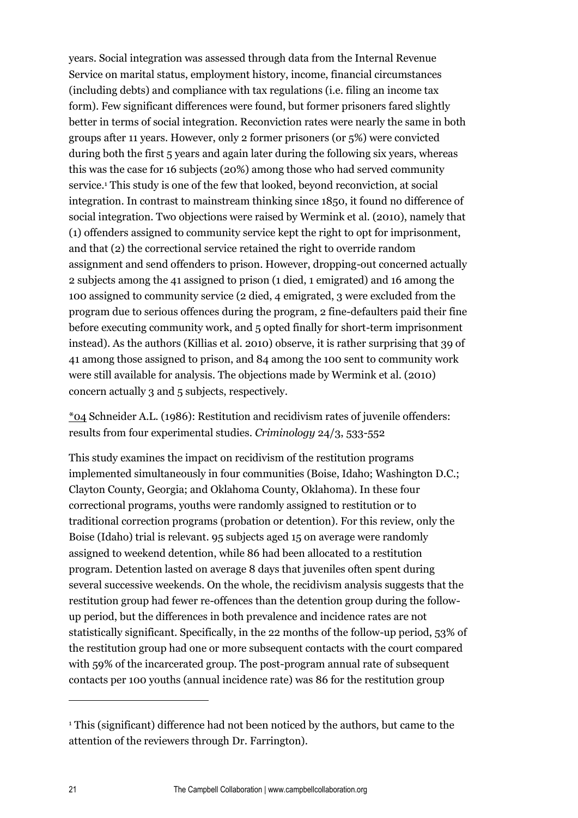years. Social integration was assessed through data from the Internal Revenue Service on marital status, employment history, income, financial circumstances (including debts) and compliance with tax regulations (i.e. filing an income tax form). Few significant differences were found, but former prisoners fared slightly better in terms of social integration. Reconviction rates were nearly the same in both groups after 11 years. However, only 2 former prisoners (or 5%) were convicted during both the first 5 years and again later during the following six years, whereas this was the case for 16 subjects (20%) among those who had served community service.<sup>1</sup> This study is one of the few that looked, beyond reconviction, at social integration. In contrast to mainstream thinking since 1850, it found no difference of social integration. Two objections were raised by Wermink et al. (2010), namely that (1) offenders assigned to community service kept the right to opt for imprisonment, and that (2) the correctional service retained the right to override random assignment and send offenders to prison. However, dropping-out concerned actually 2 subjects among the 41 assigned to prison (1 died, 1 emigrated) and 16 among the 100 assigned to community service (2 died, 4 emigrated, 3 were excluded from the program due to serious offences during the program, 2 fine-defaulters paid their fine before executing community work, and 5 opted finally for short-term imprisonment instead). As the authors (Killias et al. 2010) observe, it is rather surprising that 39 of 41 among those assigned to prison, and 84 among the 100 sent to community work were still available for analysis. The objections made by Wermink et al. (2010) concern actually 3 and 5 subjects, respectively.

\*04 Schneider A.L. (1986): Restitution and recidivism rates of juvenile offenders: results from four experimental studies. *Criminology* 24/3, 533-552

This study examines the impact on recidivism of the restitution programs implemented simultaneously in four communities (Boise, Idaho; Washington D.C.; Clayton County, Georgia; and Oklahoma County, Oklahoma). In these four correctional programs, youths were randomly assigned to restitution or to traditional correction programs (probation or detention). For this review, only the Boise (Idaho) trial is relevant. 95 subjects aged 15 on average were randomly assigned to weekend detention, while 86 had been allocated to a restitution program. Detention lasted on average 8 days that juveniles often spent during several successive weekends. On the whole, the recidivism analysis suggests that the restitution group had fewer re-offences than the detention group during the followup period, but the differences in both prevalence and incidence rates are not statistically significant. Specifically, in the 22 months of the follow-up period, 53% of the restitution group had one or more subsequent contacts with the court compared with 59% of the incarcerated group. The post-program annual rate of subsequent contacts per 100 youths (annual incidence rate) was 86 for the restitution group

 $\overline{a}$ 

<sup>1</sup> This (significant) difference had not been noticed by the authors, but came to the attention of the reviewers through Dr. Farrington).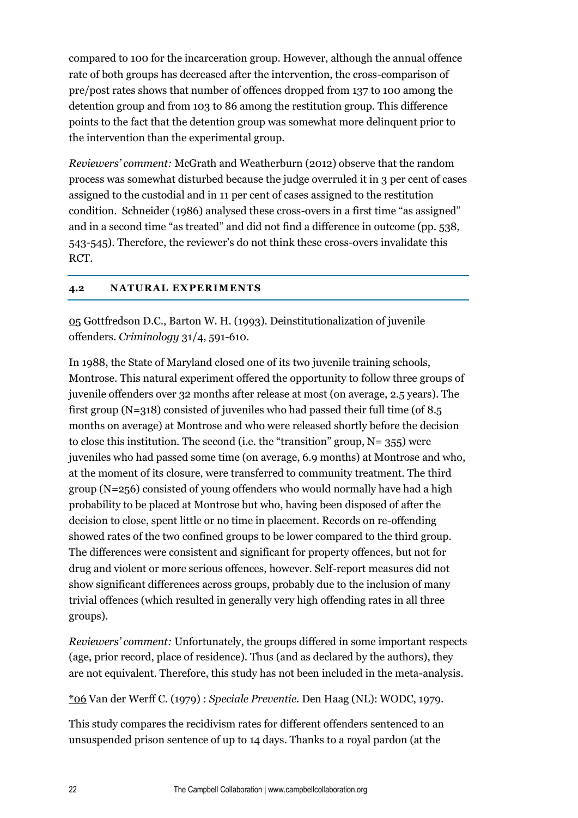compared to 100 for the incarceration group. However, although the annual offence rate of both groups has decreased after the intervention, the cross-comparison of pre/post rates shows that number of offences dropped from 137 to 100 among the detention group and from 103 to 86 among the restitution group. This difference points to the fact that the detention group was somewhat more delinquent prior to the intervention than the experimental group.

*Reviewers' comment:* McGrath and Weatherburn (2012) observe that the random process was somewhat disturbed because the judge overruled it in 3 per cent of cases assigned to the custodial and in 11 per cent of cases assigned to the restitution condition. Schneider (1986) analysed these cross-overs in a first time "as assigned" and in a second time "as treated" and did not find a difference in outcome (pp. 538, 543-545). Therefore, the reviewer's do not think these cross-overs invalidate this RCT.

#### <span id="page-21-0"></span>**4.2 NATURAL EXPERIMENTS**

05 Gottfredson D.C., Barton W. H. (1993). Deinstitutionalization of juvenile offenders. *Criminology* 31/4, 591-610.

In 1988, the State of Maryland closed one of its two juvenile training schools, Montrose. This natural experiment offered the opportunity to follow three groups of juvenile offenders over 32 months after release at most (on average, 2.5 years). The first group (N=318) consisted of juveniles who had passed their full time (of 8.5 months on average) at Montrose and who were released shortly before the decision to close this institution. The second (i.e. the "transition" group,  $N = 355$ ) were juveniles who had passed some time (on average, 6.9 months) at Montrose and who, at the moment of its closure, were transferred to community treatment. The third group (N=256) consisted of young offenders who would normally have had a high probability to be placed at Montrose but who, having been disposed of after the decision to close, spent little or no time in placement. Records on re-offending showed rates of the two confined groups to be lower compared to the third group. The differences were consistent and significant for property offences, but not for drug and violent or more serious offences, however. Self-report measures did not show significant differences across groups, probably due to the inclusion of many trivial offences (which resulted in generally very high offending rates in all three groups).

*Reviewers' comment:* Unfortunately, the groups differed in some important respects (age, prior record, place of residence). Thus (and as declared by the authors), they are not equivalent. Therefore, this study has not been included in the meta-analysis.

\*06 Van der Werff C. (1979) : *Speciale Preventie.* Den Haag (NL): WODC, 1979.

This study compares the recidivism rates for different offenders sentenced to an unsuspended prison sentence of up to 14 days. Thanks to a royal pardon (at the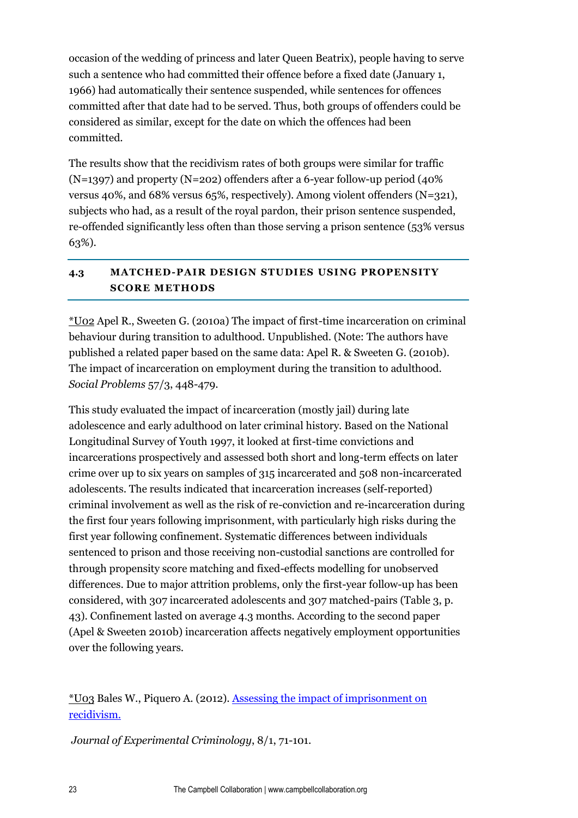occasion of the wedding of princess and later Queen Beatrix), people having to serve such a sentence who had committed their offence before a fixed date (January 1, 1966) had automatically their sentence suspended, while sentences for offences committed after that date had to be served. Thus, both groups of offenders could be considered as similar, except for the date on which the offences had been committed.

The results show that the recidivism rates of both groups were similar for traffic  $(N=1397)$  and property  $(N=202)$  offenders after a 6-year follow-up period (40%) versus 40%, and 68% versus 65%, respectively). Among violent offenders (N=321), subjects who had, as a result of the royal pardon, their prison sentence suspended, re-offended significantly less often than those serving a prison sentence (53% versus 63%).

#### <span id="page-22-0"></span>**4.3 MATCHED-PAIR DESIGN STUDIES USING PROPENSITY SCORE METHODS**

\*U02 Apel R., Sweeten G. (2010a) The impact of first-time incarceration on criminal behaviour during transition to adulthood. Unpublished. (Note: The authors have published a related paper based on the same data: Apel R. & Sweeten G. (2010b). The impact of incarceration on employment during the transition to adulthood. *Social Problems* 57/3, 448-479.

This study evaluated the impact of incarceration (mostly jail) during late adolescence and early adulthood on later criminal history. Based on the National Longitudinal Survey of Youth 1997, it looked at first-time convictions and incarcerations prospectively and assessed both short and long-term effects on later crime over up to six years on samples of 315 incarcerated and 508 non-incarcerated adolescents. The results indicated that incarceration increases (self-reported) criminal involvement as well as the risk of re-conviction and re-incarceration during the first four years following imprisonment, with particularly high risks during the first year following confinement. Systematic differences between individuals sentenced to prison and those receiving non-custodial sanctions are controlled for through propensity score matching and fixed-effects modelling for unobserved differences. Due to major attrition problems, only the first-year follow-up has been considered, with 307 incarcerated adolescents and 307 matched-pairs (Table 3, p. 43). Confinement lasted on average 4.3 months. According to the second paper (Apel & Sweeten 2010b) incarceration affects negatively employment opportunities over the following years.

\*U03 Bales W., Piquero A. (2012). [Assessing the impact of imprisonment on](http://web.b.ebscohost.com/ehost/viewarticle?data=dGJyMPPp44rp2%2FdV0%2Bnjisfk5Ie46a9Krq%2BxSrak63nn5Kx95uXxjL6prUmwpbBIr6qeTbipt1Kzqp5Zy5zyit%2Fk8Xnh6ueH7N%2FiVbCmtE6zqrdIsZzqeezdu37wnOJ6u9noeaTq33%2B7t8w%2B3%2BS7T6%2BrrlCyq7M%2B5OXwhd%2Fqu37z4uqM4%2B7y&hid=121)  [recidivism.](http://web.b.ebscohost.com/ehost/viewarticle?data=dGJyMPPp44rp2%2FdV0%2Bnjisfk5Ie46a9Krq%2BxSrak63nn5Kx95uXxjL6prUmwpbBIr6qeTbipt1Kzqp5Zy5zyit%2Fk8Xnh6ueH7N%2FiVbCmtE6zqrdIsZzqeezdu37wnOJ6u9noeaTq33%2B7t8w%2B3%2BS7T6%2BrrlCyq7M%2B5OXwhd%2Fqu37z4uqM4%2B7y&hid=121)

*Journal of Experimental Criminology*, 8/1, 71-101.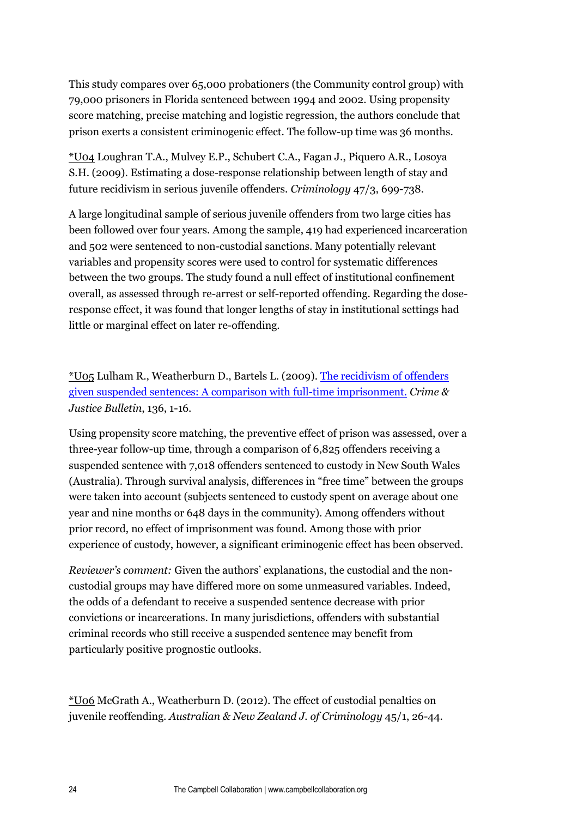This study compares over 65,000 probationers (the Community control group) with 79,000 prisoners in Florida sentenced between 1994 and 2002. Using propensity score matching, precise matching and logistic regression, the authors conclude that prison exerts a consistent criminogenic effect. The follow-up time was 36 months.

\*U04 Loughran T.A., Mulvey E.P., Schubert C.A., Fagan J., Piquero A.R., Losoya S.H. (2009). Estimating a dose-response relationship between length of stay and future recidivism in serious juvenile offenders. *Criminology* 47/3, 699-738.

A large longitudinal sample of serious juvenile offenders from two large cities has been followed over four years. Among the sample, 419 had experienced incarceration and 502 were sentenced to non-custodial sanctions. Many potentially relevant variables and propensity scores were used to control for systematic differences between the two groups. The study found a null effect of institutional confinement overall, as assessed through re-arrest or self-reported offending. Regarding the doseresponse effect, it was found that longer lengths of stay in institutional settings had little or marginal effect on later re-offending.

\*U05 Lulham R., Weatherburn D., Bartels L. (2009). [The recidivism of offenders](http://web.b.ebscohost.com/ehost/viewarticle?data=dGJyMPPp44rp2%2FdV0%2Bnjisfk5Ie46a9Krq%2BxSrak63nn5Kx95uXxjL6prUmwpbBIr6qeTbipt1Kzqp5Zy5zyit%2Fk8Xnh6ueH7N%2FiVbCmtE6zqrdIsZzqeezdu37wnOJ6u9noeaTq33%2B7t8w%2B3%2BS7TLaqtki0r7E%2B5OXwhd%2Fqu37z4uqM4%2B7y&hid=121)  [given suspended sentences: A comparison with full-time imprisonment.](http://web.b.ebscohost.com/ehost/viewarticle?data=dGJyMPPp44rp2%2FdV0%2Bnjisfk5Ie46a9Krq%2BxSrak63nn5Kx95uXxjL6prUmwpbBIr6qeTbipt1Kzqp5Zy5zyit%2Fk8Xnh6ueH7N%2FiVbCmtE6zqrdIsZzqeezdu37wnOJ6u9noeaTq33%2B7t8w%2B3%2BS7TLaqtki0r7E%2B5OXwhd%2Fqu37z4uqM4%2B7y&hid=121) *Crime & Justice Bulletin*, 136, 1-16.

Using propensity score matching, the preventive effect of prison was assessed, over a three-year follow-up time, through a comparison of 6,825 offenders receiving a suspended sentence with 7,018 offenders sentenced to custody in New South Wales (Australia). Through survival analysis, differences in "free time" between the groups were taken into account (subjects sentenced to custody spent on average about one year and nine months or 648 days in the community). Among offenders without prior record, no effect of imprisonment was found. Among those with prior experience of custody, however, a significant criminogenic effect has been observed.

*Reviewer's comment:* Given the authors' explanations, the custodial and the noncustodial groups may have differed more on some unmeasured variables. Indeed, the odds of a defendant to receive a suspended sentence decrease with prior convictions or incarcerations. In many jurisdictions, offenders with substantial criminal records who still receive a suspended sentence may benefit from particularly positive prognostic outlooks.

\*U06 McGrath A., Weatherburn D. (2012). The effect of custodial penalties on juvenile reoffending. *Australian & New Zealand J. of Criminology* 45/1, 26-44.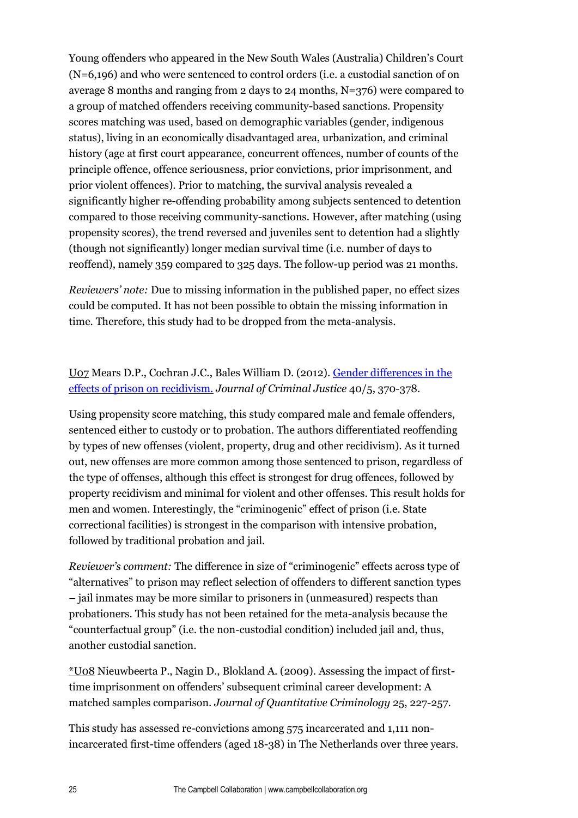Young offenders who appeared in the New South Wales (Australia) Children's Court (N=6,196) and who were sentenced to control orders (i.e. a custodial sanction of on average 8 months and ranging from 2 days to 24 months, N=376) were compared to a group of matched offenders receiving community-based sanctions. Propensity scores matching was used, based on demographic variables (gender, indigenous status), living in an economically disadvantaged area, urbanization, and criminal history (age at first court appearance, concurrent offences, number of counts of the principle offence, offence seriousness, prior convictions, prior imprisonment, and prior violent offences). Prior to matching, the survival analysis revealed a significantly higher re-offending probability among subjects sentenced to detention compared to those receiving community-sanctions. However, after matching (using propensity scores), the trend reversed and juveniles sent to detention had a slightly (though not significantly) longer median survival time (i.e. number of days to reoffend), namely 359 compared to 325 days. The follow-up period was 21 months.

*Reviewers' note:* Due to missing information in the published paper, no effect sizes could be computed. It has not been possible to obtain the missing information in time. Therefore, this study had to be dropped from the meta-analysis.

#### U07 Mears D.P., Cochran J.C., Bales William D. (2012). [Gender differences in the](http://web.b.ebscohost.com/ehost/viewarticle?data=dGJyMPPp44rp2%2FdV0%2Bnjisfk5Ie46a9Krq%2BxSrak63nn5Kx95uXxjL6prUmwpbBIr6qeTbipt1Kzqp5Zy5zyit%2Fk8Xnh6ueH7N%2FiVbCmtE6zqrdIsZzqeezdu37wnOJ6u9noeaTq33%2B7t8w%2B3%2BS7T7anskuyrLc%2B5OXwhd%2Fqu37z4uqM4%2B7y&hid=121)  [effects of prison on recidivism.](http://web.b.ebscohost.com/ehost/viewarticle?data=dGJyMPPp44rp2%2FdV0%2Bnjisfk5Ie46a9Krq%2BxSrak63nn5Kx95uXxjL6prUmwpbBIr6qeTbipt1Kzqp5Zy5zyit%2Fk8Xnh6ueH7N%2FiVbCmtE6zqrdIsZzqeezdu37wnOJ6u9noeaTq33%2B7t8w%2B3%2BS7T7anskuyrLc%2B5OXwhd%2Fqu37z4uqM4%2B7y&hid=121) *Journal of Criminal Justice* 40/5, 370-378.

Using propensity score matching, this study compared male and female offenders, sentenced either to custody or to probation. The authors differentiated reoffending by types of new offenses (violent, property, drug and other recidivism). As it turned out, new offenses are more common among those sentenced to prison, regardless of the type of offenses, although this effect is strongest for drug offences, followed by property recidivism and minimal for violent and other offenses. This result holds for men and women. Interestingly, the "criminogenic" effect of prison (i.e. State correctional facilities) is strongest in the comparison with intensive probation, followed by traditional probation and jail.

*Reviewer's comment:* The difference in size of "criminogenic" effects across type of "alternatives" to prison may reflect selection of offenders to different sanction types – jail inmates may be more similar to prisoners in (unmeasured) respects than probationers. This study has not been retained for the meta-analysis because the "counterfactual group" (i.e. the non-custodial condition) included jail and, thus, another custodial sanction.

\*U08 Nieuwbeerta P., Nagin D., Blokland A. (2009). Assessing the impact of firsttime imprisonment on offenders' subsequent criminal career development: A matched samples comparison. *Journal of Quantitative Criminology* 25, 227-257.

This study has assessed re-convictions among 575 incarcerated and 1,111 nonincarcerated first-time offenders (aged 18-38) in The Netherlands over three years.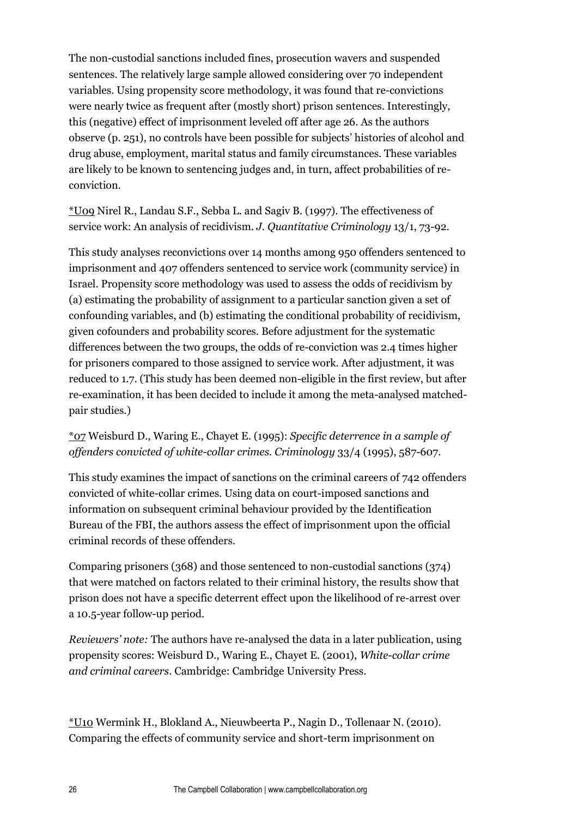The non-custodial sanctions included fines, prosecution wavers and suspended sentences. The relatively large sample allowed considering over 70 independent variables. Using propensity score methodology, it was found that re-convictions were nearly twice as frequent after (mostly short) prison sentences. Interestingly, this (negative) effect of imprisonment leveled off after age 26. As the authors observe (p. 251), no controls have been possible for subjects' histories of alcohol and drug abuse, employment, marital status and family circumstances. These variables are likely to be known to sentencing judges and, in turn, affect probabilities of reconviction.

\*U09 Nirel R., Landau S.F., Sebba L. and Sagiv B. (1997). The effectiveness of service work: An analysis of recidivism. *J. Quantitative Criminology* 13/1, 73-92.

This study analyses reconvictions over 14 months among 950 offenders sentenced to imprisonment and 407 offenders sentenced to service work (community service) in Israel. Propensity score methodology was used to assess the odds of recidivism by (a) estimating the probability of assignment to a particular sanction given a set of confounding variables, and (b) estimating the conditional probability of recidivism, given cofounders and probability scores. Before adjustment for the systematic differences between the two groups, the odds of re-conviction was 2.4 times higher for prisoners compared to those assigned to service work. After adjustment, it was reduced to 1.7. (This study has been deemed non-eligible in the first review, but after re-examination, it has been decided to include it among the meta-analysed matchedpair studies.)

#### \*07 Weisburd D., Waring E., Chayet E. (1995): *Specific deterrence in a sample of offenders convicted of white-collar crimes. Criminology* 33/4 (1995), 587-607.

This study examines the impact of sanctions on the criminal careers of 742 offenders convicted of white-collar crimes. Using data on court-imposed sanctions and information on subsequent criminal behaviour provided by the Identification Bureau of the FBI, the authors assess the effect of imprisonment upon the official criminal records of these offenders.

Comparing prisoners (368) and those sentenced to non-custodial sanctions (374) that were matched on factors related to their criminal history, the results show that prison does not have a specific deterrent effect upon the likelihood of re-arrest over a 10.5-year follow-up period.

*Reviewers' note:* The authors have re-analysed the data in a later publication, using propensity scores: Weisburd D., Waring E., Chayet E. (2001), *White-collar crime and criminal careers*. Cambridge: Cambridge University Press.

\*U10 Wermink H., Blokland A., Nieuwbeerta P., Nagin D., Tollenaar N. (2010). Comparing the effects of community service and short-term imprisonment on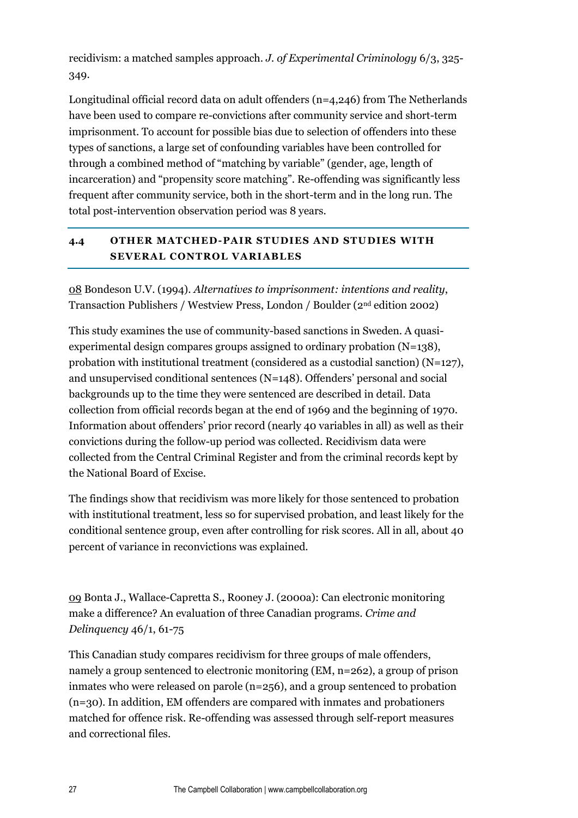recidivism: a matched samples approach. *J. of Experimental Criminology* 6/3, 325- 349.

Longitudinal official record data on adult offenders ( $n=4,246$ ) from The Netherlands have been used to compare re-convictions after community service and short-term imprisonment. To account for possible bias due to selection of offenders into these types of sanctions, a large set of confounding variables have been controlled for through a combined method of "matching by variable" (gender, age, length of incarceration) and "propensity score matching". Re-offending was significantly less frequent after community service, both in the short-term and in the long run. The total post-intervention observation period was 8 years.

#### <span id="page-26-0"></span>**4.4 OTHER MATCHED-PAIR STUDIES AND STUDIES WITH SEVERAL CONTROL VARIABLES**

08 Bondeson U.V. (1994). *Alternatives to imprisonment: intentions and reality*, Transaction Publishers / Westview Press, London / Boulder (2nd edition 2002)

This study examines the use of community-based sanctions in Sweden. A quasiexperimental design compares groups assigned to ordinary probation  $(N=138)$ , probation with institutional treatment (considered as a custodial sanction)  $(N=127)$ , and unsupervised conditional sentences (N=148). Offenders' personal and social backgrounds up to the time they were sentenced are described in detail. Data collection from official records began at the end of 1969 and the beginning of 1970. Information about offenders' prior record (nearly 40 variables in all) as well as their convictions during the follow-up period was collected. Recidivism data were collected from the Central Criminal Register and from the criminal records kept by the National Board of Excise.

The findings show that recidivism was more likely for those sentenced to probation with institutional treatment, less so for supervised probation, and least likely for the conditional sentence group, even after controlling for risk scores. All in all, about 40 percent of variance in reconvictions was explained.

09 Bonta J., Wallace-Capretta S., Rooney J. (2000a): Can electronic monitoring make a difference? An evaluation of three Canadian programs. *Crime and Delinquency* 46/1, 61-75

This Canadian study compares recidivism for three groups of male offenders, namely a group sentenced to electronic monitoring (EM, n=262), a group of prison inmates who were released on parole (n=256), and a group sentenced to probation (n=30). In addition, EM offenders are compared with inmates and probationers matched for offence risk. Re-offending was assessed through self-report measures and correctional files.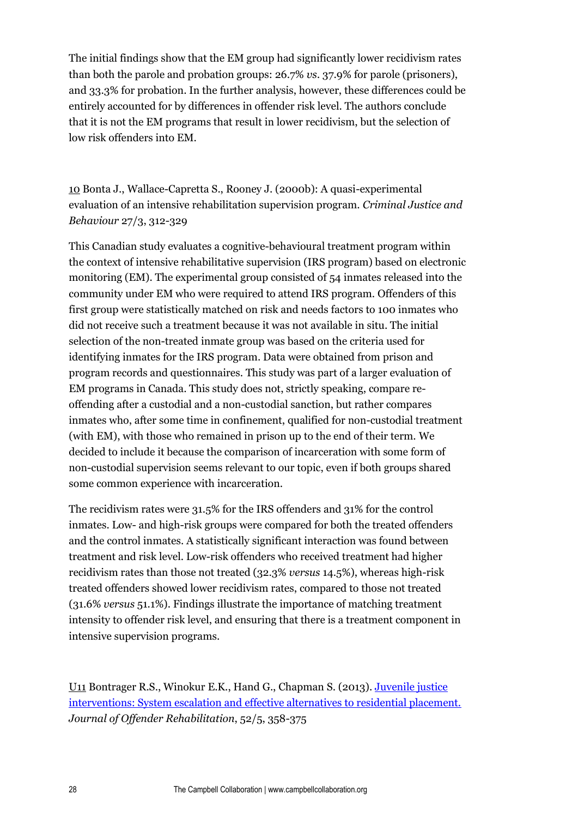The initial findings show that the EM group had significantly lower recidivism rates than both the parole and probation groups: 26.7% *vs.* 37.9% for parole (prisoners), and 33.3% for probation. In the further analysis, however, these differences could be entirely accounted for by differences in offender risk level. The authors conclude that it is not the EM programs that result in lower recidivism, but the selection of low risk offenders into EM.

10 Bonta J., Wallace-Capretta S., Rooney J. (2000b): A quasi-experimental evaluation of an intensive rehabilitation supervision program. *Criminal Justice and Behaviour* 27/3, 312-329

This Canadian study evaluates a cognitive-behavioural treatment program within the context of intensive rehabilitative supervision (IRS program) based on electronic monitoring (EM). The experimental group consisted of 54 inmates released into the community under EM who were required to attend IRS program. Offenders of this first group were statistically matched on risk and needs factors to 100 inmates who did not receive such a treatment because it was not available in situ. The initial selection of the non-treated inmate group was based on the criteria used for identifying inmates for the IRS program. Data were obtained from prison and program records and questionnaires. This study was part of a larger evaluation of EM programs in Canada. This study does not, strictly speaking, compare reoffending after a custodial and a non-custodial sanction, but rather compares inmates who, after some time in confinement, qualified for non-custodial treatment (with EM), with those who remained in prison up to the end of their term. We decided to include it because the comparison of incarceration with some form of non-custodial supervision seems relevant to our topic, even if both groups shared some common experience with incarceration.

The recidivism rates were 31.5% for the IRS offenders and 31% for the control inmates. Low- and high-risk groups were compared for both the treated offenders and the control inmates. A statistically significant interaction was found between treatment and risk level. Low-risk offenders who received treatment had higher recidivism rates than those not treated (32.3% *versus* 14.5%), whereas high-risk treated offenders showed lower recidivism rates, compared to those not treated (31.6% *versus* 51.1%). Findings illustrate the importance of matching treatment intensity to offender risk level, and ensuring that there is a treatment component in intensive supervision programs.

U11 Bontrager R.S., Winokur E.K., Hand G., Chapman S. (2013). [Juvenile justice](http://web.b.ebscohost.com/ehost/viewarticle?data=dGJyMPPp44rp2%2FdV0%2Bnjisfk5Ie46a9Krq%2BxSrak63nn5Kx95uXxjL6prUmwpbBIr6qeTbipt1Kzqp5Zy5zyit%2Fk8Xnh6ueH7N%2FiVbCmtE6zqrdIsZzqeezdu37wnOJ6u9noeaTq33%2B7t8w%2B3%2BS7ULavs02yqLM%2B5OXwhd%2Fqu37z4uqM4%2B7y&hid=121)  [interventions: System escalation and effective alternatives to residential placement.](http://web.b.ebscohost.com/ehost/viewarticle?data=dGJyMPPp44rp2%2FdV0%2Bnjisfk5Ie46a9Krq%2BxSrak63nn5Kx95uXxjL6prUmwpbBIr6qeTbipt1Kzqp5Zy5zyit%2Fk8Xnh6ueH7N%2FiVbCmtE6zqrdIsZzqeezdu37wnOJ6u9noeaTq33%2B7t8w%2B3%2BS7ULavs02yqLM%2B5OXwhd%2Fqu37z4uqM4%2B7y&hid=121) *Journal of Offender Rehabilitation*, 52/5, 358-375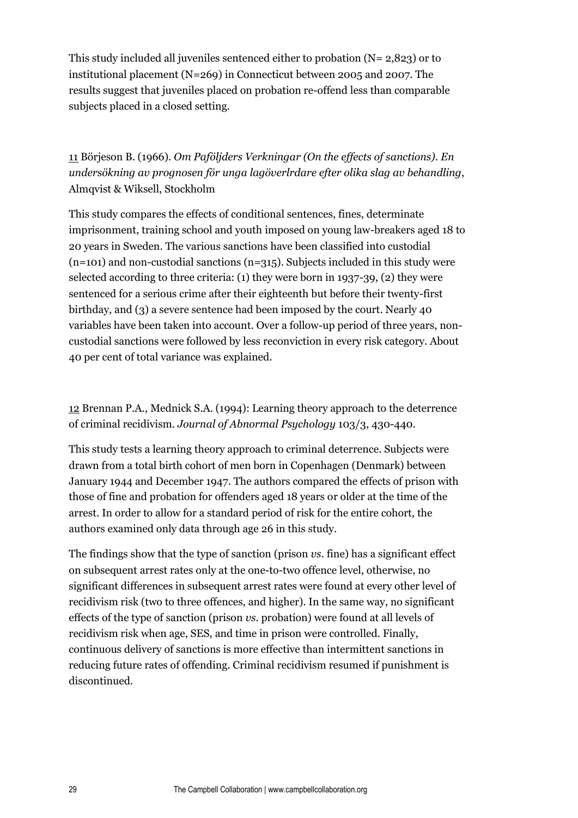This study included all juveniles sentenced either to probation (N= 2,823) or to institutional placement (N=269) in Connecticut between 2005 and 2007. The results suggest that juveniles placed on probation re-offend less than comparable subjects placed in a closed setting.

11 Börjeson B. (1966). *Om Paföljders Verkningar (On the effects of sanctions). En undersökning av prognosen för unga lagöverlrdare efter olika slag av behandling*, Almqvist & Wiksell, Stockholm

This study compares the effects of conditional sentences, fines, determinate imprisonment, training school and youth imposed on young law-breakers aged 18 to 20 years in Sweden. The various sanctions have been classified into custodial  $(n=101)$  and non-custodial sanctions  $(n=315)$ . Subjects included in this study were selected according to three criteria: (1) they were born in 1937-39, (2) they were sentenced for a serious crime after their eighteenth but before their twenty-first birthday, and (3) a severe sentence had been imposed by the court. Nearly 40 variables have been taken into account. Over a follow-up period of three years, noncustodial sanctions were followed by less reconviction in every risk category. About 40 per cent of total variance was explained.

12 Brennan P.A., Mednick S.A. (1994): Learning theory approach to the deterrence of criminal recidivism. *Journal of Abnormal Psychology* 103/3, 430-440.

This study tests a learning theory approach to criminal deterrence. Subjects were drawn from a total birth cohort of men born in Copenhagen (Denmark) between January 1944 and December 1947. The authors compared the effects of prison with those of fine and probation for offenders aged 18 years or older at the time of the arrest. In order to allow for a standard period of risk for the entire cohort, the authors examined only data through age 26 in this study.

The findings show that the type of sanction (prison *vs*. fine) has a significant effect on subsequent arrest rates only at the one-to-two offence level, otherwise, no significant differences in subsequent arrest rates were found at every other level of recidivism risk (two to three offences, and higher). In the same way, no significant effects of the type of sanction (prison *vs.* probation) were found at all levels of recidivism risk when age, SES, and time in prison were controlled. Finally, continuous delivery of sanctions is more effective than intermittent sanctions in reducing future rates of offending. Criminal recidivism resumed if punishment is discontinued.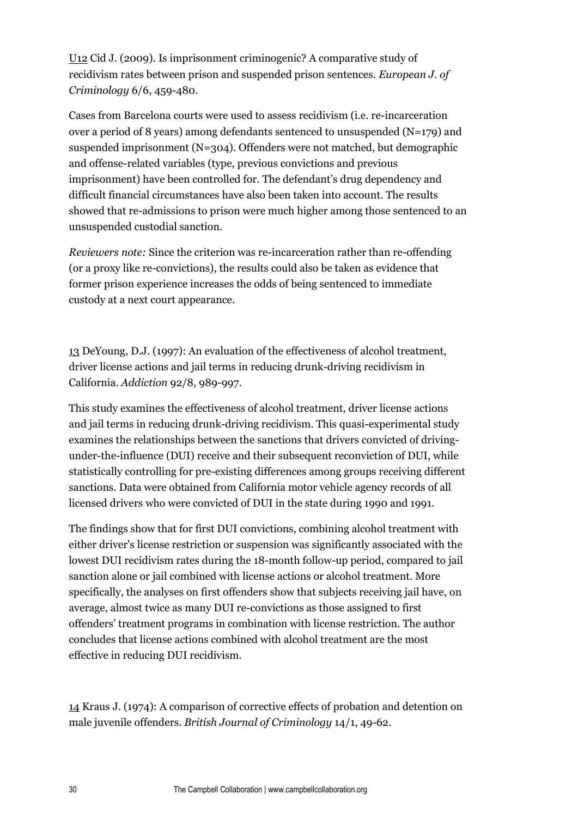U12 Cid J. (2009). Is imprisonment criminogenic? A comparative study of recidivism rates between prison and suspended prison sentences. *European J. of Criminology* 6/6, 459-480.

Cases from Barcelona courts were used to assess recidivism (i.e. re-incarceration over a period of 8 years) among defendants sentenced to unsuspended (N=179) and suspended imprisonment (N=304). Offenders were not matched, but demographic and offense-related variables (type, previous convictions and previous imprisonment) have been controlled for. The defendant's drug dependency and difficult financial circumstances have also been taken into account. The results showed that re-admissions to prison were much higher among those sentenced to an unsuspended custodial sanction.

*Reviewers note:* Since the criterion was re-incarceration rather than re-offending (or a proxy like re-convictions), the results could also be taken as evidence that former prison experience increases the odds of being sentenced to immediate custody at a next court appearance.

13 DeYoung, D.J. (1997): An evaluation of the effectiveness of alcohol treatment, driver license actions and jail terms in reducing drunk-driving recidivism in California. *Addiction* 92/8, 989-997.

This study examines the effectiveness of alcohol treatment, driver license actions and jail terms in reducing drunk-driving recidivism. This quasi-experimental study examines the relationships between the sanctions that drivers convicted of drivingunder-the-influence (DUI) receive and their subsequent reconviction of DUI, while statistically controlling for pre-existing differences among groups receiving different sanctions. Data were obtained from California motor vehicle agency records of all licensed drivers who were convicted of DUI in the state during 1990 and 1991.

The findings show that for first DUI convictions, combining alcohol treatment with either driver's license restriction or suspension was significantly associated with the lowest DUI recidivism rates during the 18-month follow-up period, compared to jail sanction alone or jail combined with license actions or alcohol treatment. More specifically, the analyses on first offenders show that subjects receiving jail have, on average, almost twice as many DUI re-convictions as those assigned to first offenders' treatment programs in combination with license restriction. The author concludes that license actions combined with alcohol treatment are the most effective in reducing DUI recidivism.

14 Kraus J. (1974): A comparison of corrective effects of probation and detention on male juvenile offenders. *British Journal of Criminology* 14/1, 49-62.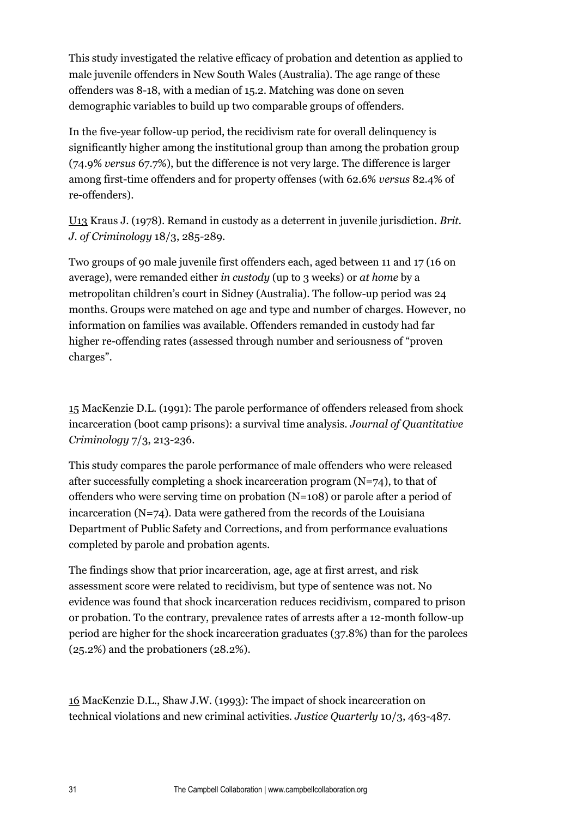This study investigated the relative efficacy of probation and detention as applied to male juvenile offenders in New South Wales (Australia). The age range of these offenders was 8-18, with a median of 15.2. Matching was done on seven demographic variables to build up two comparable groups of offenders.

In the five-year follow-up period, the recidivism rate for overall delinquency is significantly higher among the institutional group than among the probation group (74.9% *versus* 67.7%), but the difference is not very large. The difference is larger among first-time offenders and for property offenses (with 62.6% *versus* 82.4% of re-offenders).

U13 Kraus J. (1978). Remand in custody as a deterrent in juvenile jurisdiction. *Brit. J. of Criminology* 18/3, 285-289.

Two groups of 90 male juvenile first offenders each, aged between 11 and 17 (16 on average), were remanded either *in custody* (up to 3 weeks) or *at home* by a metropolitan children's court in Sidney (Australia). The follow-up period was 24 months. Groups were matched on age and type and number of charges. However, no information on families was available. Offenders remanded in custody had far higher re-offending rates (assessed through number and seriousness of "proven charges".

15 MacKenzie D.L. (1991): The parole performance of offenders released from shock incarceration (boot camp prisons): a survival time analysis. *Journal of Quantitative Criminology* 7/3, 213-236.

This study compares the parole performance of male offenders who were released after successfully completing a shock incarceration program  $(N=74)$ , to that of offenders who were serving time on probation (N=108) or parole after a period of incarceration  $(N=74)$ . Data were gathered from the records of the Louisiana Department of Public Safety and Corrections, and from performance evaluations completed by parole and probation agents.

The findings show that prior incarceration, age, age at first arrest, and risk assessment score were related to recidivism, but type of sentence was not. No evidence was found that shock incarceration reduces recidivism, compared to prison or probation. To the contrary, prevalence rates of arrests after a 12-month follow-up period are higher for the shock incarceration graduates (37.8%) than for the parolees (25.2%) and the probationers (28.2%).

16 MacKenzie D.L., Shaw J.W. (1993): The impact of shock incarceration on technical violations and new criminal activities. *Justice Quarterly* 10/3, 463-487.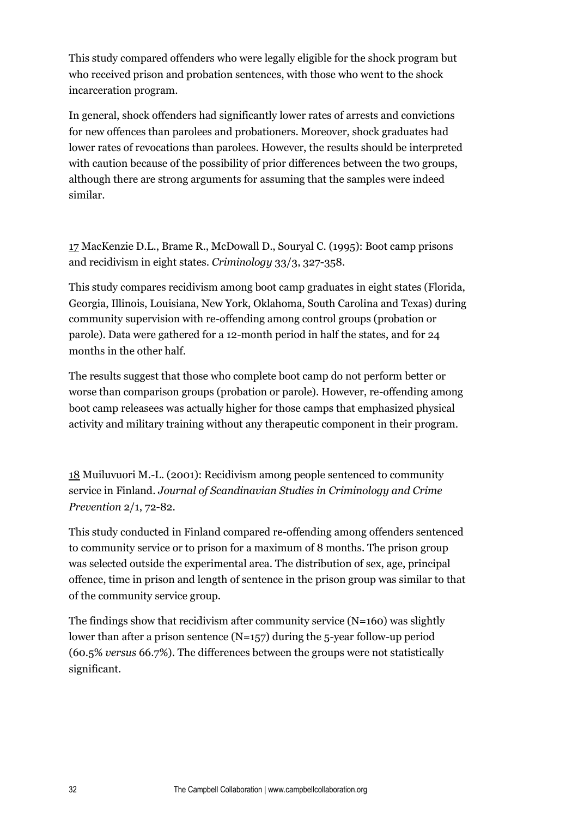This study compared offenders who were legally eligible for the shock program but who received prison and probation sentences, with those who went to the shock incarceration program.

In general, shock offenders had significantly lower rates of arrests and convictions for new offences than parolees and probationers. Moreover, shock graduates had lower rates of revocations than parolees. However, the results should be interpreted with caution because of the possibility of prior differences between the two groups, although there are strong arguments for assuming that the samples were indeed similar.

17 MacKenzie D.L., Brame R., McDowall D., Souryal C. (1995): Boot camp prisons and recidivism in eight states. *Criminology* 33/3, 327-358.

This study compares recidivism among boot camp graduates in eight states (Florida, Georgia, Illinois, Louisiana, New York, Oklahoma, South Carolina and Texas) during community supervision with re-offending among control groups (probation or parole). Data were gathered for a 12-month period in half the states, and for 24 months in the other half.

The results suggest that those who complete boot camp do not perform better or worse than comparison groups (probation or parole). However, re-offending among boot camp releasees was actually higher for those camps that emphasized physical activity and military training without any therapeutic component in their program.

18 Muiluvuori M.-L. (2001): Recidivism among people sentenced to community service in Finland. *Journal of Scandinavian Studies in Criminology and Crime Prevention* 2/1, 72-82.

This study conducted in Finland compared re-offending among offenders sentenced to community service or to prison for a maximum of 8 months. The prison group was selected outside the experimental area. The distribution of sex, age, principal offence, time in prison and length of sentence in the prison group was similar to that of the community service group.

The findings show that recidivism after community service (N=160) was slightly lower than after a prison sentence  $(N=157)$  during the 5-year follow-up period (60.5% *versus* 66.7%). The differences between the groups were not statistically significant.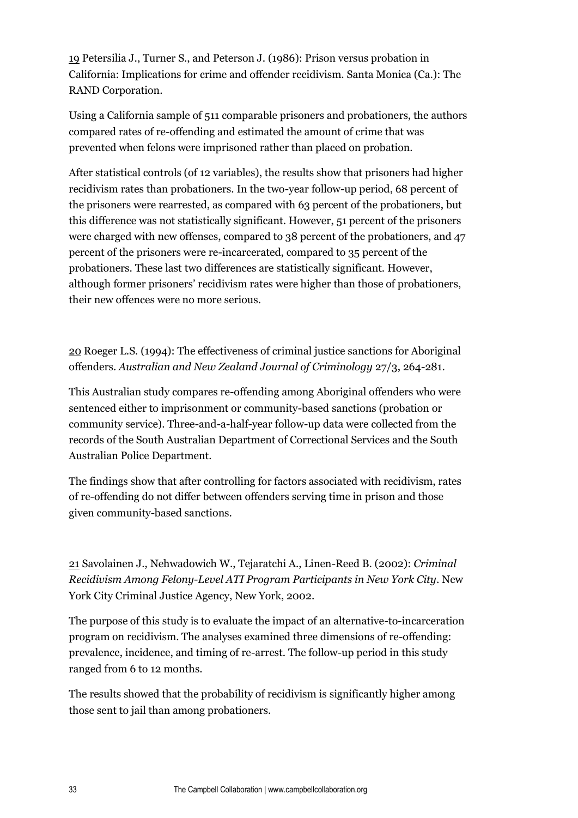19 Petersilia J., Turner S., and Peterson J. (1986): Prison versus probation in California: Implications for crime and offender recidivism. Santa Monica (Ca.): The RAND Corporation.

Using a California sample of 511 comparable prisoners and probationers, the authors compared rates of re-offending and estimated the amount of crime that was prevented when felons were imprisoned rather than placed on probation.

After statistical controls (of 12 variables), the results show that prisoners had higher recidivism rates than probationers. In the two-year follow-up period, 68 percent of the prisoners were rearrested, as compared with 63 percent of the probationers, but this difference was not statistically significant. However, 51 percent of the prisoners were charged with new offenses, compared to 38 percent of the probationers, and 47 percent of the prisoners were re-incarcerated, compared to 35 percent of the probationers. These last two differences are statistically significant. However, although former prisoners' recidivism rates were higher than those of probationers, their new offences were no more serious.

20 Roeger L.S. (1994): The effectiveness of criminal justice sanctions for Aboriginal offenders. *Australian and New Zealand Journal of Criminology* 27/3, 264-281.

This Australian study compares re-offending among Aboriginal offenders who were sentenced either to imprisonment or community-based sanctions (probation or community service). Three-and-a-half-year follow-up data were collected from the records of the South Australian Department of Correctional Services and the South Australian Police Department.

The findings show that after controlling for factors associated with recidivism, rates of re-offending do not differ between offenders serving time in prison and those given community-based sanctions.

21 Savolainen J., Nehwadowich W., Tejaratchi A., Linen-Reed B. (2002): *Criminal Recidivism Among Felony-Level ATI Program Participants in New York City*. New York City Criminal Justice Agency, New York, 2002.

The purpose of this study is to evaluate the impact of an alternative-to-incarceration program on recidivism. The analyses examined three dimensions of re-offending: prevalence, incidence, and timing of re-arrest. The follow-up period in this study ranged from 6 to 12 months.

The results showed that the probability of recidivism is significantly higher among those sent to jail than among probationers.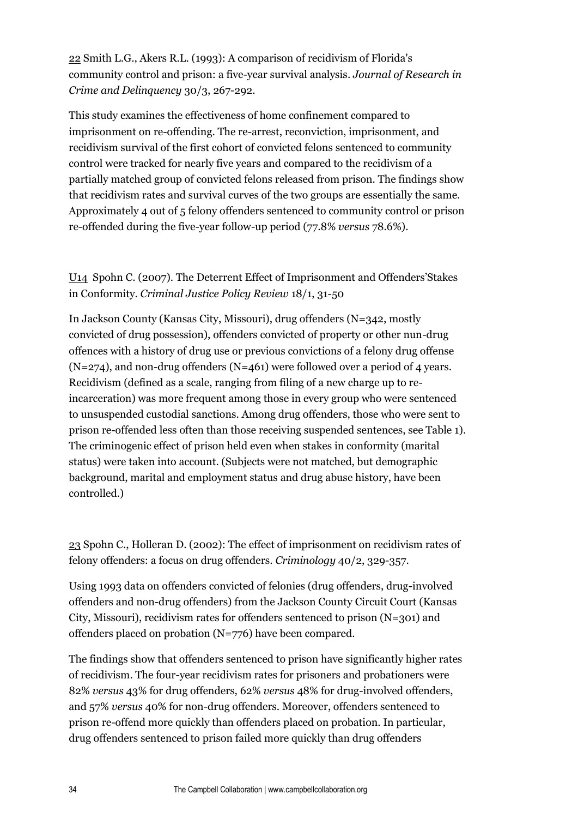22 Smith L.G., Akers R.L. (1993): A comparison of recidivism of Florida's community control and prison: a five-year survival analysis. *Journal of Research in Crime and Delinquency* 30/3, 267-292.

This study examines the effectiveness of home confinement compared to imprisonment on re-offending. The re-arrest, reconviction, imprisonment, and recidivism survival of the first cohort of convicted felons sentenced to community control were tracked for nearly five years and compared to the recidivism of a partially matched group of convicted felons released from prison. The findings show that recidivism rates and survival curves of the two groups are essentially the same. Approximately 4 out of 5 felony offenders sentenced to community control or prison re-offended during the five-year follow-up period (77.8% *versus* 78.6%).

#### U14 Spohn C. (2007). The Deterrent Effect of Imprisonment and Offenders'Stakes in Conformity. *Criminal Justice Policy Review* 18/1, 31-50

In Jackson County (Kansas City, Missouri), drug offenders (N=342, mostly convicted of drug possession), offenders convicted of property or other nun-drug offences with a history of drug use or previous convictions of a felony drug offense (N=274), and non-drug offenders (N=461) were followed over a period of 4 years. Recidivism (defined as a scale, ranging from filing of a new charge up to reincarceration) was more frequent among those in every group who were sentenced to unsuspended custodial sanctions. Among drug offenders, those who were sent to prison re-offended less often than those receiving suspended sentences, see Table 1). The criminogenic effect of prison held even when stakes in conformity (marital status) were taken into account. (Subjects were not matched, but demographic background, marital and employment status and drug abuse history, have been controlled.)

23 Spohn C., Holleran D. (2002): The effect of imprisonment on recidivism rates of felony offenders: a focus on drug offenders. *Criminology* 40/2, 329-357.

Using 1993 data on offenders convicted of felonies (drug offenders, drug-involved offenders and non-drug offenders) from the Jackson County Circuit Court (Kansas City, Missouri), recidivism rates for offenders sentenced to prison (N=301) and offenders placed on probation (N=776) have been compared.

The findings show that offenders sentenced to prison have significantly higher rates of recidivism. The four-year recidivism rates for prisoners and probationers were 82% *versus* 43% for drug offenders, 62% *versus* 48% for drug-involved offenders, and 57% *versus* 40% for non-drug offenders. Moreover, offenders sentenced to prison re-offend more quickly than offenders placed on probation. In particular, drug offenders sentenced to prison failed more quickly than drug offenders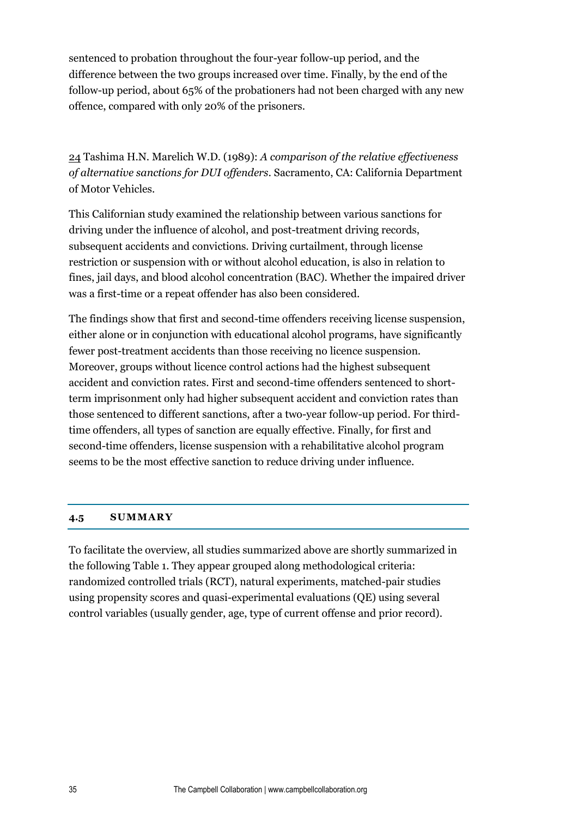sentenced to probation throughout the four-year follow-up period, and the difference between the two groups increased over time. Finally, by the end of the follow-up period, about 65% of the probationers had not been charged with any new offence, compared with only 20% of the prisoners.

24 Tashima H.N. Marelich W.D. (1989): *A comparison of the relative effectiveness of alternative sanctions for DUI offenders.* Sacramento, CA: California Department of Motor Vehicles.

This Californian study examined the relationship between various sanctions for driving under the influence of alcohol, and post-treatment driving records, subsequent accidents and convictions. Driving curtailment, through license restriction or suspension with or without alcohol education, is also in relation to fines, jail days, and blood alcohol concentration (BAC). Whether the impaired driver was a first-time or a repeat offender has also been considered.

The findings show that first and second-time offenders receiving license suspension, either alone or in conjunction with educational alcohol programs, have significantly fewer post-treatment accidents than those receiving no licence suspension. Moreover, groups without licence control actions had the highest subsequent accident and conviction rates. First and second-time offenders sentenced to shortterm imprisonment only had higher subsequent accident and conviction rates than those sentenced to different sanctions, after a two-year follow-up period. For thirdtime offenders, all types of sanction are equally effective. Finally, for first and second-time offenders, license suspension with a rehabilitative alcohol program seems to be the most effective sanction to reduce driving under influence.

#### <span id="page-34-0"></span>**4.5 SUMMARY**

To facilitate the overview, all studies summarized above are shortly summarized in the following Table 1. They appear grouped along methodological criteria: randomized controlled trials (RCT), natural experiments, matched-pair studies using propensity scores and quasi-experimental evaluations (QE) using several control variables (usually gender, age, type of current offense and prior record).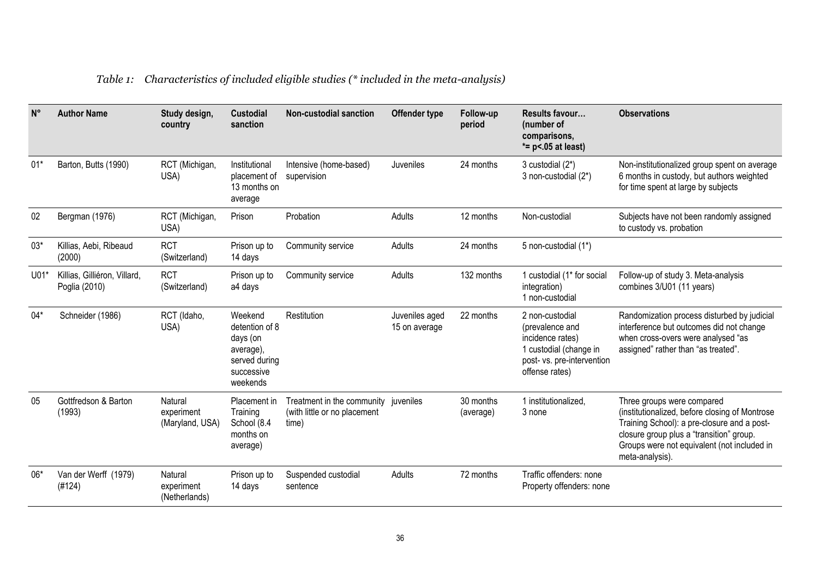| $N^{\circ}$ | <b>Author Name</b>                            | Study design,<br>country                 | <b>Custodial</b><br>sanction                                                                  | <b>Non-custodial sanction</b>                                                 | Offender type                   | Follow-up<br>period    | Results favour<br>(number of<br>comparisons,<br>$* = p < .05$ at least)                                                          | <b>Observations</b>                                                                                                                                                                                                                       |
|-------------|-----------------------------------------------|------------------------------------------|-----------------------------------------------------------------------------------------------|-------------------------------------------------------------------------------|---------------------------------|------------------------|----------------------------------------------------------------------------------------------------------------------------------|-------------------------------------------------------------------------------------------------------------------------------------------------------------------------------------------------------------------------------------------|
| $01*$       | Barton, Butts (1990)                          | RCT (Michigan,<br>USA)                   | Institutional<br>placement of<br>13 months on<br>average                                      | Intensive (home-based)<br>supervision                                         | <b>Juveniles</b>                | 24 months              | 3 custodial (2*)<br>3 non-custodial (2*)                                                                                         | Non-institutionalized group spent on average<br>6 months in custody, but authors weighted<br>for time spent at large by subjects                                                                                                          |
| 02          | Bergman (1976)                                | RCT (Michigan,<br>USA)                   | Prison                                                                                        | Probation                                                                     | Adults                          | 12 months              | Non-custodial                                                                                                                    | Subjects have not been randomly assigned<br>to custody vs. probation                                                                                                                                                                      |
| $03*$       | Killias, Aebi, Ribeaud<br>(2000)              | <b>RCT</b><br>(Switzerland)              | Prison up to<br>14 days                                                                       | Community service                                                             | Adults                          | 24 months              | 5 non-custodial (1*)                                                                                                             |                                                                                                                                                                                                                                           |
| $U01*$      | Killias, Gilliéron, Villard,<br>Poglia (2010) | <b>RCT</b><br>(Switzerland)              | Prison up to<br>a4 days                                                                       | Community service                                                             | Adults                          | 132 months             | 1 custodial (1 <sup>*</sup> for social<br>integration)<br>1 non-custodial                                                        | Follow-up of study 3. Meta-analysis<br>combines 3/U01 (11 years)                                                                                                                                                                          |
| $04*$       | Schneider (1986)                              | RCT (Idaho,<br>USA)                      | Weekend<br>detention of 8<br>days (on<br>average),<br>served during<br>successive<br>weekends | Restitution                                                                   | Juveniles aged<br>15 on average | 22 months              | 2 non-custodial<br>(prevalence and<br>incidence rates)<br>1 custodial (change in<br>post- vs. pre-intervention<br>offense rates) | Randomization process disturbed by judicial<br>interference but outcomes did not change<br>when cross-overs were analysed "as<br>assigned" rather than "as treated".                                                                      |
| 05          | Gottfredson & Barton<br>(1993)                | Natural<br>experiment<br>(Maryland, USA) | Placement in<br>Training<br>School (8.4<br>months on<br>average)                              | Treatment in the community juveniles<br>(with little or no placement<br>time) |                                 | 30 months<br>(average) | 1 institutionalized,<br>3 none                                                                                                   | Three groups were compared<br>(institutionalized, before closing of Montrose<br>Training School): a pre-closure and a post-<br>closure group plus a "transition" group.<br>Groups were not equivalent (not included in<br>meta-analysis). |
| 06*         | Van der Werff (1979)<br>(#124)                | Natural<br>experiment<br>(Netherlands)   | Prison up to<br>14 days                                                                       | Suspended custodial<br>sentence                                               | Adults                          | 72 months              | Traffic offenders: none<br>Property offenders: none                                                                              |                                                                                                                                                                                                                                           |

### *Table 1: Characteristics of included eligible studies (\* included in the meta-analysis)*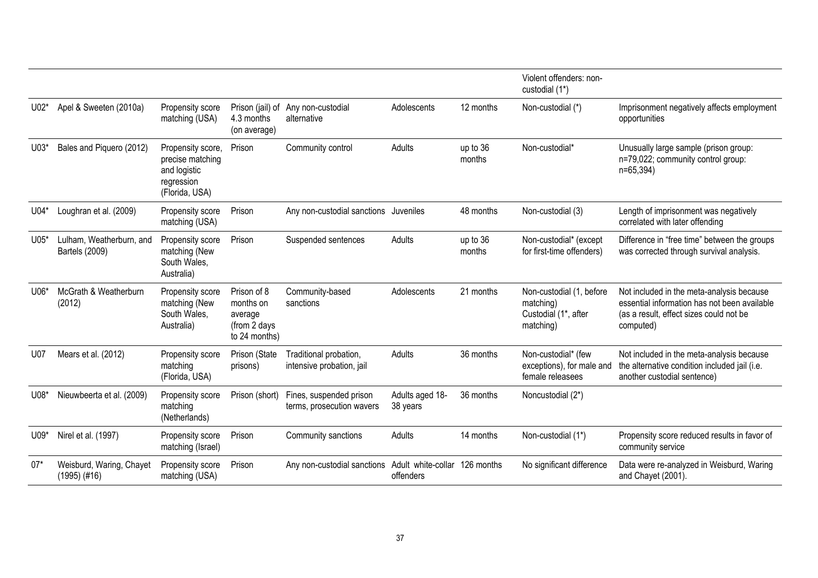|        |                                              |                                                                                       |                                                                      |                                                      |                             |                    | Violent offenders: non-<br>custodial (1*)                                  |                                                                                                                                                   |
|--------|----------------------------------------------|---------------------------------------------------------------------------------------|----------------------------------------------------------------------|------------------------------------------------------|-----------------------------|--------------------|----------------------------------------------------------------------------|---------------------------------------------------------------------------------------------------------------------------------------------------|
| $U02*$ | Apel & Sweeten (2010a)                       | Propensity score<br>matching (USA)                                                    | 4.3 months<br>(on average)                                           | Prison (jail) of Any non-custodial<br>alternative    | Adolescents                 | 12 months          | Non-custodial (*)                                                          | Imprisonment negatively affects employment<br>opportunities                                                                                       |
| $U03*$ | Bales and Piquero (2012)                     | Propensity score,<br>precise matching<br>and logistic<br>regression<br>(Florida, USA) | Prison                                                               | Community control                                    | Adults                      | up to 36<br>months | Non-custodial*                                                             | Unusually large sample (prison group:<br>n=79,022; community control group:<br>n=65,394)                                                          |
| $U04*$ | Loughran et al. (2009)                       | Propensity score<br>matching (USA)                                                    | Prison                                                               | Any non-custodial sanctions Juveniles                |                             | 48 months          | Non-custodial (3)                                                          | Length of imprisonment was negatively<br>correlated with later offending                                                                          |
| $U05*$ | Lulham, Weatherburn, and<br>Bartels (2009)   | Propensity score<br>matching (New<br>South Wales,<br>Australia)                       | Prison                                                               | Suspended sentences                                  | Adults                      | up to 36<br>months | Non-custodial* (except<br>for first-time offenders)                        | Difference in "free time" between the groups<br>was corrected through survival analysis.                                                          |
| $U06*$ | McGrath & Weatherburn<br>(2012)              | Propensity score<br>matching (New<br>South Wales,<br>Australia)                       | Prison of 8<br>months on<br>average<br>(from 2 days<br>to 24 months) | Community-based<br>sanctions                         | Adolescents                 | 21 months          | Non-custodial (1, before<br>matching)<br>Custodial (1*, after<br>matching) | Not included in the meta-analysis because<br>essential information has not been available<br>(as a result, effect sizes could not be<br>computed) |
| U07    | Mears et al. (2012)                          | Propensity score<br>matching<br>(Florida, USA)                                        | Prison (State<br>prisons)                                            | Traditional probation,<br>intensive probation, jail  | Adults                      | 36 months          | Non-custodial* (few<br>exceptions), for male and<br>female releasees       | Not included in the meta-analysis because<br>the alternative condition included jail (i.e.<br>another custodial sentence)                         |
| U08*   | Nieuwbeerta et al. (2009)                    | Propensity score<br>matching<br>(Netherlands)                                         | Prison (short)                                                       | Fines, suspended prison<br>terms, prosecution wavers | Adults aged 18-<br>38 years | 36 months          | Noncustodial (2*)                                                          |                                                                                                                                                   |
| U09*   | Nirel et al. (1997)                          | Propensity score<br>matching (Israel)                                                 | Prison                                                               | Community sanctions                                  | Adults                      | 14 months          | Non-custodial (1*)                                                         | Propensity score reduced results in favor of<br>community service                                                                                 |
| $07*$  | Weisburd, Waring, Chayet<br>$(1995)$ $(#16)$ | Propensity score<br>matching (USA)                                                    | Prison                                                               | Any non-custodial sanctions Adult white-collar       | offenders                   | 126 months         | No significant difference                                                  | Data were re-analyzed in Weisburd, Waring<br>and Chayet (2001).                                                                                   |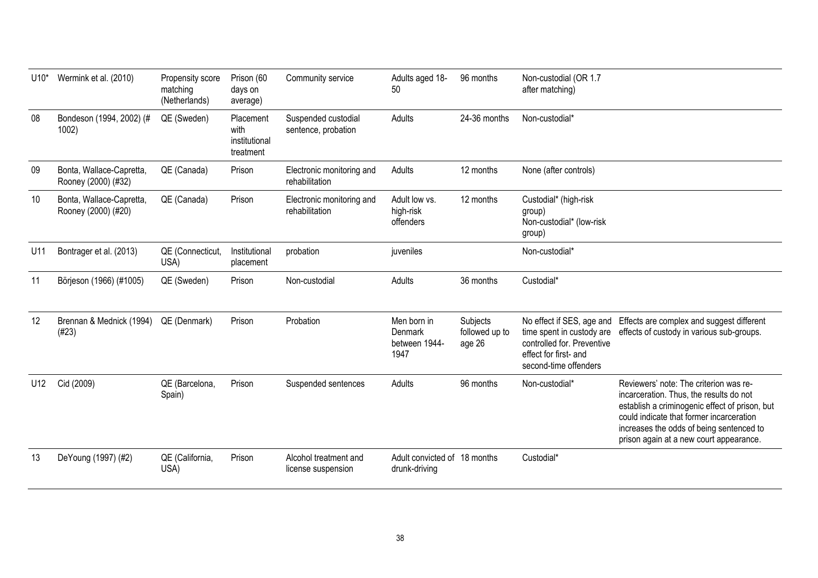| $U10*$ | Wermink et al. (2010)                           | Propensity score<br>matching<br>(Netherlands) | Prison (60<br>days on<br>average)               | Community service                           | Adults aged 18-<br>50                           | 96 months                            | Non-custodial (OR 1.7<br>after matching)                                                                                               |                                                                                                                                                                                                                                                                        |
|--------|-------------------------------------------------|-----------------------------------------------|-------------------------------------------------|---------------------------------------------|-------------------------------------------------|--------------------------------------|----------------------------------------------------------------------------------------------------------------------------------------|------------------------------------------------------------------------------------------------------------------------------------------------------------------------------------------------------------------------------------------------------------------------|
| 08     | Bondeson (1994, 2002) (#<br>1002)               | QE (Sweden)                                   | Placement<br>with<br>institutional<br>treatment | Suspended custodial<br>sentence, probation  | Adults                                          | 24-36 months                         | Non-custodial*                                                                                                                         |                                                                                                                                                                                                                                                                        |
| 09     | Bonta, Wallace-Capretta,<br>Rooney (2000) (#32) | QE (Canada)                                   | Prison                                          | Electronic monitoring and<br>rehabilitation | Adults                                          | 12 months                            | None (after controls)                                                                                                                  |                                                                                                                                                                                                                                                                        |
| 10     | Bonta, Wallace-Capretta,<br>Rooney (2000) (#20) | QE (Canada)                                   | Prison                                          | Electronic monitoring and<br>rehabilitation | Adult low vs.<br>high-risk<br>offenders         | 12 months                            | Custodial* (high-risk<br>group)<br>Non-custodial* (low-risk<br>group)                                                                  |                                                                                                                                                                                                                                                                        |
| U11    | Bontrager et al. (2013)                         | QE (Connecticut,<br>USA)                      | Institutional<br>placement                      | probation                                   | juveniles                                       |                                      | Non-custodial*                                                                                                                         |                                                                                                                                                                                                                                                                        |
| 11     | Börjeson (1966) (#1005)                         | QE (Sweden)                                   | Prison                                          | Non-custodial                               | Adults                                          | 36 months                            | Custodial*                                                                                                                             |                                                                                                                                                                                                                                                                        |
| 12     | Brennan & Mednick (1994)<br>(H23)               | QE (Denmark)                                  | Prison                                          | Probation                                   | Men born in<br>Denmark<br>between 1944-<br>1947 | Subjects<br>followed up to<br>age 26 | No effect if SES, age and<br>time spent in custody are<br>controlled for. Preventive<br>effect for first- and<br>second-time offenders | Effects are complex and suggest different<br>effects of custody in various sub-groups.                                                                                                                                                                                 |
| U12    | Cid (2009)                                      | QE (Barcelona,<br>Spain)                      | Prison                                          | Suspended sentences                         | Adults                                          | 96 months                            | Non-custodial*                                                                                                                         | Reviewers' note: The criterion was re-<br>incarceration. Thus, the results do not<br>establish a criminogenic effect of prison, but<br>could indicate that former incarceration<br>increases the odds of being sentenced to<br>prison again at a new court appearance. |
| 13     | DeYoung (1997) (#2)                             | QE (California,<br>USA)                       | Prison                                          | Alcohol treatment and<br>license suspension | Adult convicted of 18 months<br>drunk-driving   |                                      | Custodial*                                                                                                                             |                                                                                                                                                                                                                                                                        |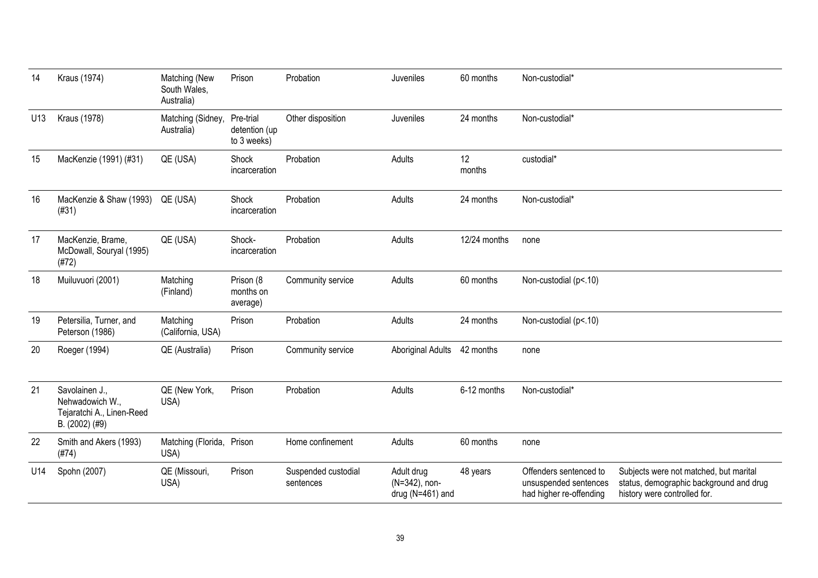| 14  | Kraus (1974)                                                                     | Matching (New<br>South Wales,<br>Australia) | Prison                                    | Probation                        | Juveniles                                           | 60 months    | Non-custodial*                                                             |                                                                                                                   |
|-----|----------------------------------------------------------------------------------|---------------------------------------------|-------------------------------------------|----------------------------------|-----------------------------------------------------|--------------|----------------------------------------------------------------------------|-------------------------------------------------------------------------------------------------------------------|
| U13 | Kraus (1978)                                                                     | Matching (Sidney,<br>Australia)             | Pre-trial<br>detention (up<br>to 3 weeks) | Other disposition                | Juveniles                                           | 24 months    | Non-custodial*                                                             |                                                                                                                   |
| 15  | MacKenzie (1991) (#31)                                                           | QE (USA)                                    | Shock<br>incarceration                    | Probation                        | Adults                                              | 12<br>months | custodial*                                                                 |                                                                                                                   |
| 16  | MacKenzie & Shaw (1993)<br>(H31)                                                 | QE (USA)                                    | Shock<br>incarceration                    | Probation                        | Adults                                              | 24 months    | Non-custodial*                                                             |                                                                                                                   |
| 17  | MacKenzie, Brame,<br>McDowall, Souryal (1995)<br>(H72)                           | QE (USA)                                    | Shock-<br>incarceration                   | Probation                        | Adults                                              | 12/24 months | none                                                                       |                                                                                                                   |
| 18  | Muiluvuori (2001)                                                                | Matching<br>(Finland)                       | Prison (8<br>months on<br>average)        | Community service                | Adults                                              | 60 months    | Non-custodial (p<.10)                                                      |                                                                                                                   |
| 19  | Petersilia, Turner, and<br>Peterson (1986)                                       | Matching<br>(California, USA)               | Prison                                    | Probation                        | Adults                                              | 24 months    | Non-custodial (p<.10)                                                      |                                                                                                                   |
| 20  | Roeger (1994)                                                                    | QE (Australia)                              | Prison                                    | Community service                | <b>Aboriginal Adults</b>                            | 42 months    | none                                                                       |                                                                                                                   |
| 21  | Savolainen J.,<br>Nehwadowich W.,<br>Tejaratchi A., Linen-Reed<br>B. (2002) (#9) | QE (New York,<br>USA)                       | Prison                                    | Probation                        | Adults                                              | 6-12 months  | Non-custodial*                                                             |                                                                                                                   |
| 22  | Smith and Akers (1993)<br>(H74)                                                  | Matching (Florida,<br>USA)                  | Prison                                    | Home confinement                 | Adults                                              | 60 months    | none                                                                       |                                                                                                                   |
| U14 | Spohn (2007)                                                                     | QE (Missouri,<br>USA)                       | Prison                                    | Suspended custodial<br>sentences | Adult drug<br>(N=342), non-<br>drug ( $N=461$ ) and | 48 years     | Offenders sentenced to<br>unsuspended sentences<br>had higher re-offending | Subjects were not matched, but marital<br>status, demographic background and drug<br>history were controlled for. |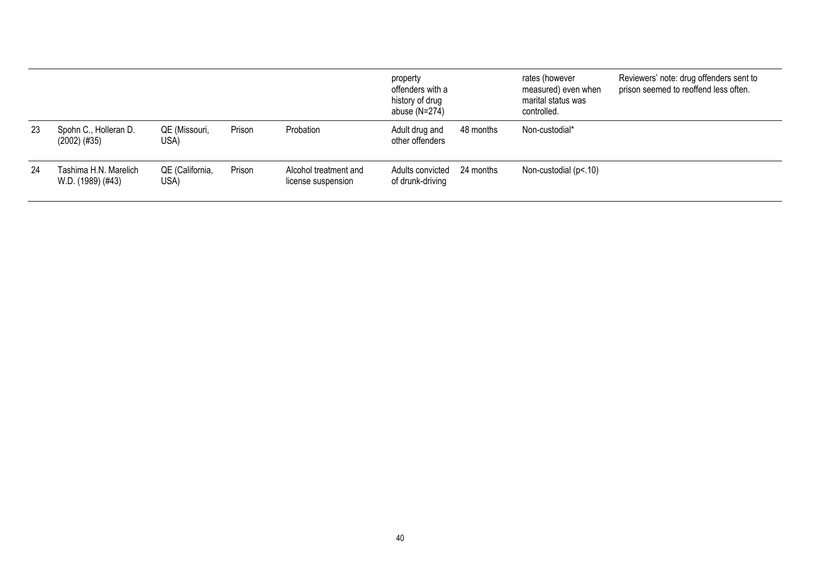|     |                                            |                         |        |                                             | property<br>offenders with a<br>history of drug<br>abuse $(N=274)$ |           | rates (however<br>measured) even when<br>marital status was<br>controlled. | Reviewers' note: drug offenders sent to<br>prison seemed to reoffend less often. |
|-----|--------------------------------------------|-------------------------|--------|---------------------------------------------|--------------------------------------------------------------------|-----------|----------------------------------------------------------------------------|----------------------------------------------------------------------------------|
| -23 | Spohn C., Holleran D.<br>(2002) (#35)      | QE (Missouri,<br>USA)   | Prison | Probation                                   | Adult drug and<br>other offenders                                  | 48 months | Non-custodial*                                                             |                                                                                  |
| -24 | Tashima H.N. Marelich<br>W.D. (1989) (#43) | QE (California,<br>USA) | Prison | Alcohol treatment and<br>license suspension | Adults convicted<br>of drunk-driving                               | 24 months | Non-custodial (p<.10)                                                      |                                                                                  |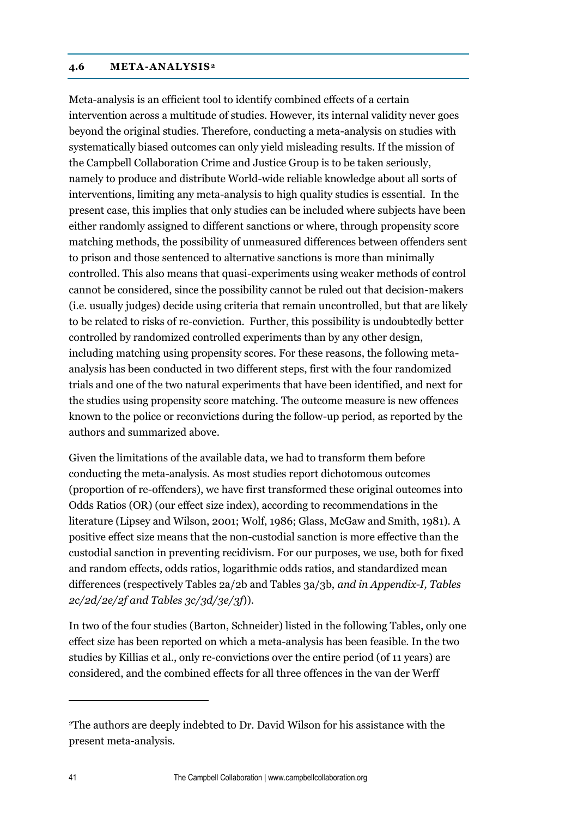### **4.6 META-ANALYSIS<sup>2</sup>**

Meta-analysis is an efficient tool to identify combined effects of a certain intervention across a multitude of studies. However, its internal validity never goes beyond the original studies. Therefore, conducting a meta-analysis on studies with systematically biased outcomes can only yield misleading results. If the mission of the Campbell Collaboration Crime and Justice Group is to be taken seriously, namely to produce and distribute World-wide reliable knowledge about all sorts of interventions, limiting any meta-analysis to high quality studies is essential. In the present case, this implies that only studies can be included where subjects have been either randomly assigned to different sanctions or where, through propensity score matching methods, the possibility of unmeasured differences between offenders sent to prison and those sentenced to alternative sanctions is more than minimally controlled. This also means that quasi-experiments using weaker methods of control cannot be considered, since the possibility cannot be ruled out that decision-makers (i.e. usually judges) decide using criteria that remain uncontrolled, but that are likely to be related to risks of re-conviction. Further, this possibility is undoubtedly better controlled by randomized controlled experiments than by any other design, including matching using propensity scores. For these reasons, the following metaanalysis has been conducted in two different steps, first with the four randomized trials and one of the two natural experiments that have been identified, and next for the studies using propensity score matching. The outcome measure is new offences known to the police or reconvictions during the follow-up period, as reported by the authors and summarized above.

Given the limitations of the available data, we had to transform them before conducting the meta-analysis. As most studies report dichotomous outcomes (proportion of re-offenders), we have first transformed these original outcomes into Odds Ratios (OR) (our effect size index), according to recommendations in the literature (Lipsey and Wilson, 2001; Wolf, 1986; Glass, McGaw and Smith, 1981). A positive effect size means that the non-custodial sanction is more effective than the custodial sanction in preventing recidivism. For our purposes, we use, both for fixed and random effects, odds ratios, logarithmic odds ratios, and standardized mean differences (respectively Tables 2a/2b and Tables 3a/3b, *and in Appendix-I, Tables 2c/2d/2e/2f and Tables 3c/3d/3e/3f*)).

In two of the four studies (Barton, Schneider) listed in the following Tables, only one effect size has been reported on which a meta-analysis has been feasible. In the two studies by Killias et al., only re-convictions over the entire period (of 11 years) are considered, and the combined effects for all three offences in the van der Werff

 $\overline{a}$ 

<sup>2</sup>The authors are deeply indebted to Dr. David Wilson for his assistance with the present meta-analysis.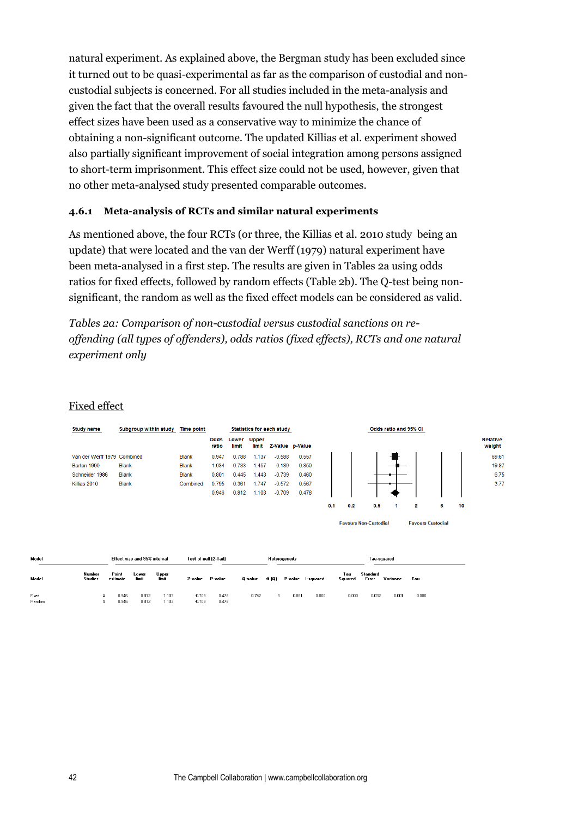natural experiment. As explained above, the Bergman study has been excluded since it turned out to be quasi-experimental as far as the comparison of custodial and noncustodial subjects is concerned. For all studies included in the meta-analysis and given the fact that the overall results favoured the null hypothesis, the strongest effect sizes have been used as a conservative way to minimize the chance of obtaining a non-significant outcome. The updated Killias et al. experiment showed also partially significant improvement of social integration among persons assigned to short-term imprisonment. This effect size could not be used, however, given that no other meta-analysed study presented comparable outcomes.

## **4.6.1 Meta-analysis of RCTs and similar natural experiments**

As mentioned above, the four RCTs (or three, the Killias et al. 2010 study being an update) that were located and the van der Werff (1979) natural experiment have been meta-analysed in a first step. The results are given in Tables 2a using odds ratios for fixed effects, followed by random effects (Table 2b). The Q-test being nonsignificant, the random as well as the fixed effect models can be considered as valid.

*Tables 2a: Comparison of non-custodial versus custodial sanctions on reoffending (all types of offenders), odds ratios (fixed effects), RCTs and one natural experiment only*

## Fixed effect

| <b>Study name</b>           | Subgroup within study | <b>Time point</b> | <b>Statistics for each study</b> |                |                       | Odds ratio and 95% CI |                 |     |     |     |  |   |   |    |                           |
|-----------------------------|-----------------------|-------------------|----------------------------------|----------------|-----------------------|-----------------------|-----------------|-----|-----|-----|--|---|---|----|---------------------------|
|                             |                       |                   | Odds<br>ratio                    | Lower<br>limit | <b>Upper</b><br>limit |                       | Z-Value p-Value |     |     |     |  |   |   |    | <b>Relative</b><br>weight |
| Van der Werff 1979 Combined |                       | <b>Blank</b>      | 0.947                            | 0.788          | 1.137                 | $-0.588$              | 0.557           |     |     |     |  |   |   |    | 69.61                     |
| Barton 1990                 | <b>Blank</b>          | <b>Blank</b>      | 1.034                            | 0.733          | 1.457                 | 0.189                 | 0.850           |     |     |     |  |   |   |    | 19.87                     |
| Schneider 1986              | <b>Blank</b>          | <b>Blank</b>      | 0.801                            | 0.445          | 1.443                 | $-0.739$              | 0.460           |     |     |     |  |   |   |    | 6.75                      |
| Killias 2010                | <b>Blank</b>          | Combined          | 0.795                            | 0.361          | 1.747                 | $-0.572$              | 0.567           |     |     |     |  |   |   |    | 3.77                      |
|                             |                       |                   | 0.946                            | 0.812          | 1.103                 | $-0.709$              | 0.478           |     |     |     |  |   |   |    |                           |
|                             |                       |                   |                                  |                |                       |                       |                 | 0.1 | 0.2 | 0.5 |  | 2 | 5 | 10 |                           |

| <b>Favours Non-Custodial</b> | <b>Favours Custodial</b> |
|------------------------------|--------------------------|
|------------------------------|--------------------------|

| Model           |                          | Effect size and 95% interval |                |                | Test of null (2-Tail) |                | Heterogeneity |        |                   |       |                | Tau-squared       |          |       |  |
|-----------------|--------------------------|------------------------------|----------------|----------------|-----------------------|----------------|---------------|--------|-------------------|-------|----------------|-------------------|----------|-------|--|
| Model           | Number<br><b>Studies</b> | Point<br>estimate            | Lower<br>limit | Upper<br>limit | Z-value               | P-value        | 0-value       | df (Q) | P-value I-squared |       | Tau<br>Squared | Standard<br>Error | Variance | Tau   |  |
| Fixed<br>Random |                          | 0.946<br>0.946               | 0.812<br>0.812 | 1.103<br>1.103 | $-0.709$<br>$-0.709$  | 0.478<br>0.478 | 0.752         |        | 0.861             | 0.000 | 0.000          | 0.032             | 0.001    | 0.000 |  |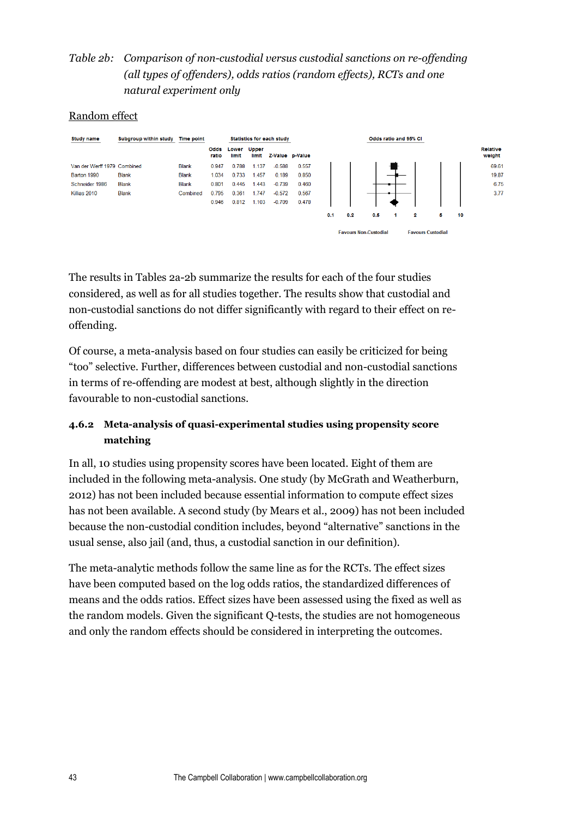# *Table 2b: Comparison of non-custodial versus custodial sanctions on re-offending (all types of offenders), odds ratios (random effects), RCTs and one natural experiment only*

## Random effect

| <b>Study name</b>           | Subgroup within study | <b>Time point</b> |               |                |                       | <b>Statistics for each study</b> |                 |     |     |                              |   | Odds ratio and 95% CI    |   |    |                    |
|-----------------------------|-----------------------|-------------------|---------------|----------------|-----------------------|----------------------------------|-----------------|-----|-----|------------------------------|---|--------------------------|---|----|--------------------|
|                             |                       |                   | Odds<br>ratio | Lower<br>limit | <b>Upper</b><br>limit |                                  | Z-Value p-Value |     |     |                              |   |                          |   |    | Relative<br>weight |
| Van der Werff 1979 Combined |                       | <b>Blank</b>      | 0.947         | 0.788          | 1.137                 | $-0.588$                         | 0.557           |     |     |                              |   |                          |   |    | 69.61              |
| Barton 1990                 | <b>Blank</b>          | <b>Blank</b>      | 1.034         | 0.733          | 1.457                 | 0.189                            | 0.850           |     |     |                              |   |                          |   |    | 19.87              |
| Schneider 1986              | <b>Blank</b>          | <b>Blank</b>      | 0.801         | 0.445          | 1.443                 | $-0.739$                         | 0.460           |     |     |                              |   |                          |   |    | 6.75               |
| Killias 2010                | <b>Blank</b>          | Combined          | 0.795         | 0.361          | 1.747                 | $-0.572$                         | 0.567           |     |     |                              |   |                          |   |    | 3.77               |
|                             |                       |                   | 0.946         | 0.812          | 1.103                 | $-0.709$                         | 0.478           |     |     |                              |   |                          |   |    |                    |
|                             |                       |                   |               |                |                       |                                  |                 | 0.1 | 0.2 | 0.5                          | 1 | 2                        | 5 | 10 |                    |
|                             |                       |                   |               |                |                       |                                  |                 |     |     | <b>Favours Non-Custodial</b> |   | <b>Favours Custodial</b> |   |    |                    |

The results in Tables 2a-2b summarize the results for each of the four studies considered, as well as for all studies together. The results show that custodial and non-custodial sanctions do not differ significantly with regard to their effect on reoffending.

Of course, a meta-analysis based on four studies can easily be criticized for being "too" selective. Further, differences between custodial and non-custodial sanctions in terms of re-offending are modest at best, although slightly in the direction favourable to non-custodial sanctions.

# **4.6.2 Meta-analysis of quasi-experimental studies using propensity score matching**

In all, 10 studies using propensity scores have been located. Eight of them are included in the following meta-analysis. One study (by McGrath and Weatherburn, 2012) has not been included because essential information to compute effect sizes has not been available. A second study (by Mears et al., 2009) has not been included because the non-custodial condition includes, beyond "alternative" sanctions in the usual sense, also jail (and, thus, a custodial sanction in our definition).

The meta-analytic methods follow the same line as for the RCTs. The effect sizes have been computed based on the log odds ratios, the standardized differences of means and the odds ratios. Effect sizes have been assessed using the fixed as well as the random models. Given the significant Q-tests, the studies are not homogeneous and only the random effects should be considered in interpreting the outcomes.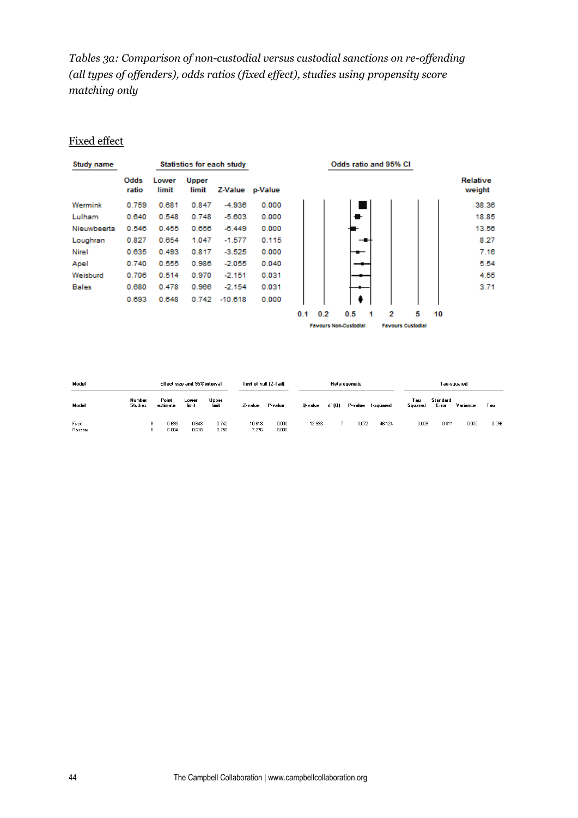*Tables 3a: Comparison of non-custodial versus custodial sanctions on re-offending (all types of offenders), odds ratios (fixed effect), studies using propensity score matching only*

### Fixed effect

| Study name   |               |                |                       | <b>Statistics for each study</b> |         |
|--------------|---------------|----------------|-----------------------|----------------------------------|---------|
|              | Odds<br>ratio | Lower<br>limit | <b>Upper</b><br>limit | Z-Value                          | p-Value |
| Wermink      | 0.759         | 0.681          | 0.847                 | $-4.936$                         | 0.000   |
| Lulham       | 0.640         | 0.548          | 0.748                 | $-5.603$                         | 0.000   |
| Nieuwbeerta  | 0.546         | 0.455          | 0.656                 | $-6.449$                         | 0.000   |
| Loughran     | 0.827         | 0.654          | 1.047                 | $-1.577$                         | 0.115   |
| <b>Nirel</b> | 0.635         | 0.493          | 0.817                 | $-3.525$                         | 0.000   |
| Apel         | 0 740         | 0.555          | 0.986                 | $-2.055$                         | 0.040   |
| Weisburd     | 0.706         | 0.514          | 0.970                 | $-2.151$                         | 0.031   |
| <b>Bales</b> | 0.680         | 0478           | 0.966                 | $-2.154$                         | 0.031   |
|              | 0.693         | 0.648          | 0.742                 | $-10.618$                        | 0.000   |



| Model<br>Effect size and 95% interval |                          |                   |                | Test of null (2-Tail) |                       | Heterogeneity  |         |        |         | T au-squared |                |                   |          |       |
|---------------------------------------|--------------------------|-------------------|----------------|-----------------------|-----------------------|----------------|---------|--------|---------|--------------|----------------|-------------------|----------|-------|
| Model                                 | Number<br><b>Studies</b> | Point<br>estimate | Lower<br>limit | Upper<br>limit        | Z-value               | P-value        | 0-value | df (Q) | P-value | l-squared    | Tau<br>Squared | Standard<br>Error | Variance | Tau   |
| Fixed<br>Random                       | 8<br>8.                  | 0.693<br>0.684    | 0.648<br>0.618 | 0.742<br>0.758        | $-10.618$<br>$-7.276$ | 0.000<br>0.000 | 12.993  |        | 0.072   | 46.124       | 0.009          | 0.011             | 0.000    | 0.096 |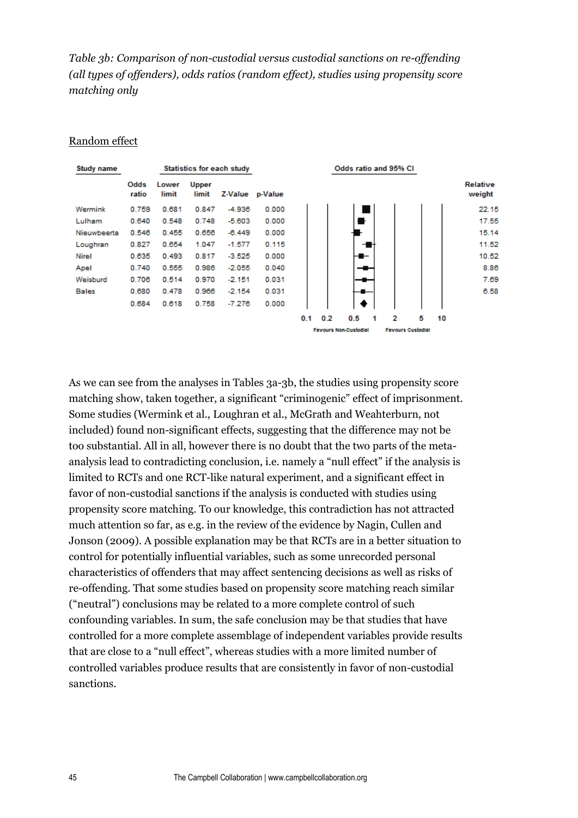*Table 3b: Comparison of non-custodial versus custodial sanctions on re-offending (all types of offenders), odds ratios (random effect), studies using propensity score matching only*

#### Random effect

| Study name   |               |                |                       | <b>Statistics for each study</b> |         |
|--------------|---------------|----------------|-----------------------|----------------------------------|---------|
|              | Odds<br>ratio | Lower<br>limit | <b>Upper</b><br>limit | Z-Value                          | p-Value |
| Wermink      | 0.759         | 0.681          | 0.847                 | $-4.936$                         | 0.000   |
| Lulham       | 0.640         | 0.548          | 0.748                 | $-5.603$                         | 0.000   |
| Nieuwbeerta  | 0.546         | 0.455          | 0.656                 | $-6.449$                         | 0.000   |
| Loughran     | 0.827         | 0.654          | 1.047                 | $-1.577$                         | 0.115   |
| <b>Nirel</b> | 0.635         | 0.493          | 0.817                 | -3.525                           | 0.000   |
| Apel         | 0.740         | 0.555          | 0.986                 | $-2.055$                         | 0.040   |
| Weisburd     | 0.706         | 0.514          | 0.970                 | $-2.151$                         | 0.031   |
| <b>Bales</b> | 0.680         | 0478           | 0.966                 | $-2.154$                         | 0.031   |
|              | 0.684         | 0.618          | 0 758                 | $-7.276$                         | 0.000   |

#### Odds ratio and 95% CI



As we can see from the analyses in Tables 3a-3b, the studies using propensity score matching show, taken together, a significant "criminogenic" effect of imprisonment. Some studies (Wermink et al., Loughran et al., McGrath and Weahterburn, not included) found non-significant effects, suggesting that the difference may not be too substantial. All in all, however there is no doubt that the two parts of the metaanalysis lead to contradicting conclusion, i.e. namely a "null effect" if the analysis is limited to RCTs and one RCT-like natural experiment, and a significant effect in favor of non-custodial sanctions if the analysis is conducted with studies using propensity score matching. To our knowledge, this contradiction has not attracted much attention so far, as e.g. in the review of the evidence by Nagin, Cullen and Jonson (2009). A possible explanation may be that RCTs are in a better situation to control for potentially influential variables, such as some unrecorded personal characteristics of offenders that may affect sentencing decisions as well as risks of re-offending. That some studies based on propensity score matching reach similar ("neutral") conclusions may be related to a more complete control of such confounding variables. In sum, the safe conclusion may be that studies that have controlled for a more complete assemblage of independent variables provide results that are close to a "null effect", whereas studies with a more limited number of controlled variables produce results that are consistently in favor of non-custodial sanctions.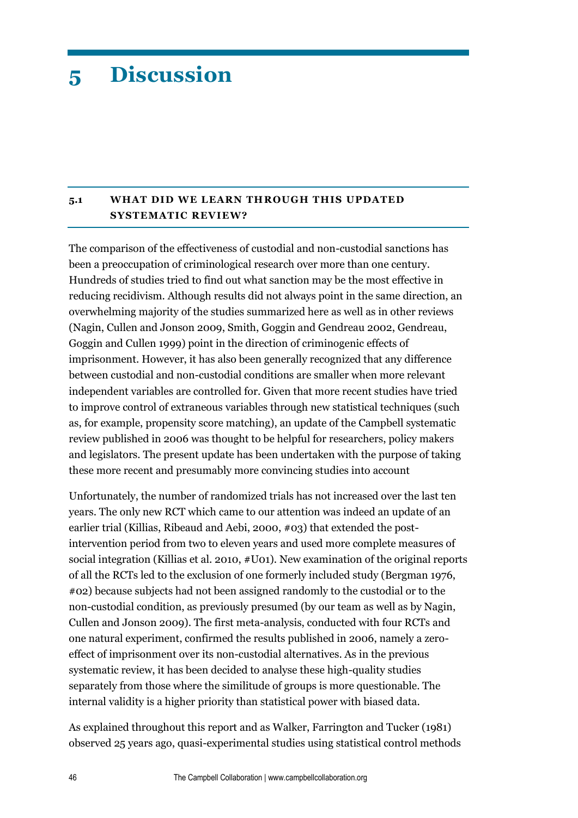# **5 Discussion**

# **5.1 WHAT DID WE LEARN THROUGH THIS UPDATED SYSTEMATIC REVIEW?**

The comparison of the effectiveness of custodial and non-custodial sanctions has been a preoccupation of criminological research over more than one century. Hundreds of studies tried to find out what sanction may be the most effective in reducing recidivism. Although results did not always point in the same direction, an overwhelming majority of the studies summarized here as well as in other reviews (Nagin, Cullen and Jonson 2009, Smith, Goggin and Gendreau 2002, Gendreau, Goggin and Cullen 1999) point in the direction of criminogenic effects of imprisonment. However, it has also been generally recognized that any difference between custodial and non-custodial conditions are smaller when more relevant independent variables are controlled for. Given that more recent studies have tried to improve control of extraneous variables through new statistical techniques (such as, for example, propensity score matching), an update of the Campbell systematic review published in 2006 was thought to be helpful for researchers, policy makers and legislators. The present update has been undertaken with the purpose of taking these more recent and presumably more convincing studies into account

Unfortunately, the number of randomized trials has not increased over the last ten years. The only new RCT which came to our attention was indeed an update of an earlier trial (Killias, Ribeaud and Aebi, 2000, #03) that extended the postintervention period from two to eleven years and used more complete measures of social integration (Killias et al. 2010, #U01). New examination of the original reports of all the RCTs led to the exclusion of one formerly included study (Bergman 1976, #02) because subjects had not been assigned randomly to the custodial or to the non-custodial condition, as previously presumed (by our team as well as by Nagin, Cullen and Jonson 2009). The first meta-analysis, conducted with four RCTs and one natural experiment, confirmed the results published in 2006, namely a zeroeffect of imprisonment over its non-custodial alternatives. As in the previous systematic review, it has been decided to analyse these high-quality studies separately from those where the similitude of groups is more questionable. The internal validity is a higher priority than statistical power with biased data.

As explained throughout this report and as Walker, Farrington and Tucker (1981) observed 25 years ago, quasi-experimental studies using statistical control methods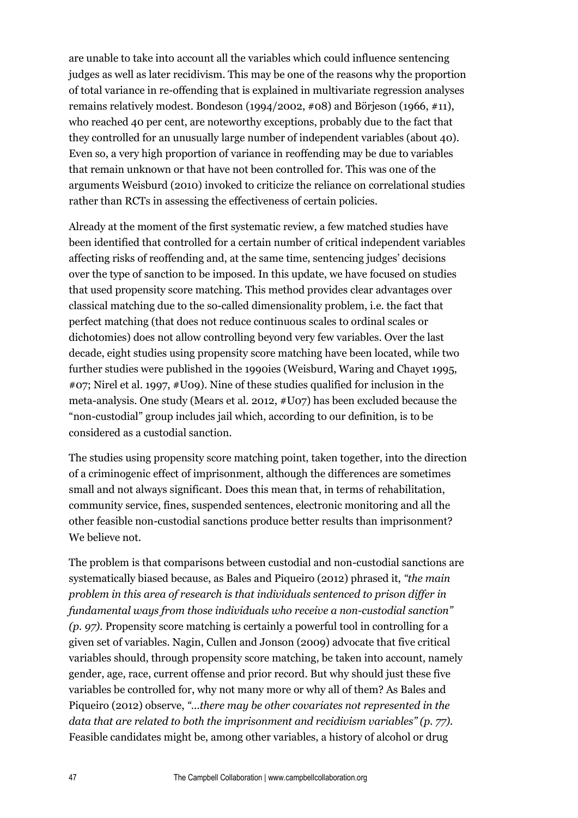are unable to take into account all the variables which could influence sentencing judges as well as later recidivism. This may be one of the reasons why the proportion of total variance in re-offending that is explained in multivariate regression analyses remains relatively modest. Bondeson (1994/2002, #08) and Börjeson (1966, #11), who reached 40 per cent, are noteworthy exceptions, probably due to the fact that they controlled for an unusually large number of independent variables (about 40). Even so, a very high proportion of variance in reoffending may be due to variables that remain unknown or that have not been controlled for. This was one of the arguments Weisburd (2010) invoked to criticize the reliance on correlational studies rather than RCTs in assessing the effectiveness of certain policies.

Already at the moment of the first systematic review, a few matched studies have been identified that controlled for a certain number of critical independent variables affecting risks of reoffending and, at the same time, sentencing judges' decisions over the type of sanction to be imposed. In this update, we have focused on studies that used propensity score matching. This method provides clear advantages over classical matching due to the so-called dimensionality problem, i.e. the fact that perfect matching (that does not reduce continuous scales to ordinal scales or dichotomies) does not allow controlling beyond very few variables. Over the last decade, eight studies using propensity score matching have been located, while two further studies were published in the 1990ies (Weisburd, Waring and Chayet 1995, #07; Nirel et al. 1997, #U09). Nine of these studies qualified for inclusion in the meta-analysis. One study (Mears et al. 2012, #U07) has been excluded because the "non-custodial" group includes jail which, according to our definition, is to be considered as a custodial sanction.

The studies using propensity score matching point, taken together, into the direction of a criminogenic effect of imprisonment, although the differences are sometimes small and not always significant. Does this mean that, in terms of rehabilitation, community service, fines, suspended sentences, electronic monitoring and all the other feasible non-custodial sanctions produce better results than imprisonment? We believe not.

The problem is that comparisons between custodial and non-custodial sanctions are systematically biased because, as Bales and Piqueiro (2012) phrased it, *"the main problem in this area of research is that individuals sentenced to prison differ in fundamental ways from those individuals who receive a non-custodial sanction" (p. 97).* Propensity score matching is certainly a powerful tool in controlling for a given set of variables. Nagin, Cullen and Jonson (2009) advocate that five critical variables should, through propensity score matching, be taken into account, namely gender, age, race, current offense and prior record. But why should just these five variables be controlled for, why not many more or why all of them? As Bales and Piqueiro (2012) observe, *"…there may be other covariates not represented in the data that are related to both the imprisonment and recidivism variables" (p. 77).* Feasible candidates might be, among other variables, a history of alcohol or drug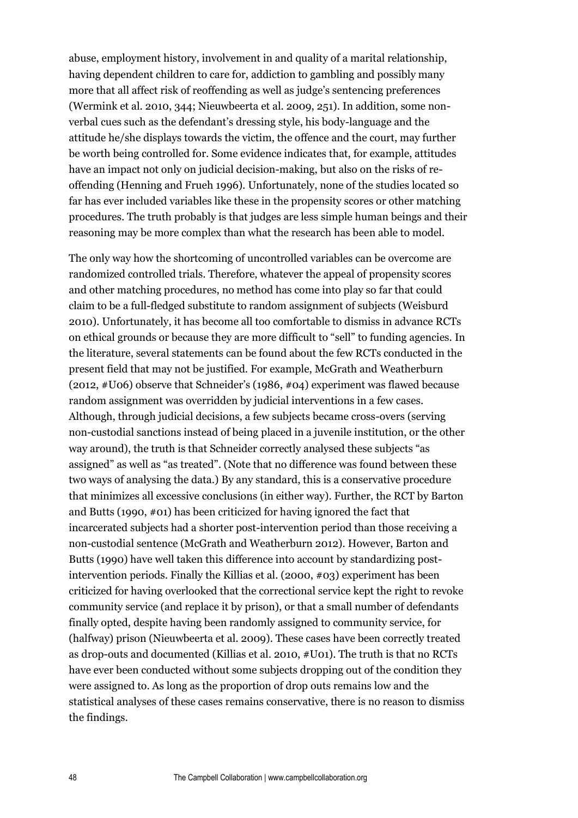abuse, employment history, involvement in and quality of a marital relationship, having dependent children to care for, addiction to gambling and possibly many more that all affect risk of reoffending as well as judge's sentencing preferences (Wermink et al. 2010, 344; Nieuwbeerta et al. 2009, 251). In addition, some nonverbal cues such as the defendant's dressing style, his body-language and the attitude he/she displays towards the victim, the offence and the court, may further be worth being controlled for. Some evidence indicates that, for example, attitudes have an impact not only on judicial decision-making, but also on the risks of reoffending (Henning and Frueh 1996). Unfortunately, none of the studies located so far has ever included variables like these in the propensity scores or other matching procedures. The truth probably is that judges are less simple human beings and their reasoning may be more complex than what the research has been able to model.

The only way how the shortcoming of uncontrolled variables can be overcome are randomized controlled trials. Therefore, whatever the appeal of propensity scores and other matching procedures, no method has come into play so far that could claim to be a full-fledged substitute to random assignment of subjects (Weisburd 2010). Unfortunately, it has become all too comfortable to dismiss in advance RCTs on ethical grounds or because they are more difficult to "sell" to funding agencies. In the literature, several statements can be found about the few RCTs conducted in the present field that may not be justified. For example, McGrath and Weatherburn (2012, #U06) observe that Schneider's (1986, #04) experiment was flawed because random assignment was overridden by judicial interventions in a few cases. Although, through judicial decisions, a few subjects became cross-overs (serving non-custodial sanctions instead of being placed in a juvenile institution, or the other way around), the truth is that Schneider correctly analysed these subjects "as assigned" as well as "as treated". (Note that no difference was found between these two ways of analysing the data.) By any standard, this is a conservative procedure that minimizes all excessive conclusions (in either way). Further, the RCT by Barton and Butts (1990, #01) has been criticized for having ignored the fact that incarcerated subjects had a shorter post-intervention period than those receiving a non-custodial sentence (McGrath and Weatherburn 2012). However, Barton and Butts (1990) have well taken this difference into account by standardizing postintervention periods. Finally the Killias et al. (2000, #03) experiment has been criticized for having overlooked that the correctional service kept the right to revoke community service (and replace it by prison), or that a small number of defendants finally opted, despite having been randomly assigned to community service, for (halfway) prison (Nieuwbeerta et al. 2009). These cases have been correctly treated as drop-outs and documented (Killias et al. 2010, #U01). The truth is that no RCTs have ever been conducted without some subjects dropping out of the condition they were assigned to. As long as the proportion of drop outs remains low and the statistical analyses of these cases remains conservative, there is no reason to dismiss the findings.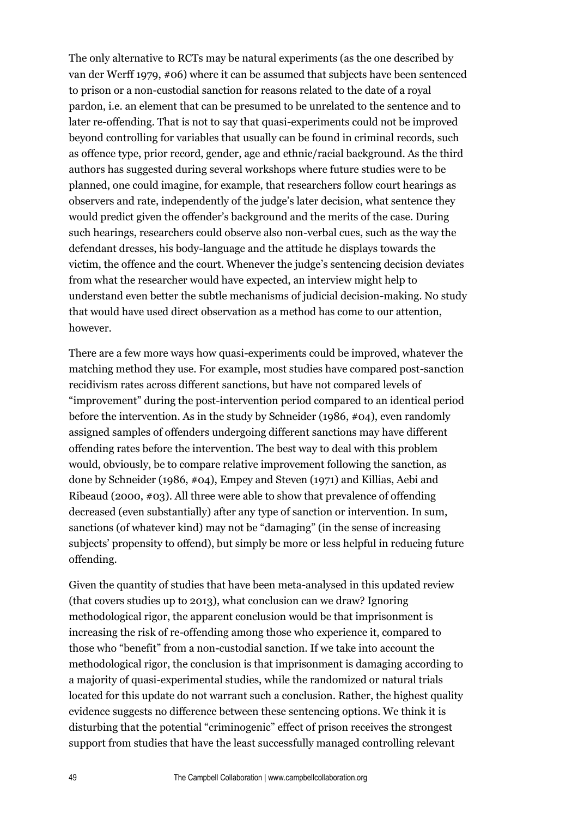The only alternative to RCTs may be natural experiments (as the one described by van der Werff 1979, #06) where it can be assumed that subjects have been sentenced to prison or a non-custodial sanction for reasons related to the date of a royal pardon, i.e. an element that can be presumed to be unrelated to the sentence and to later re-offending. That is not to say that quasi-experiments could not be improved beyond controlling for variables that usually can be found in criminal records, such as offence type, prior record, gender, age and ethnic/racial background. As the third authors has suggested during several workshops where future studies were to be planned, one could imagine, for example, that researchers follow court hearings as observers and rate, independently of the judge's later decision, what sentence they would predict given the offender's background and the merits of the case. During such hearings, researchers could observe also non-verbal cues, such as the way the defendant dresses, his body-language and the attitude he displays towards the victim, the offence and the court. Whenever the judge's sentencing decision deviates from what the researcher would have expected, an interview might help to understand even better the subtle mechanisms of judicial decision-making. No study that would have used direct observation as a method has come to our attention, however.

There are a few more ways how quasi-experiments could be improved, whatever the matching method they use. For example, most studies have compared post-sanction recidivism rates across different sanctions, but have not compared levels of "improvement" during the post-intervention period compared to an identical period before the intervention. As in the study by Schneider (1986, #04), even randomly assigned samples of offenders undergoing different sanctions may have different offending rates before the intervention. The best way to deal with this problem would, obviously, be to compare relative improvement following the sanction, as done by Schneider (1986, #04), Empey and Steven (1971) and Killias, Aebi and Ribeaud (2000,  $\#03$ ). All three were able to show that prevalence of offending decreased (even substantially) after any type of sanction or intervention. In sum, sanctions (of whatever kind) may not be "damaging" (in the sense of increasing subjects' propensity to offend), but simply be more or less helpful in reducing future offending.

Given the quantity of studies that have been meta-analysed in this updated review (that covers studies up to 2013), what conclusion can we draw? Ignoring methodological rigor, the apparent conclusion would be that imprisonment is increasing the risk of re-offending among those who experience it, compared to those who "benefit" from a non-custodial sanction. If we take into account the methodological rigor, the conclusion is that imprisonment is damaging according to a majority of quasi-experimental studies, while the randomized or natural trials located for this update do not warrant such a conclusion. Rather, the highest quality evidence suggests no difference between these sentencing options. We think it is disturbing that the potential "criminogenic" effect of prison receives the strongest support from studies that have the least successfully managed controlling relevant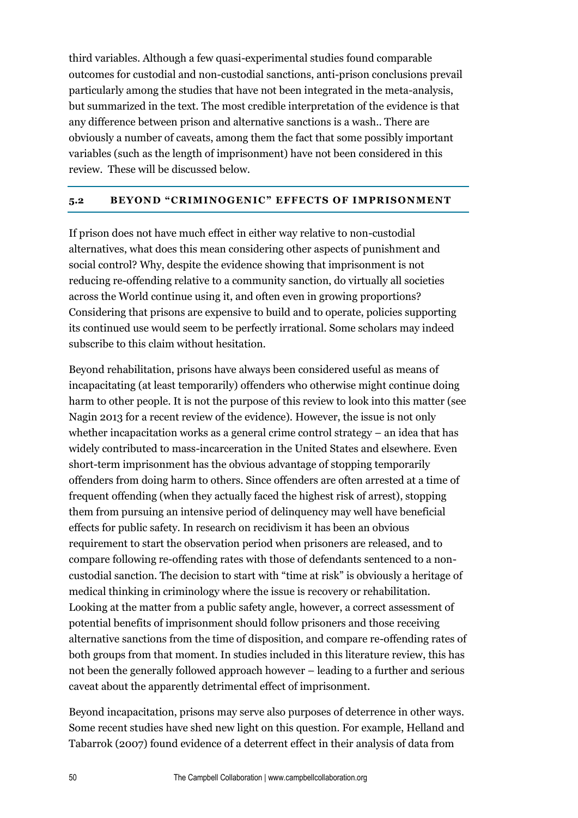third variables. Although a few quasi-experimental studies found comparable outcomes for custodial and non-custodial sanctions, anti-prison conclusions prevail particularly among the studies that have not been integrated in the meta-analysis, but summarized in the text. The most credible interpretation of the evidence is that any difference between prison and alternative sanctions is a wash.. There are obviously a number of caveats, among them the fact that some possibly important variables (such as the length of imprisonment) have not been considered in this review. These will be discussed below.

## **5.2 BEYOND "CRIMINOGENIC" EFFECTS OF IMPRISONMENT**

If prison does not have much effect in either way relative to non-custodial alternatives, what does this mean considering other aspects of punishment and social control? Why, despite the evidence showing that imprisonment is not reducing re-offending relative to a community sanction, do virtually all societies across the World continue using it, and often even in growing proportions? Considering that prisons are expensive to build and to operate, policies supporting its continued use would seem to be perfectly irrational. Some scholars may indeed subscribe to this claim without hesitation.

Beyond rehabilitation, prisons have always been considered useful as means of incapacitating (at least temporarily) offenders who otherwise might continue doing harm to other people. It is not the purpose of this review to look into this matter (see Nagin 2013 for a recent review of the evidence). However, the issue is not only whether incapacitation works as a general crime control strategy – an idea that has widely contributed to mass-incarceration in the United States and elsewhere. Even short-term imprisonment has the obvious advantage of stopping temporarily offenders from doing harm to others. Since offenders are often arrested at a time of frequent offending (when they actually faced the highest risk of arrest), stopping them from pursuing an intensive period of delinquency may well have beneficial effects for public safety. In research on recidivism it has been an obvious requirement to start the observation period when prisoners are released, and to compare following re-offending rates with those of defendants sentenced to a noncustodial sanction. The decision to start with "time at risk" is obviously a heritage of medical thinking in criminology where the issue is recovery or rehabilitation. Looking at the matter from a public safety angle, however, a correct assessment of potential benefits of imprisonment should follow prisoners and those receiving alternative sanctions from the time of disposition, and compare re-offending rates of both groups from that moment. In studies included in this literature review, this has not been the generally followed approach however – leading to a further and serious caveat about the apparently detrimental effect of imprisonment.

Beyond incapacitation, prisons may serve also purposes of deterrence in other ways. Some recent studies have shed new light on this question. For example, Helland and Tabarrok (2007) found evidence of a deterrent effect in their analysis of data from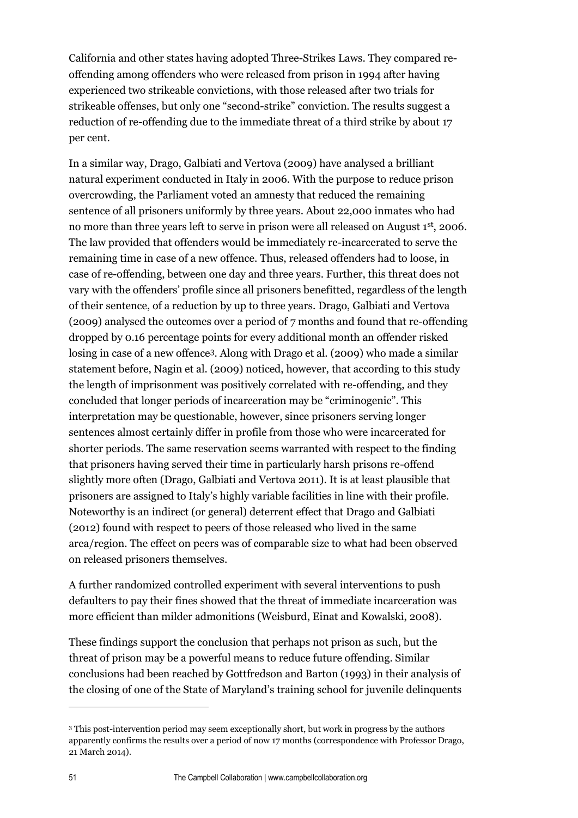California and other states having adopted Three-Strikes Laws. They compared reoffending among offenders who were released from prison in 1994 after having experienced two strikeable convictions, with those released after two trials for strikeable offenses, but only one "second-strike" conviction. The results suggest a reduction of re-offending due to the immediate threat of a third strike by about 17 per cent.

In a similar way, Drago, Galbiati and Vertova (2009) have analysed a brilliant natural experiment conducted in Italy in 2006. With the purpose to reduce prison overcrowding, the Parliament voted an amnesty that reduced the remaining sentence of all prisoners uniformly by three years. About 22,000 inmates who had no more than three years left to serve in prison were all released on August 1st, 2006. The law provided that offenders would be immediately re-incarcerated to serve the remaining time in case of a new offence. Thus, released offenders had to loose, in case of re-offending, between one day and three years. Further, this threat does not vary with the offenders' profile since all prisoners benefitted, regardless of the length of their sentence, of a reduction by up to three years. Drago, Galbiati and Vertova (2009) analysed the outcomes over a period of 7 months and found that re-offending dropped by 0.16 percentage points for every additional month an offender risked losing in case of a new offence3. Along with Drago et al. (2009) who made a similar statement before, Nagin et al. (2009) noticed, however, that according to this study the length of imprisonment was positively correlated with re-offending, and they concluded that longer periods of incarceration may be "criminogenic". This interpretation may be questionable, however, since prisoners serving longer sentences almost certainly differ in profile from those who were incarcerated for shorter periods. The same reservation seems warranted with respect to the finding that prisoners having served their time in particularly harsh prisons re-offend slightly more often (Drago, Galbiati and Vertova 2011). It is at least plausible that prisoners are assigned to Italy's highly variable facilities in line with their profile. Noteworthy is an indirect (or general) deterrent effect that Drago and Galbiati (2012) found with respect to peers of those released who lived in the same area/region. The effect on peers was of comparable size to what had been observed on released prisoners themselves.

A further randomized controlled experiment with several interventions to push defaulters to pay their fines showed that the threat of immediate incarceration was more efficient than milder admonitions (Weisburd, Einat and Kowalski, 2008).

These findings support the conclusion that perhaps not prison as such, but the threat of prison may be a powerful means to reduce future offending. Similar conclusions had been reached by Gottfredson and Barton (1993) in their analysis of the closing of one of the State of Maryland's training school for juvenile delinquents

 $\overline{a}$ 

<sup>3</sup> This post-intervention period may seem exceptionally short, but work in progress by the authors apparently confirms the results over a period of now 17 months (correspondence with Professor Drago, 21 March 2014).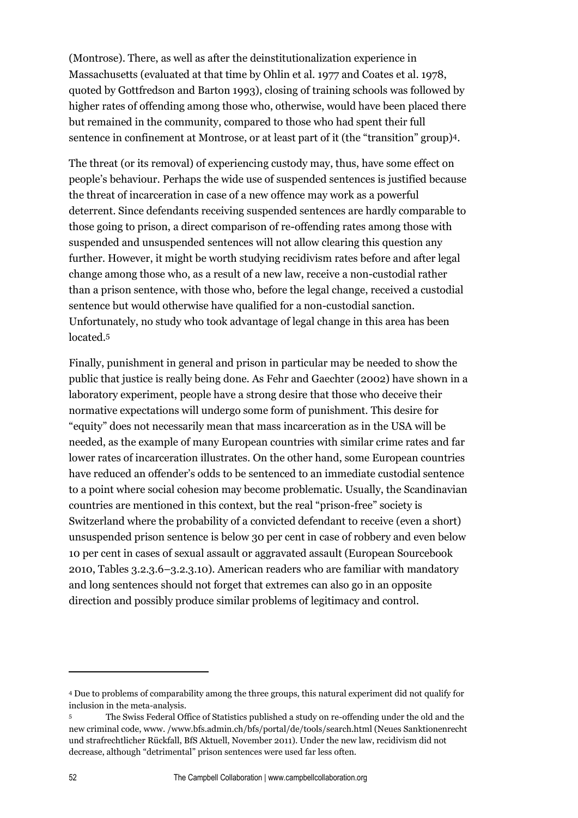(Montrose). There, as well as after the deinstitutionalization experience in Massachusetts (evaluated at that time by Ohlin et al. 1977 and Coates et al. 1978, quoted by Gottfredson and Barton 1993), closing of training schools was followed by higher rates of offending among those who, otherwise, would have been placed there but remained in the community, compared to those who had spent their full sentence in confinement at Montrose, or at least part of it (the "transition" group)4.

The threat (or its removal) of experiencing custody may, thus, have some effect on people's behaviour. Perhaps the wide use of suspended sentences is justified because the threat of incarceration in case of a new offence may work as a powerful deterrent. Since defendants receiving suspended sentences are hardly comparable to those going to prison, a direct comparison of re-offending rates among those with suspended and unsuspended sentences will not allow clearing this question any further. However, it might be worth studying recidivism rates before and after legal change among those who, as a result of a new law, receive a non-custodial rather than a prison sentence, with those who, before the legal change, received a custodial sentence but would otherwise have qualified for a non-custodial sanction. Unfortunately, no study who took advantage of legal change in this area has been located.<sup>5</sup>

Finally, punishment in general and prison in particular may be needed to show the public that justice is really being done. As Fehr and Gaechter (2002) have shown in a laboratory experiment, people have a strong desire that those who deceive their normative expectations will undergo some form of punishment. This desire for "equity" does not necessarily mean that mass incarceration as in the USA will be needed, as the example of many European countries with similar crime rates and far lower rates of incarceration illustrates. On the other hand, some European countries have reduced an offender's odds to be sentenced to an immediate custodial sentence to a point where social cohesion may become problematic. Usually, the Scandinavian countries are mentioned in this context, but the real "prison-free" society is Switzerland where the probability of a convicted defendant to receive (even a short) unsuspended prison sentence is below 30 per cent in case of robbery and even below 10 per cent in cases of sexual assault or aggravated assault (European Sourcebook 2010, Tables 3.2.3.6–3.2.3.10). American readers who are familiar with mandatory and long sentences should not forget that extremes can also go in an opposite direction and possibly produce similar problems of legitimacy and control.

 $\overline{a}$ 

<sup>4</sup> Due to problems of comparability among the three groups, this natural experiment did not qualify for inclusion in the meta-analysis.

<sup>5</sup> The Swiss Federal Office of Statistics published a study on re-offending under the old and the new criminal code, www. /www.bfs.admin.ch/bfs/portal/de/tools/search.html (Neues Sanktionenrecht und strafrechtlicher Rückfall, BfS Aktuell, November 2011). Under the new law, recidivism did not decrease, although "detrimental" prison sentences were used far less often.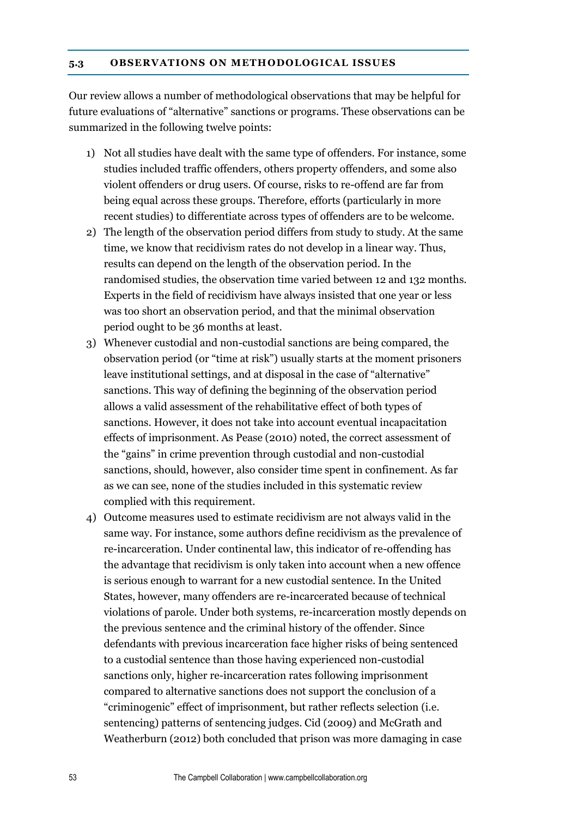#### **5.3 OBSERVATIONS ON METHODOLOGICAL ISSUES**

Our review allows a number of methodological observations that may be helpful for future evaluations of "alternative" sanctions or programs. These observations can be summarized in the following twelve points:

- 1) Not all studies have dealt with the same type of offenders. For instance, some studies included traffic offenders, others property offenders, and some also violent offenders or drug users. Of course, risks to re-offend are far from being equal across these groups. Therefore, efforts (particularly in more recent studies) to differentiate across types of offenders are to be welcome.
- 2) The length of the observation period differs from study to study. At the same time, we know that recidivism rates do not develop in a linear way. Thus, results can depend on the length of the observation period. In the randomised studies, the observation time varied between 12 and 132 months. Experts in the field of recidivism have always insisted that one year or less was too short an observation period, and that the minimal observation period ought to be 36 months at least.
- 3) Whenever custodial and non-custodial sanctions are being compared, the observation period (or "time at risk") usually starts at the moment prisoners leave institutional settings, and at disposal in the case of "alternative" sanctions. This way of defining the beginning of the observation period allows a valid assessment of the rehabilitative effect of both types of sanctions. However, it does not take into account eventual incapacitation effects of imprisonment. As Pease (2010) noted, the correct assessment of the "gains" in crime prevention through custodial and non-custodial sanctions, should, however, also consider time spent in confinement. As far as we can see, none of the studies included in this systematic review complied with this requirement.
- 4) Outcome measures used to estimate recidivism are not always valid in the same way. For instance, some authors define recidivism as the prevalence of re-incarceration. Under continental law, this indicator of re-offending has the advantage that recidivism is only taken into account when a new offence is serious enough to warrant for a new custodial sentence. In the United States, however, many offenders are re-incarcerated because of technical violations of parole. Under both systems, re-incarceration mostly depends on the previous sentence and the criminal history of the offender. Since defendants with previous incarceration face higher risks of being sentenced to a custodial sentence than those having experienced non-custodial sanctions only, higher re-incarceration rates following imprisonment compared to alternative sanctions does not support the conclusion of a "criminogenic" effect of imprisonment, but rather reflects selection (i.e. sentencing) patterns of sentencing judges. Cid (2009) and McGrath and Weatherburn (2012) both concluded that prison was more damaging in case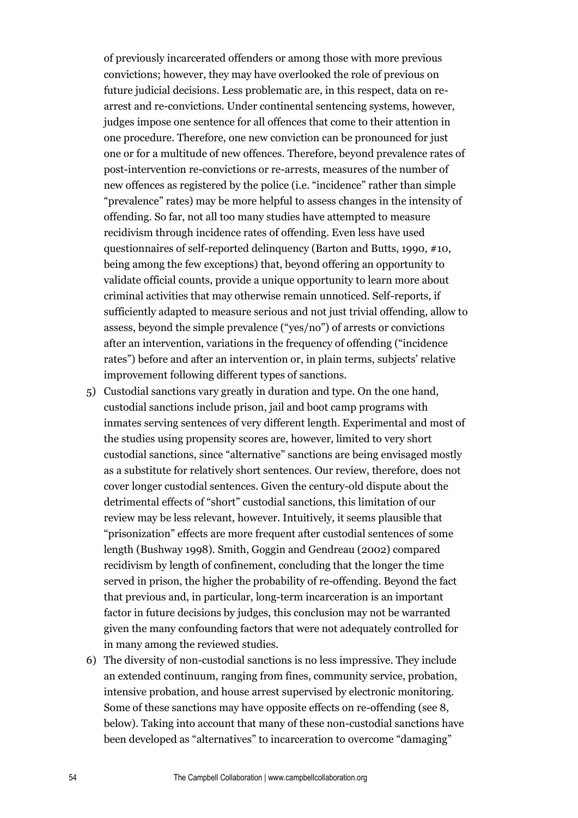of previously incarcerated offenders or among those with more previous convictions; however, they may have overlooked the role of previous on future judicial decisions. Less problematic are, in this respect, data on rearrest and re-convictions. Under continental sentencing systems, however, judges impose one sentence for all offences that come to their attention in one procedure. Therefore, one new conviction can be pronounced for just one or for a multitude of new offences. Therefore, beyond prevalence rates of post-intervention re-convictions or re-arrests, measures of the number of new offences as registered by the police (i.e. "incidence" rather than simple "prevalence" rates) may be more helpful to assess changes in the intensity of offending. So far, not all too many studies have attempted to measure recidivism through incidence rates of offending. Even less have used questionnaires of self-reported delinquency (Barton and Butts, 1990, #10, being among the few exceptions) that, beyond offering an opportunity to validate official counts, provide a unique opportunity to learn more about criminal activities that may otherwise remain unnoticed. Self-reports, if sufficiently adapted to measure serious and not just trivial offending, allow to assess, beyond the simple prevalence ("yes/no") of arrests or convictions after an intervention, variations in the frequency of offending ("incidence rates") before and after an intervention or, in plain terms, subjects' relative improvement following different types of sanctions.

- 5) Custodial sanctions vary greatly in duration and type. On the one hand, custodial sanctions include prison, jail and boot camp programs with inmates serving sentences of very different length. Experimental and most of the studies using propensity scores are, however, limited to very short custodial sanctions, since "alternative" sanctions are being envisaged mostly as a substitute for relatively short sentences. Our review, therefore, does not cover longer custodial sentences. Given the century-old dispute about the detrimental effects of "short" custodial sanctions, this limitation of our review may be less relevant, however. Intuitively, it seems plausible that "prisonization" effects are more frequent after custodial sentences of some length (Bushway 1998). Smith, Goggin and Gendreau (2002) compared recidivism by length of confinement, concluding that the longer the time served in prison, the higher the probability of re-offending. Beyond the fact that previous and, in particular, long-term incarceration is an important factor in future decisions by judges, this conclusion may not be warranted given the many confounding factors that were not adequately controlled for in many among the reviewed studies.
- 6) The diversity of non-custodial sanctions is no less impressive. They include an extended continuum, ranging from fines, community service, probation, intensive probation, and house arrest supervised by electronic monitoring. Some of these sanctions may have opposite effects on re-offending (see 8, below). Taking into account that many of these non-custodial sanctions have been developed as "alternatives" to incarceration to overcome "damaging"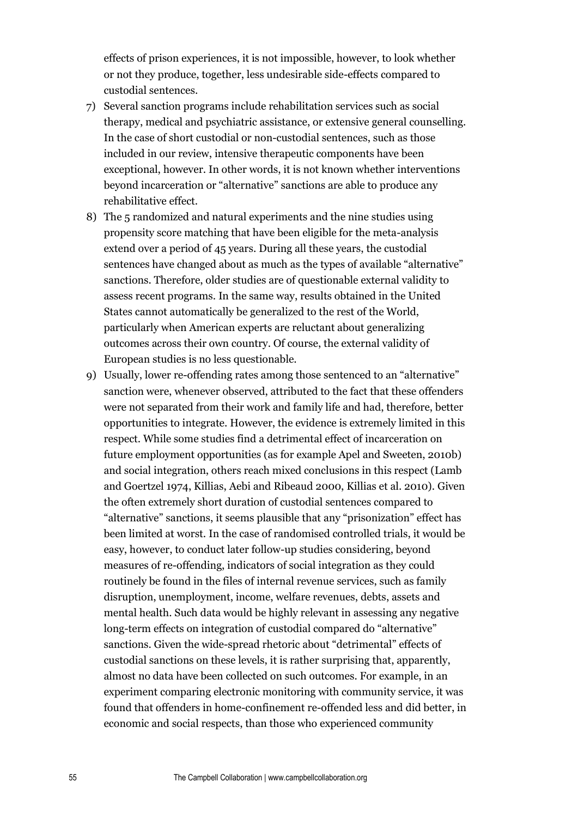effects of prison experiences, it is not impossible, however, to look whether or not they produce, together, less undesirable side-effects compared to custodial sentences.

- 7) Several sanction programs include rehabilitation services such as social therapy, medical and psychiatric assistance, or extensive general counselling. In the case of short custodial or non-custodial sentences, such as those included in our review, intensive therapeutic components have been exceptional, however. In other words, it is not known whether interventions beyond incarceration or "alternative" sanctions are able to produce any rehabilitative effect.
- 8) The 5 randomized and natural experiments and the nine studies using propensity score matching that have been eligible for the meta-analysis extend over a period of 45 years. During all these years, the custodial sentences have changed about as much as the types of available "alternative" sanctions. Therefore, older studies are of questionable external validity to assess recent programs. In the same way, results obtained in the United States cannot automatically be generalized to the rest of the World, particularly when American experts are reluctant about generalizing outcomes across their own country. Of course, the external validity of European studies is no less questionable.
- 9) Usually, lower re-offending rates among those sentenced to an "alternative" sanction were, whenever observed, attributed to the fact that these offenders were not separated from their work and family life and had, therefore, better opportunities to integrate. However, the evidence is extremely limited in this respect. While some studies find a detrimental effect of incarceration on future employment opportunities (as for example Apel and Sweeten, 2010b) and social integration, others reach mixed conclusions in this respect (Lamb and Goertzel 1974, Killias, Aebi and Ribeaud 2000, Killias et al. 2010). Given the often extremely short duration of custodial sentences compared to "alternative" sanctions, it seems plausible that any "prisonization" effect has been limited at worst. In the case of randomised controlled trials, it would be easy, however, to conduct later follow-up studies considering, beyond measures of re-offending, indicators of social integration as they could routinely be found in the files of internal revenue services, such as family disruption, unemployment, income, welfare revenues, debts, assets and mental health. Such data would be highly relevant in assessing any negative long-term effects on integration of custodial compared do "alternative" sanctions. Given the wide-spread rhetoric about "detrimental" effects of custodial sanctions on these levels, it is rather surprising that, apparently, almost no data have been collected on such outcomes. For example, in an experiment comparing electronic monitoring with community service, it was found that offenders in home-confinement re-offended less and did better, in economic and social respects, than those who experienced community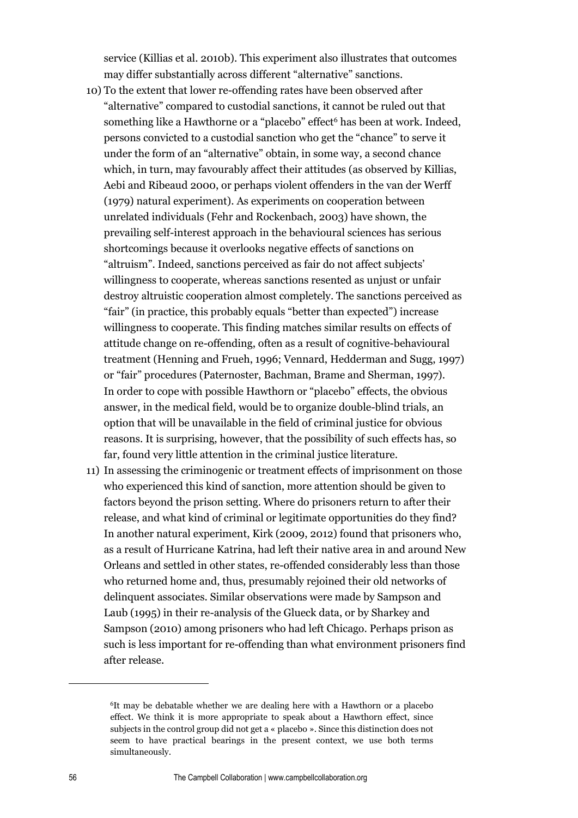service (Killias et al. 2010b). This experiment also illustrates that outcomes may differ substantially across different "alternative" sanctions.

- 10) To the extent that lower re-offending rates have been observed after "alternative" compared to custodial sanctions, it cannot be ruled out that something like a Hawthorne or a "placebo" effect<sup>6</sup> has been at work. Indeed, persons convicted to a custodial sanction who get the "chance" to serve it under the form of an "alternative" obtain, in some way, a second chance which, in turn, may favourably affect their attitudes (as observed by Killias, Aebi and Ribeaud 2000, or perhaps violent offenders in the van der Werff (1979) natural experiment). As experiments on cooperation between unrelated individuals (Fehr and Rockenbach, 2003) have shown, the prevailing self-interest approach in the behavioural sciences has serious shortcomings because it overlooks negative effects of sanctions on "altruism". Indeed, sanctions perceived as fair do not affect subjects' willingness to cooperate, whereas sanctions resented as unjust or unfair destroy altruistic cooperation almost completely. The sanctions perceived as "fair" (in practice, this probably equals "better than expected") increase willingness to cooperate. This finding matches similar results on effects of attitude change on re-offending, often as a result of cognitive-behavioural treatment (Henning and Frueh, 1996; Vennard, Hedderman and Sugg, 1997) or "fair" procedures (Paternoster, Bachman, Brame and Sherman, 1997). In order to cope with possible Hawthorn or "placebo" effects, the obvious answer, in the medical field, would be to organize double-blind trials, an option that will be unavailable in the field of criminal justice for obvious reasons. It is surprising, however, that the possibility of such effects has, so far, found very little attention in the criminal justice literature.
- 11) In assessing the criminogenic or treatment effects of imprisonment on those who experienced this kind of sanction, more attention should be given to factors beyond the prison setting. Where do prisoners return to after their release, and what kind of criminal or legitimate opportunities do they find? In another natural experiment, Kirk (2009, 2012) found that prisoners who, as a result of Hurricane Katrina, had left their native area in and around New Orleans and settled in other states, re-offended considerably less than those who returned home and, thus, presumably rejoined their old networks of delinquent associates. Similar observations were made by Sampson and Laub (1995) in their re-analysis of the Glueck data, or by Sharkey and Sampson (2010) among prisoners who had left Chicago. Perhaps prison as such is less important for re-offending than what environment prisoners find after release.

 $\overline{a}$ 

<sup>6</sup>It may be debatable whether we are dealing here with a Hawthorn or a placebo effect. We think it is more appropriate to speak about a Hawthorn effect, since subjects in the control group did not get a « placebo ». Since this distinction does not seem to have practical bearings in the present context, we use both terms simultaneously.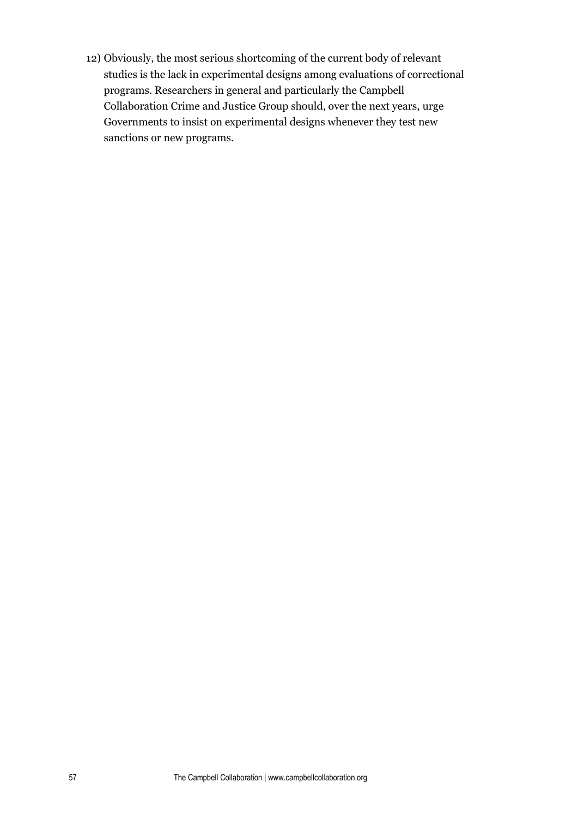12) Obviously, the most serious shortcoming of the current body of relevant studies is the lack in experimental designs among evaluations of correctional programs. Researchers in general and particularly the Campbell Collaboration Crime and Justice Group should, over the next years, urge Governments to insist on experimental designs whenever they test new sanctions or new programs.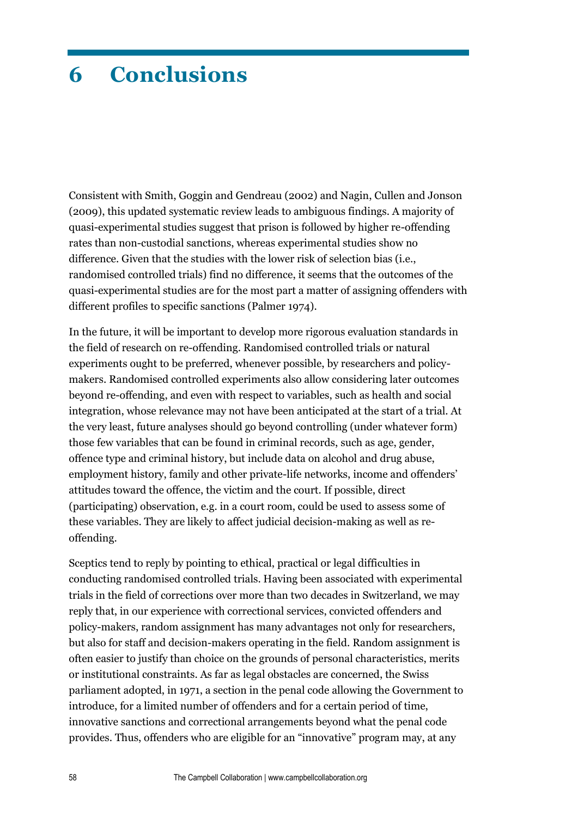# **6 Conclusions**

Consistent with Smith, Goggin and Gendreau (2002) and Nagin, Cullen and Jonson (2009), this updated systematic review leads to ambiguous findings. A majority of quasi-experimental studies suggest that prison is followed by higher re-offending rates than non-custodial sanctions, whereas experimental studies show no difference. Given that the studies with the lower risk of selection bias (i.e., randomised controlled trials) find no difference, it seems that the outcomes of the quasi-experimental studies are for the most part a matter of assigning offenders with different profiles to specific sanctions (Palmer 1974).

In the future, it will be important to develop more rigorous evaluation standards in the field of research on re-offending. Randomised controlled trials or natural experiments ought to be preferred, whenever possible, by researchers and policymakers. Randomised controlled experiments also allow considering later outcomes beyond re-offending, and even with respect to variables, such as health and social integration, whose relevance may not have been anticipated at the start of a trial. At the very least, future analyses should go beyond controlling (under whatever form) those few variables that can be found in criminal records, such as age, gender, offence type and criminal history, but include data on alcohol and drug abuse, employment history, family and other private-life networks, income and offenders' attitudes toward the offence, the victim and the court. If possible, direct (participating) observation, e.g. in a court room, could be used to assess some of these variables. They are likely to affect judicial decision-making as well as reoffending.

Sceptics tend to reply by pointing to ethical, practical or legal difficulties in conducting randomised controlled trials. Having been associated with experimental trials in the field of corrections over more than two decades in Switzerland, we may reply that, in our experience with correctional services, convicted offenders and policy-makers, random assignment has many advantages not only for researchers, but also for staff and decision-makers operating in the field. Random assignment is often easier to justify than choice on the grounds of personal characteristics, merits or institutional constraints. As far as legal obstacles are concerned, the Swiss parliament adopted, in 1971, a section in the penal code allowing the Government to introduce, for a limited number of offenders and for a certain period of time, innovative sanctions and correctional arrangements beyond what the penal code provides. Thus, offenders who are eligible for an "innovative" program may, at any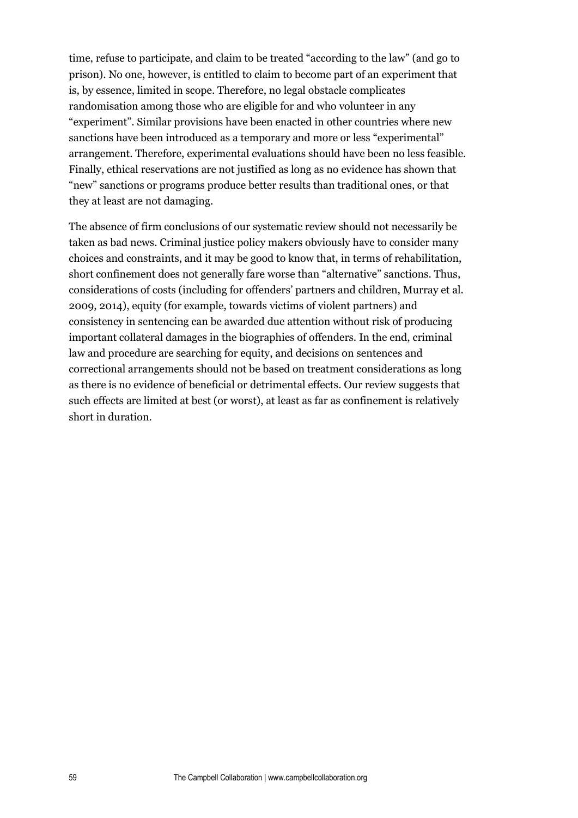time, refuse to participate, and claim to be treated "according to the law" (and go to prison). No one, however, is entitled to claim to become part of an experiment that is, by essence, limited in scope. Therefore, no legal obstacle complicates randomisation among those who are eligible for and who volunteer in any "experiment". Similar provisions have been enacted in other countries where new sanctions have been introduced as a temporary and more or less "experimental" arrangement. Therefore, experimental evaluations should have been no less feasible. Finally, ethical reservations are not justified as long as no evidence has shown that "new" sanctions or programs produce better results than traditional ones, or that they at least are not damaging.

The absence of firm conclusions of our systematic review should not necessarily be taken as bad news. Criminal justice policy makers obviously have to consider many choices and constraints, and it may be good to know that, in terms of rehabilitation, short confinement does not generally fare worse than "alternative" sanctions. Thus, considerations of costs (including for offenders' partners and children, Murray et al. 2009, 2014), equity (for example, towards victims of violent partners) and consistency in sentencing can be awarded due attention without risk of producing important collateral damages in the biographies of offenders. In the end, criminal law and procedure are searching for equity, and decisions on sentences and correctional arrangements should not be based on treatment considerations as long as there is no evidence of beneficial or detrimental effects. Our review suggests that such effects are limited at best (or worst), at least as far as confinement is relatively short in duration.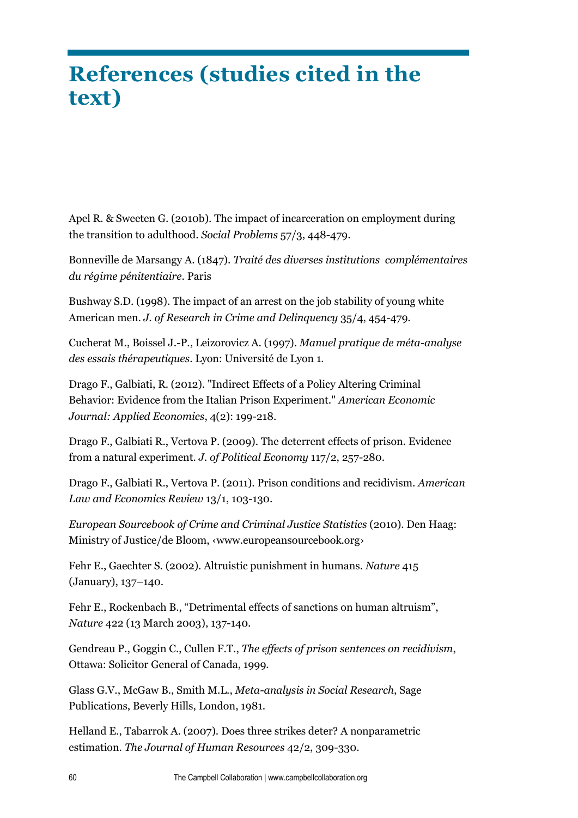# **References (studies cited in the text)**

Apel R. & Sweeten G. (2010b). The impact of incarceration on employment during the transition to adulthood. *Social Problems* 57/3, 448-479.

Bonneville de Marsangy A. (1847). *Traité des diverses institutions complémentaires du régime pénitentiaire*. Paris

Bushway S.D. (1998). The impact of an arrest on the job stability of young white American men. *J. of Research in Crime and Delinquency* 35/4, 454-479.

Cucherat M., Boissel J.-P., Leizorovicz A. (1997). *Manuel pratique de méta-analyse des essais thérapeutiques*. Lyon: Université de Lyon 1.

Drago F., Galbiati, R. (2012). "Indirect Effects of a Policy Altering Criminal Behavior: Evidence from the Italian Prison Experiment." *American Economic Journal: Applied Economics*, 4(2): 199-218.

Drago F., Galbiati R., Vertova P. (2009). The deterrent effects of prison. Evidence from a natural experiment. *J. of Political Economy* 117/2, 257-280.

Drago F., Galbiati R., Vertova P. (2011). Prison conditions and recidivism. *American Law and Economics Review* 13/1, 103-130.

*European Sourcebook of Crime and Criminal Justice Statistics* (2010). Den Haag: Ministry of Justice/de Bloom, ‹www.europeansourcebook.org›

Fehr E., Gaechter S. (2002). Altruistic punishment in humans. *Nature* 415 (January), 137–140.

Fehr E., Rockenbach B., "Detrimental effects of sanctions on human altruism", *Nature* 422 (13 March 2003), 137-140.

Gendreau P., Goggin C., Cullen F.T., *The effects of prison sentences on recidivism*, Ottawa: Solicitor General of Canada, 1999.

Glass G.V., McGaw B., Smith M.L., *Meta-analysis in Social Research*, Sage Publications, Beverly Hills, London, 1981.

Helland E., Tabarrok A. (2007). Does three strikes deter? A nonparametric estimation. *The Journal of Human Resources* 42/2, 309-330.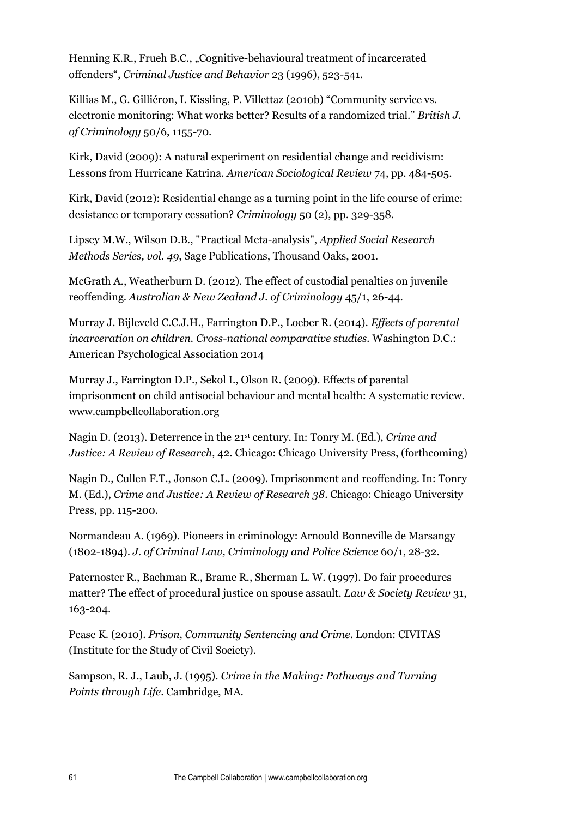Henning K.R., Frueh B.C., "Cognitive-behavioural treatment of incarcerated offenders", *Criminal Justice and Behavior* 23 (1996), 523-541.

Killias M., G. Gilliéron, I. Kissling, P. Villettaz (2010b) "Community service vs. electronic monitoring: What works better? Results of a randomized trial." *British J. of Criminology* 50/6, 1155-70.

Kirk, David (2009): A natural experiment on residential change and recidivism: Lessons from Hurricane Katrina. *American Sociological Review* 74, pp. 484-505.

Kirk, David (2012): Residential change as a turning point in the life course of crime: desistance or temporary cessation? *Criminology* 50 (2), pp. 329-358.

Lipsey M.W., Wilson D.B., "Practical Meta-analysis", *Applied Social Research Methods Series, vol. 49*, Sage Publications, Thousand Oaks, 2001.

McGrath A., Weatherburn D. (2012). The effect of custodial penalties on juvenile reoffending. *Australian & New Zealand J. of Criminology* 45/1, 26-44.

Murray J. Bijleveld C.C.J.H., Farrington D.P., Loeber R. (2014). *Effects of parental incarceration on children. Cross-national comparative studies.* Washington D.C.: American Psychological Association 2014

Murray J., Farrington D.P., Sekol I., Olson R. (2009). Effects of parental imprisonment on child antisocial behaviour and mental health: A systematic review. www.campbellcollaboration.org

Nagin D. (2013). Deterrence in the 21st century. In: Tonry M. (Ed.), *Crime and Justice: A Review of Research,* 42. Chicago: Chicago University Press, (forthcoming)

Nagin D., Cullen F.T., Jonson C.L. (2009). Imprisonment and reoffending. In: Tonry M. (Ed.), *Crime and Justice: A Review of Research 38*. Chicago: Chicago University Press, pp. 115-200.

Normandeau A. (1969). Pioneers in criminology: Arnould Bonneville de Marsangy (1802-1894). *J. of Criminal Law, Criminology and Police Science* 60/1, 28-32.

Paternoster R., Bachman R., Brame R., Sherman L. W. (1997). Do fair procedures matter? The effect of procedural justice on spouse assault. *Law & Society Review* 31, 163-204.

Pease K. (2010). *Prison, Community Sentencing and Crime*. London: CIVITAS (Institute for the Study of Civil Society).

Sampson, R. J., Laub, J. (1995). *Crime in the Making: Pathways and Turning Points through Life*. Cambridge, MA.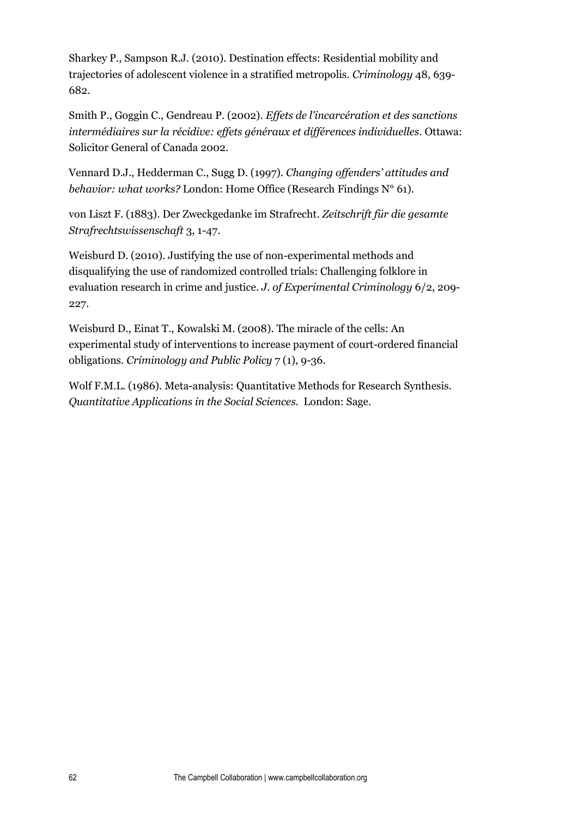Sharkey P., Sampson R.J. (2010). Destination effects: Residential mobility and trajectories of adolescent violence in a stratified metropolis. *Criminology* 48, 639- 682.

Smith P., Goggin C., Gendreau P. (2002). *Effets de l'incarcération et des sanctions intermédiaires sur la récidive: effets généraux et différences individuelles*. Ottawa: Solicitor General of Canada 2002.

Vennard D.J., Hedderman C., Sugg D. (1997). *Changing offenders' attitudes and behavior: what works?* London: Home Office (Research Findings N° 61).

von Liszt F. (1883). Der Zweckgedanke im Strafrecht. *Zeitschrift für die gesamte Strafrechtswissenschaft* 3, 1-47.

Weisburd D. (2010). Justifying the use of non-experimental methods and disqualifying the use of randomized controlled trials: Challenging folklore in evaluation research in crime and justice. *J. of Experimental Criminology* 6/2, 209- 227.

Weisburd D., Einat T., Kowalski M. (2008). The miracle of the cells: An experimental study of interventions to increase payment of court-ordered financial obligations. *Criminology and Public Policy* 7 (1), 9-36.

Wolf F.M.L. (1986). Meta-analysis: Quantitative Methods for Research Synthesis. *Quantitative Applications in the Social Sciences.* London: Sage.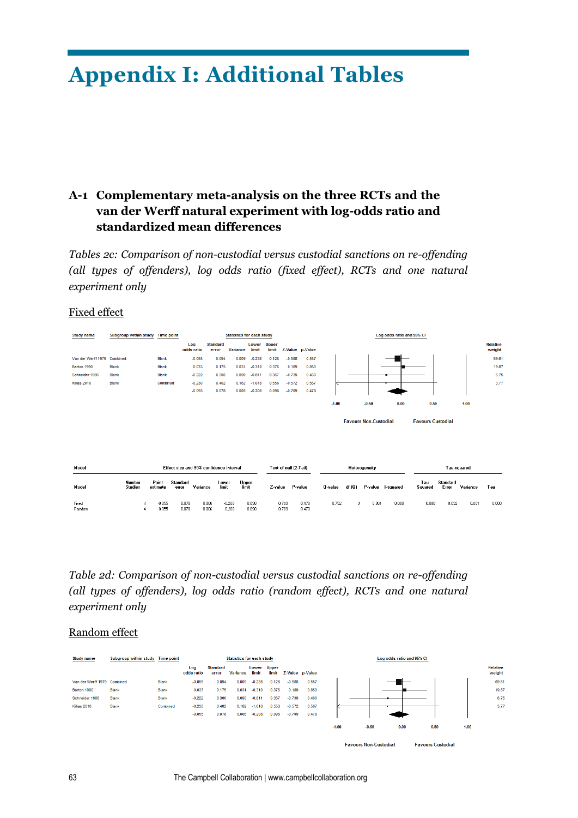# **Appendix I: Additional Tables**

# **A-1 Complementary meta-analysis on the three RCTs and the van der Werff natural experiment with log-odds ratio and standardized mean differences**

*Tables 2c: Comparison of non-custodial versus custodial sanctions on re-offending (all types of offenders), log odds ratio (fixed effect), RCTs and one natural experiment only*

#### Fixed effect



# *Table 2d: Comparison of non-custodial versus custodial sanctions on re-offending (all types of offenders), log odds ratio (random effect), RCTs and one natural experiment only*

#### Random effect

| <b>Study name</b>           | Subgroup within study Time point |              |                   |                          | <b>Statistics for each study</b> |                      |       |          |                 |         |         | Log odds ratio and 95% CI |      |      |                    |
|-----------------------------|----------------------------------|--------------|-------------------|--------------------------|----------------------------------|----------------------|-------|----------|-----------------|---------|---------|---------------------------|------|------|--------------------|
|                             |                                  |              | Log<br>odds ratio | <b>Standard</b><br>error | <b>Variance</b>                  | Lower Upper<br>limit | limit |          | Z-Value p-Value |         |         |                           |      |      | Relative<br>weight |
| Van der Werff 1979 Combined |                                  | <b>Blank</b> | $-0.055$          | 0.094                    | 0.009                            | $-0.238$             | 0.128 | $-0.588$ | 0.557           |         |         |                           |      |      | 69.61              |
| Barton 1990                 | Blank                            | Blank        | 0.033             | 0.175                    | 0.031                            | $-0.310$             | 0.376 | 0.189    | 0.850           |         |         |                           |      |      | 19.87              |
| Schneider 1986              | <b>Blank</b>                     | <b>Blank</b> | $-0.222$          | 0.300                    | 0.090                            | $-0.811$             | 0.367 | $-0.739$ | 0.460           |         |         |                           |      |      | 6.75               |
| Killias 2010                | <b>Blank</b>                     | Combined     | $-0.230$          | 0.402                    | 0.162                            | $-1.018$             | 0.558 | $-0.572$ | 0.567           |         |         |                           |      |      | 3.77               |
|                             |                                  |              | $-0.055$          | 0.078                    | 0.006                            | $-0.208$             | 0.098 | $-0.709$ | 0.478           |         |         |                           |      |      |                    |
|                             |                                  |              |                   |                          |                                  |                      |       |          |                 | $-1.00$ | $-0.50$ | 0.00                      | 0.50 | 1.00 |                    |

**Favours Non-Custodial** 

**Favours Custodial**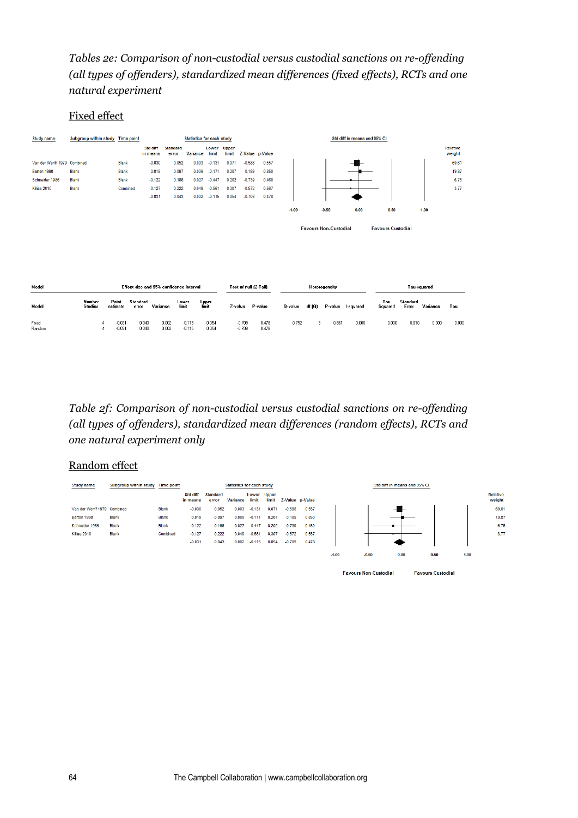# *Tables 2e: Comparison of non-custodial versus custodial sanctions on re-offending (all types of offenders), standardized mean differences (fixed effects), RCTs and one natural experiment*

#### Fixed effect

| <b>Study name</b>           | Subgroup within study Time point        |                                        |                      |                          | <b>Statistics for each study</b> |                |                | Std diff in means and 95% CI |                 |                                                          |        |               |                   |                |                   |          |                    |
|-----------------------------|-----------------------------------------|----------------------------------------|----------------------|--------------------------|----------------------------------|----------------|----------------|------------------------------|-----------------|----------------------------------------------------------|--------|---------------|-------------------|----------------|-------------------|----------|--------------------|
|                             |                                         |                                        | Std diff<br>in means | <b>Standard</b><br>error | Variance                         | Lower<br>limit | Upper<br>limit |                              | Z-Value p-Value |                                                          |        |               |                   |                |                   |          | Relative<br>weight |
| Van der Werff 1979 Combined |                                         | <b>Blank</b>                           | $-0.030$             | 0.052                    | 0.003                            | $-0.131$       | 0.071          | $-0.588$                     | 0.557           |                                                          |        |               |                   |                |                   |          | 69.61              |
| Barton 1990                 | <b>Blank</b>                            | <b>Blank</b>                           | 0.018                | 0.097                    | 0.009                            | $-0.171$       | 0.207          | 0.189                        | 0.850           |                                                          |        |               |                   |                |                   |          | 19.87              |
| Schneider 1986              | <b>Blank</b>                            | <b>Blank</b>                           | $-0.122$             | 0.166                    | 0.027                            | $-0.447$       | 0.202          | $-0.739$                     | 0.460           |                                                          |        |               |                   |                |                   |          | 6.75               |
| Killias 2010                | Blank                                   | Combined                               | $-0.127$             | 0.222                    | 0.049                            | $-0.561$       | 0.307          | $-0.572$                     | 0.567           |                                                          |        |               |                   |                |                   |          | 3.77               |
|                             |                                         |                                        | $-0.031$             | 0.043                    | 0.002                            | $-0.115$       | 0.054          | $-0.709$                     | 0.478           |                                                          |        |               |                   |                |                   |          |                    |
|                             |                                         |                                        |                      |                          |                                  |                |                |                              |                 | $-1.00$                                                  |        | $-0.50$       | 0.00              | 0.50           |                   | 1.00     |                    |
|                             |                                         |                                        |                      |                          |                                  |                |                |                              |                 | <b>Favours Non-Custodial</b><br><b>Favours Custodial</b> |        |               |                   |                |                   |          |                    |
|                             |                                         |                                        |                      |                          |                                  |                |                |                              |                 |                                                          |        |               |                   |                |                   |          |                    |
|                             |                                         |                                        |                      |                          |                                  |                |                |                              |                 |                                                          |        |               |                   |                |                   |          |                    |
| Model                       | Effect size and 95% confidence interval |                                        |                      |                          |                                  |                |                | Test of null (2-Tail)        |                 |                                                          |        | Heterogeneity |                   |                | Tau-squared       |          |                    |
| Model                       | Number<br><b>Studies</b>                | Point<br>Standard<br>estimate<br>error | Variance             | Lower<br>limit           |                                  | Upper<br>limit | Z-value        |                              | P-value         | Q-value                                                  | df (Q) |               | P-value I-squared | Tau<br>Squared | Standard<br>Error | Variance | Tau                |
| Fixed<br>Random             | $\overline{4}$                          | $-0.031$<br>$-0.031$                   | 0.043<br>0.043       | 0.002<br>0.002           | $-0.115$<br>$-0.115$             | 0.054<br>0.054 |                | $-0.709$<br>$-0.709$         | 0.478<br>0.478  | 0.752                                                    | з      | 0.861         | 0.000             | 0.000          | 0.010             | 0.000    | 0.000              |

*Table 2f: Comparison of non-custodial versus custodial sanctions on re-offending (all types of offenders), standardized mean differences (random effects), RCTs and one natural experiment only*

## Random effect

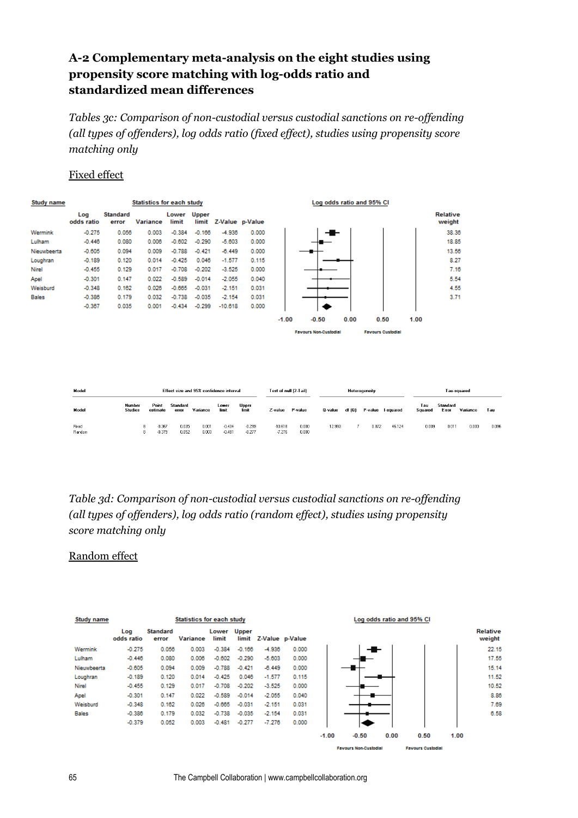# **A-2 Complementary meta-analysis on the eight studies using propensity score matching with log-odds ratio and standardized mean differences**

*Tables 3c: Comparison of non-custodial versus custodial sanctions on re-offending (all types of offenders), log odds ratio (fixed effect), studies using propensity score matching only*

## Fixed effect

| <b>Study name</b> |                   |                          | <b>Statistics for each study</b> |                |                       |                 |       | Log odds ratio and 95% CI |                              |      |                          |      |                    |  |
|-------------------|-------------------|--------------------------|----------------------------------|----------------|-----------------------|-----------------|-------|---------------------------|------------------------------|------|--------------------------|------|--------------------|--|
|                   | Log<br>odds ratio | <b>Standard</b><br>error | <b>Variance</b>                  | Lower<br>limit | <b>Upper</b><br>limit | Z-Value p-Value |       |                           |                              |      |                          |      | Relative<br>weight |  |
| Wermink           | $-0.275$          | 0.056                    | 0.003                            | $-0.384$       | $-0.166$              | $-4.936$        | 0.000 |                           | ╼█╾                          |      |                          |      | 38.36              |  |
| Lulham            | $-0.446$          | 0.080                    | 0.006                            | $-0.602$       | $-0.290$              | $-5.603$        | 0.000 |                           |                              |      |                          |      | 18.85              |  |
| Nieuwbeerta       | $-0.605$          | 0.094                    | 0.009                            | $-0.788$       | $-0.421$              | $-6.449$        | 0.000 |                           |                              |      |                          |      | 13.56              |  |
| Loughran          | $-0.189$          | 0.120                    | 0.014                            | $-0.425$       | 0.046                 | $-1.577$        | 0.115 |                           |                              |      |                          |      | 8.27               |  |
| Nirel             | $-0.455$          | 0.129                    | 0.017                            | $-0.708$       | $-0.202$              | $-3.525$        | 0.000 |                           |                              |      |                          |      | 7.16               |  |
| Apel              | $-0.301$          | 0.147                    | 0.022                            | $-0.589$       | $-0.014$              | $-2.055$        | 0.040 |                           |                              |      |                          |      | 5.54               |  |
| Weisburd          | $-0.348$          | 0.162                    | 0.026                            | $-0.665$       | $-0.031$              | $-2.151$        | 0.031 |                           |                              |      |                          |      | 4.55               |  |
| Bales             | $-0.386$          | 0.179                    | 0.032                            | $-0.738$       | $-0.035$              | $-2.154$        | 0.031 |                           |                              |      |                          |      | 3.71               |  |
|                   | $-0.367$          | 0.035                    | 0.001                            | $-0.434$       | $-0.299$              | $-10.618$       | 0.000 |                           |                              |      |                          |      |                    |  |
|                   |                   |                          |                                  |                |                       |                 |       | $-1.00$                   | $-0.50$                      | 0.00 | 0.50                     | 1.00 |                    |  |
|                   |                   |                          |                                  |                |                       |                 |       |                           | <b>Favours Non-Custodial</b> |      | <b>Favours Custodial</b> |      |                    |  |

| Model           | Fifect size and 95% confidence interval |                                  |                   |                |                      |                      | Test of null (2-Tail) |                |         | Heterogeneity |         |           |                | Tau-squared       |          |       |  |
|-----------------|-----------------------------------------|----------------------------------|-------------------|----------------|----------------------|----------------------|-----------------------|----------------|---------|---------------|---------|-----------|----------------|-------------------|----------|-------|--|
| Model           | Number<br><b>Studies</b>                | Point<br>estimate                | Standard<br>error | Variance       | Lower<br>limit       | Upper<br>limit       | Z-value               | P-value        | Q-value | df (Q)        | P-value | I-squared | Tau<br>Squared | Standard<br>Error | Variance | Tau   |  |
| Fixed<br>Random |                                         | $-0.367$<br>8.<br>$-0.379$<br>8. | 0.035<br>0.052    | 0.001<br>0.003 | $-0.434$<br>$-0.481$ | $-0.299$<br>$-0.277$ | $-10.618$<br>$-7.276$ | 0.000<br>0.000 | 12.993  |               | 0.072   | 46.124    | 0.009          | 0.011             | 0.000    | 0.096 |  |

*Table 3d: Comparison of non-custodial versus custodial sanctions on re-offending (all types of offenders), log odds ratio (random effect), studies using propensity score matching only*

## Random effect

| Study name   |                   |                   | <b>Statistics for each study</b> |                |                       |                 |       |         |         | Log odds ratio and 95% CI |      |      |                    |
|--------------|-------------------|-------------------|----------------------------------|----------------|-----------------------|-----------------|-------|---------|---------|---------------------------|------|------|--------------------|
|              | Log<br>odds ratio | Standard<br>error | <b>Variance</b>                  | Lower<br>limit | <b>Upper</b><br>limit | Z-Value p-Value |       |         |         |                           |      |      | Relative<br>weight |
| Wermink      | $-0.275$          | 0.056             | 0.003                            | $-0.384$       | $-0.166$              | $-4.936$        | 0.000 |         | ╼╋      |                           |      |      | 22.15              |
| Lulham       | $-0.446$          | 0.080             | 0.006                            | $-0.602$       | $-0.290$              | $-5.603$        | 0.000 |         |         |                           |      |      | 17.55              |
| Nieuwbeerta  | $-0.605$          | 0.094             | 0.009                            | $-0.788$       | $-0.421$              | $-6.449$        | 0.000 |         |         |                           |      |      | 15.14              |
| Loughran     | $-0.189$          | 0.120             | 0.014                            | $-0.425$       | 0.046                 | $-1.577$        | 0.115 |         |         |                           |      |      | 11.52              |
| <b>Nirel</b> | $-0.455$          | 0.129             | 0.017                            | $-0.708$       | $-0.202$              | $-3.525$        | 0.000 |         |         |                           |      |      | 10.52              |
| Apel         | $-0.301$          | 0.147             | 0.022                            | $-0.589$       | $-0.014$              | $-2.055$        | 0.040 |         |         |                           |      |      | 8.86               |
| Weisburd     | $-0.348$          | 0.162             | 0.026                            | $-0.665$       | $-0.031$              | $-2.151$        | 0.031 |         |         |                           |      |      | 7.69               |
| Bales        | $-0.386$          | 0.179             | 0.032                            | $-0.738$       | $-0.035$              | $-2.154$        | 0.031 |         |         |                           |      |      | 6.58               |
|              | $-0.379$          | 0.052             | 0.003                            | $-0.481$       | $-0.277$              | $-7.276$        | 0.000 |         |         |                           |      |      |                    |
|              |                   |                   |                                  |                |                       |                 |       | $-1.00$ | $-0.50$ | 0.00                      | 0.50 | 1.00 |                    |

**Favours Non-Custodial** 

**Favours Custodial**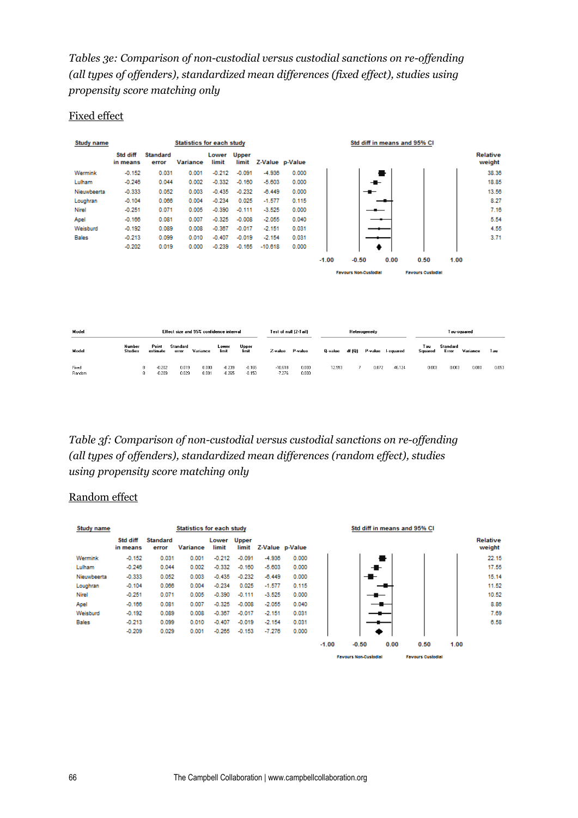*Tables 3e: Comparison of non-custodial versus custodial sanctions on re-offending (all types of offenders), standardized mean differences (fixed effect), studies using propensity score matching only*

## Fixed effect

| Study name      |                          |                                | <b>Statistics for each study</b>        |                                        | Std diff in means and 95% CI |                 |                                         |         |                              |                   |        |                          |                          |          |                    |
|-----------------|--------------------------|--------------------------------|-----------------------------------------|----------------------------------------|------------------------------|-----------------|-----------------------------------------|---------|------------------------------|-------------------|--------|--------------------------|--------------------------|----------|--------------------|
|                 | Std diff<br>in means     | <b>Standard</b><br>error       | <b>Variance</b>                         | Lower<br>limit                         | <b>Upper</b><br>limit        | Z-Value p-Value |                                         |         |                              |                   |        |                          |                          |          | Relative<br>weight |
| Wermink         | $-0.152$                 | 0.031                          | 0.001                                   | $-0.212$                               | $-0.091$                     | $-4.936$        | 0.000                                   |         |                              |                   |        |                          |                          |          | 38.36              |
| Lulham          | $-0.246$                 | 0.044                          | 0.002                                   | $-0.332$                               | $-0.160$                     | $-5.603$        | 0.000                                   |         |                              |                   |        |                          |                          |          | 18.85              |
| Nieuwbeerta     | $-0.333$                 | 0.052                          | 0.003                                   | $-0.435$                               | $-0.232$                     | $-6.449$        | 0.000                                   |         |                              |                   |        |                          |                          |          | 13.56              |
| Loughran        | $-0.104$                 | 0.066                          | 0.004                                   | $-0.234$                               | 0.025                        | $-1.577$        | 0.115                                   |         |                              |                   |        |                          |                          |          | 8.27               |
| Nirel           | $-0.251$                 | 0.071                          | 0.005                                   | $-0.390$                               | $-0.111$                     | $-3.525$        | 0.000                                   |         |                              |                   |        |                          |                          |          | 7.16               |
| Apel            | $-0.166$                 | 0.081                          | 0.007                                   | $-0.325$                               | $-0.008$                     | $-2.055$        | 0.040                                   |         |                              |                   |        |                          |                          |          | 5.54               |
| Weisburd        | $-0.192$                 | 0.089                          | 0.008                                   | $-0.367$                               | $-0.017$                     | $-2.151$        | 0.031                                   |         |                              |                   |        |                          |                          |          | 4.55               |
| Bales           | $-0.213$                 | 0.099                          | 0.010                                   | $-0.407$                               | $-0.019$                     | $-2.154$        | 0.031                                   |         |                              |                   |        |                          |                          |          | 3.71               |
|                 | $-0.202$                 | 0.019                          | 0.000                                   | $-0.239$                               | $-0.165$                     | $-10.618$       | 0.000                                   |         |                              |                   |        |                          |                          |          |                    |
|                 |                          |                                |                                         |                                        |                              |                 |                                         | $-1.00$ | $-0.50$                      |                   | 0.00   | 0.50                     | 1.00                     |          |                    |
|                 |                          |                                |                                         |                                        |                              |                 |                                         |         | <b>Favours Non-Custodial</b> |                   |        | <b>Favours Custodial</b> |                          |          |                    |
|                 |                          |                                |                                         |                                        |                              |                 |                                         |         |                              |                   |        |                          |                          |          |                    |
|                 |                          |                                |                                         |                                        |                              |                 |                                         |         |                              |                   |        |                          |                          |          |                    |
|                 |                          |                                |                                         |                                        |                              |                 |                                         |         |                              |                   |        |                          |                          |          |                    |
|                 |                          |                                |                                         |                                        |                              |                 |                                         |         |                              |                   |        |                          |                          |          |                    |
|                 |                          |                                |                                         |                                        |                              |                 |                                         |         |                              |                   |        |                          |                          |          |                    |
| Model           |                          |                                | Effect size and 95% confidence interval |                                        |                              |                 | Test of null (2-Tail)                   |         | Heterogeneity                |                   |        |                          | Tau-squared              |          |                    |
| Model           | Number<br><b>Studies</b> | Point<br>estimate              | Standard<br>Variance<br>error           | Lower<br>limit                         | Upper<br>limit               | Z-value         | P-value                                 | Q-value | df (Q)                       | P-value I-squared |        | Tau<br>Squared           | <b>Standard</b><br>Error | Variance | Tau                |
| Fixed<br>Random |                          | $-0.202$<br>8<br>8<br>$-0.209$ | 0.019<br>0.029                          | 0.000<br>$-0.239$<br>0.001<br>$-0.265$ | $-0.165$<br>$-0.153$         |                 | $-10.618$<br>0.000<br>$-7.276$<br>0.000 | 12.993  | 7                            | 0.072             | 46.124 | 0.003                    | 0.003                    | 0.000    | 0.053              |

*Table 3f: Comparison of non-custodial versus custodial sanctions on re-offending (all types of offenders), standardized mean differences (random effect), studies using propensity score matching only*

## Random effect

| Study name  |                      |                          | <b>Statistics for each study</b> |                      |          |                 | Std diff in means and 95% CI |         |                              |      |                          |      |                    |  |  |
|-------------|----------------------|--------------------------|----------------------------------|----------------------|----------|-----------------|------------------------------|---------|------------------------------|------|--------------------------|------|--------------------|--|--|
|             | Std diff<br>in means | <b>Standard</b><br>error | Variance                         | Lower Upper<br>limit | limit    | Z-Value p-Value |                              |         |                              |      |                          |      | Relative<br>weight |  |  |
| Wermink     | $-0.152$             | 0.031                    | 0.001                            | $-0.212$             | $-0.091$ | $-4.936$        | 0.000                        |         |                              | 를    |                          |      | 22.15              |  |  |
| Lulham      | $-0.246$             | 0.044                    | 0.002                            | $-0.332$             | $-0.160$ | $-5.603$        | 0.000                        |         | -∎-                          |      |                          |      | 17.55              |  |  |
| Nieuwbeerta | $-0.333$             | 0.052                    | 0.003                            | $-0.435$             | $-0.232$ | $-6.449$        | 0.000                        |         | ╼█╾                          |      |                          |      | 15.14              |  |  |
| Loughran    | $-0.104$             | 0.066                    | 0.004                            | $-0.234$             | 0.025    | $-1.577$        | 0.115                        |         |                              |      |                          |      | 11.52              |  |  |
| Nirel       | $-0.251$             | 0.071                    | 0.005                            | $-0.390$             | $-0.111$ | $-3.525$        | 0.000                        |         |                              |      |                          |      | 10.52              |  |  |
| Apel        | $-0.166$             | 0.081                    | 0.007                            | $-0.325$             | $-0.008$ | $-2.055$        | 0.040                        |         |                              |      |                          |      | 8.86               |  |  |
| Weisburd    | $-0.192$             | 0.089                    | 0.008                            | $-0.367$             | $-0.017$ | $-2.151$        | 0.031                        |         |                              |      |                          |      | 7.69               |  |  |
| Bales       | $-0.213$             | 0.099                    | 0.010                            | $-0.407$             | $-0.019$ | $-2.154$        | 0.031                        |         |                              |      |                          |      | 6.58               |  |  |
|             | $-0.209$             | 0.029                    | 0.001                            | $-0.265$             | $-0.153$ | $-7.276$        | 0.000                        |         |                              |      |                          |      |                    |  |  |
|             |                      |                          |                                  |                      |          |                 |                              | $-1.00$ | $-0.50$                      | 0.00 | 0.50                     | 1.00 |                    |  |  |
|             |                      |                          |                                  |                      |          |                 |                              |         | <b>Favours Non-Custodial</b> |      | <b>Favours Custodial</b> |      |                    |  |  |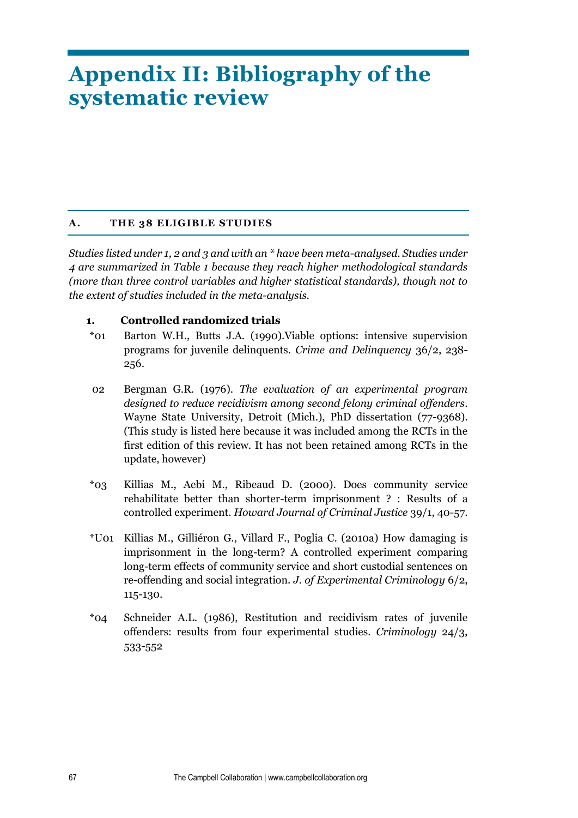# **Appendix II: Bibliography of the systematic review**

# **A. THE 38 ELIGIBLE STUDIES**

*Studies listed under 1, 2 and 3 and with an \* have been meta-analysed. Studies under 4 are summarized in Table 1 because they reach higher methodological standards (more than three control variables and higher statistical standards), though not to the extent of studies included in the meta-analysis.* 

## **1. Controlled randomized trials**

- \*01 Barton W.H., Butts J.A. (1990).Viable options: intensive supervision programs for juvenile delinquents. *Crime and Delinquency* 36/2, 238- 256.
- 02 Bergman G.R. (1976). *The evaluation of an experimental program designed to reduce recidivism among second felony criminal offenders*. Wayne State University, Detroit (Mich.), PhD dissertation (77-9368). (This study is listed here because it was included among the RCTs in the first edition of this review. It has not been retained among RCTs in the update, however)
- \*03 Killias M., Aebi M., Ribeaud D. (2000). Does community service rehabilitate better than shorter-term imprisonment ? : Results of a controlled experiment. *Howard Journal of Criminal Justice* 39/1, 40-57.
- \*U01 Killias M., Gilliéron G., Villard F., Poglia C. (2010a) How damaging is imprisonment in the long-term? A controlled experiment comparing long-term effects of community service and short custodial sentences on re-offending and social integration. *J. of Experimental Criminology* 6/2, 115-130.
- \*04 Schneider A.L. (1986), Restitution and recidivism rates of juvenile offenders: results from four experimental studies. *Criminology* 24/3, 533-552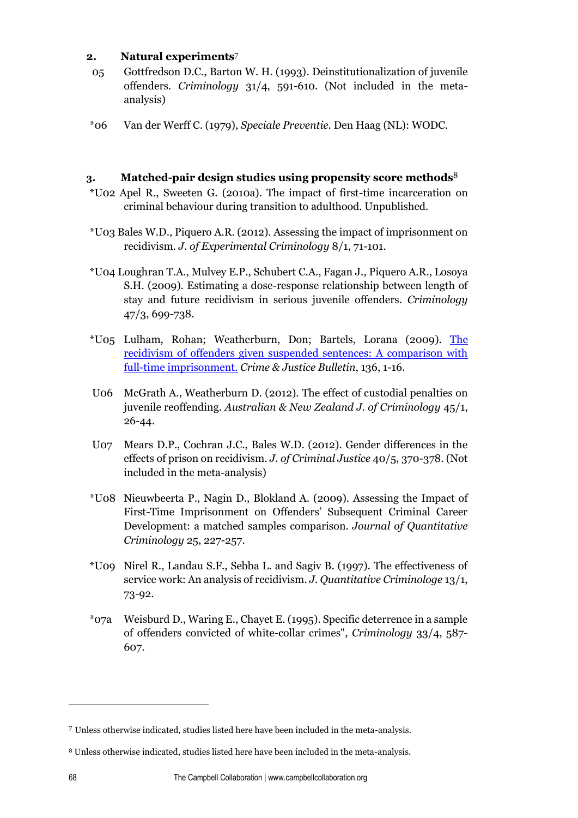## **2. Natural experiments**<sup>7</sup>

- 05 Gottfredson D.C., Barton W. H. (1993). Deinstitutionalization of juvenile offenders. *Criminology* 31/4, 591-610. (Not included in the metaanalysis)
- \*06 Van der Werff C. (1979), *Speciale Preventie*. Den Haag (NL): WODC.

# **3. Matched-pair design studies using propensity score methods**<sup>8</sup>

- \*U02 Apel R., Sweeten G. (2010a). The impact of first-time incarceration on criminal behaviour during transition to adulthood. Unpublished.
- \*U03 Bales W.D., Piquero A.R. (2012). Assessing the impact of imprisonment on recidivism. *J. of Experimental Criminology* 8/1, 71-101.
- \*U04 Loughran T.A., Mulvey E.P., Schubert C.A., Fagan J., Piquero A.R., Losoya S.H. (2009). Estimating a dose-response relationship between length of stay and future recidivism in serious juvenile offenders. *Criminology*  47/3, 699-738.
- \*U05 Lulham, Rohan; Weatherburn, Don; Bartels, Lorana (2009). [The](http://web.b.ebscohost.com/ehost/viewarticle?data=dGJyMPPp44rp2%2FdV0%2Bnjisfk5Ie46a9Krq%2BxSrak63nn5Kx95uXxjL6prUmwpbBIr6qeTbipt1Kzqp5Zy5zyit%2Fk8Xnh6ueH7N%2FiVbCmtE6zqrdIsZzqeezdu37wnOJ6u9noeaTq33%2B7t8w%2B3%2BS7TLaqtki0r7E%2B5OXwhd%2Fqu37z4uqM4%2B7y&hid=121)  [recidivism of offenders given suspended sentences: A comparison with](http://web.b.ebscohost.com/ehost/viewarticle?data=dGJyMPPp44rp2%2FdV0%2Bnjisfk5Ie46a9Krq%2BxSrak63nn5Kx95uXxjL6prUmwpbBIr6qeTbipt1Kzqp5Zy5zyit%2Fk8Xnh6ueH7N%2FiVbCmtE6zqrdIsZzqeezdu37wnOJ6u9noeaTq33%2B7t8w%2B3%2BS7TLaqtki0r7E%2B5OXwhd%2Fqu37z4uqM4%2B7y&hid=121)  [full-time imprisonment.](http://web.b.ebscohost.com/ehost/viewarticle?data=dGJyMPPp44rp2%2FdV0%2Bnjisfk5Ie46a9Krq%2BxSrak63nn5Kx95uXxjL6prUmwpbBIr6qeTbipt1Kzqp5Zy5zyit%2Fk8Xnh6ueH7N%2FiVbCmtE6zqrdIsZzqeezdu37wnOJ6u9noeaTq33%2B7t8w%2B3%2BS7TLaqtki0r7E%2B5OXwhd%2Fqu37z4uqM4%2B7y&hid=121) *Crime & Justice Bulletin*, 136, 1-16.
- U06 McGrath A., Weatherburn D. (2012). The effect of custodial penalties on juvenile reoffending. *Australian & New Zealand J. of Criminology* 45/1, 26-44.
- U07 Mears D.P., Cochran J.C., Bales W.D. (2012). Gender differences in the effects of prison on recidivism. *J. of Criminal Justice* 40/5, 370-378. (Not included in the meta-analysis)
- \*U08 Nieuwbeerta P., Nagin D., Blokland A. (2009). Assessing the Impact of First-Time Imprisonment on Offenders' Subsequent Criminal Career Development: a matched samples comparison. *Journal of Quantitative Criminology* 25, 227-257.
- \*U09 Nirel R., Landau S.F., Sebba L. and Sagiv B. (1997). The effectiveness of service work: An analysis of recidivism. *J. Quantitative Criminologe* 13/1, 73-92.
- \*07a Weisburd D., Waring E., Chayet E. (1995). Specific deterrence in a sample of offenders convicted of white-collar crimes", *Criminology* 33/4, 587- 607.

 $\overline{a}$ 

<sup>7</sup> Unless otherwise indicated, studies listed here have been included in the meta-analysis.

<sup>8</sup> Unless otherwise indicated, studies listed here have been included in the meta-analysis.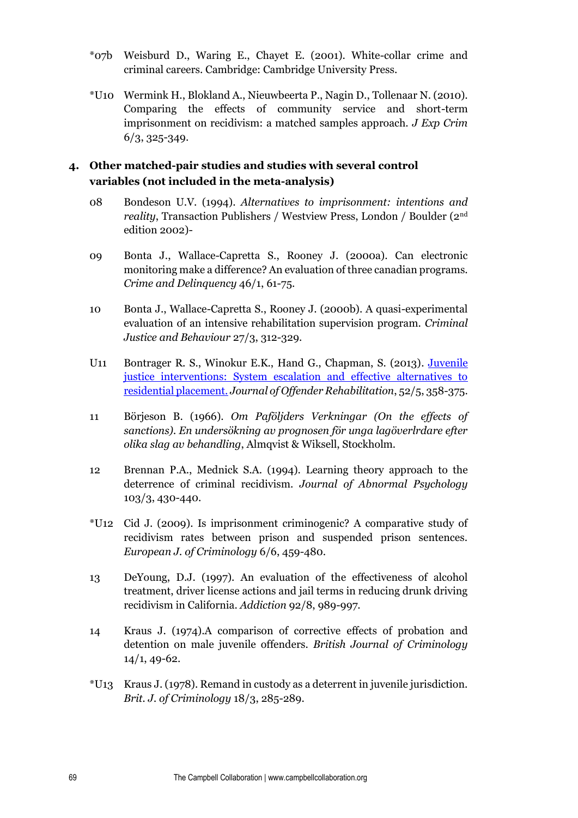- \*07b Weisburd D., Waring E., Chayet E. (2001). White-collar crime and criminal careers. Cambridge: Cambridge University Press.
- \*U10 Wermink H., Blokland A., Nieuwbeerta P., Nagin D., Tollenaar N. (2010). Comparing the effects of community service and short-term imprisonment on recidivism: a matched samples approach. *J Exp Crim*  6/3, 325-349.

# **4. Other matched-pair studies and studies with several control variables (not included in the meta-analysis)**

- 08 Bondeson U.V. (1994). *Alternatives to imprisonment: intentions and reality*, Transaction Publishers / Westview Press, London / Boulder (2nd edition 2002)-
- 09 Bonta J., Wallace-Capretta S., Rooney J. (2000a). Can electronic monitoring make a difference? An evaluation of three canadian programs. *Crime and Delinquency* 46/1, 61-75.
- 10 Bonta J., Wallace-Capretta S., Rooney J. (2000b). A quasi-experimental evaluation of an intensive rehabilitation supervision program. *Criminal Justice and Behaviour* 27/3, 312-329.
- U11 Bontrager R. S., Winokur E.K., Hand G., Chapman, S. (2013). [Juvenile](http://web.b.ebscohost.com/ehost/viewarticle?data=dGJyMPPp44rp2%2FdV0%2Bnjisfk5Ie46a9Krq%2BxSrak63nn5Kx95uXxjL6prUmwpbBIr6qeTbipt1Kzqp5Zy5zyit%2Fk8Xnh6ueH7N%2FiVbCmtE6zqrdIsZzqeezdu37wnOJ6u9noeaTq33%2B7t8w%2B3%2BS7ULavs02yqLM%2B5OXwhd%2Fqu37z4uqM4%2B7y&hid=121)  [justice interventions: System escalation and effective alternatives to](http://web.b.ebscohost.com/ehost/viewarticle?data=dGJyMPPp44rp2%2FdV0%2Bnjisfk5Ie46a9Krq%2BxSrak63nn5Kx95uXxjL6prUmwpbBIr6qeTbipt1Kzqp5Zy5zyit%2Fk8Xnh6ueH7N%2FiVbCmtE6zqrdIsZzqeezdu37wnOJ6u9noeaTq33%2B7t8w%2B3%2BS7ULavs02yqLM%2B5OXwhd%2Fqu37z4uqM4%2B7y&hid=121)  [residential placement.](http://web.b.ebscohost.com/ehost/viewarticle?data=dGJyMPPp44rp2%2FdV0%2Bnjisfk5Ie46a9Krq%2BxSrak63nn5Kx95uXxjL6prUmwpbBIr6qeTbipt1Kzqp5Zy5zyit%2Fk8Xnh6ueH7N%2FiVbCmtE6zqrdIsZzqeezdu37wnOJ6u9noeaTq33%2B7t8w%2B3%2BS7ULavs02yqLM%2B5OXwhd%2Fqu37z4uqM4%2B7y&hid=121) *Journal of Offender Rehabilitation*, 52/5, 358-375.
- 11 Börjeson B. (1966). *Om Paföljders Verkningar (On the effects of sanctions). En undersökning av prognosen för unga lagöverlrdare efter olika slag av behandling*, Almqvist & Wiksell, Stockholm.
- 12 Brennan P.A., Mednick S.A. (1994). Learning theory approach to the deterrence of criminal recidivism. *Journal of Abnormal Psychology*  103/3, 430-440.
- \*U12 Cid J. (2009). Is imprisonment criminogenic? A comparative study of recidivism rates between prison and suspended prison sentences. *European J. of Criminology* 6/6, 459-480.
- 13 DeYoung, D.J. (1997). An evaluation of the effectiveness of alcohol treatment, driver license actions and jail terms in reducing drunk driving recidivism in California. *Addiction* 92/8, 989-997.
- 14 Kraus J. (1974).A comparison of corrective effects of probation and detention on male juvenile offenders. *British Journal of Criminology*  14/1, 49-62.
- \*U13 Kraus J. (1978). Remand in custody as a deterrent in juvenile jurisdiction. *Brit. J. of Criminology* 18/3, 285-289.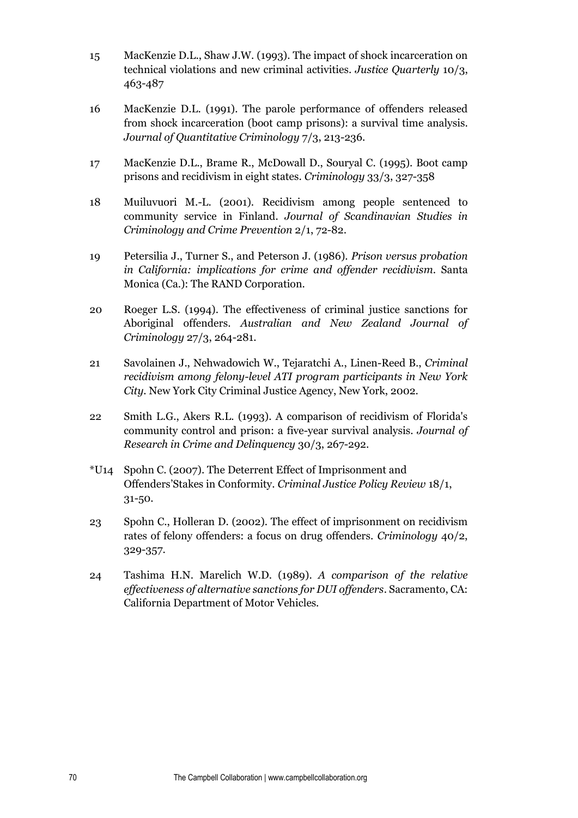- 15 MacKenzie D.L., Shaw J.W. (1993). The impact of shock incarceration on technical violations and new criminal activities. *Justice Quarterly* 10/3, 463-487
- 16 MacKenzie D.L. (1991). The parole performance of offenders released from shock incarceration (boot camp prisons): a survival time analysis. *Journal of Quantitative Criminology* 7/3, 213-236.
- 17 MacKenzie D.L., Brame R., McDowall D., Souryal C. (1995). Boot camp prisons and recidivism in eight states. *Criminology* 33/3, 327-358
- 18 Muiluvuori M.-L. (2001). Recidivism among people sentenced to community service in Finland. *Journal of Scandinavian Studies in Criminology and Crime Prevention* 2/1, 72-82.
- 19 Petersilia J., Turner S., and Peterson J. (1986). *Prison versus probation in California: implications for crime and offender recidivism*. Santa Monica (Ca.): The RAND Corporation.
- 20 Roeger L.S. (1994). The effectiveness of criminal justice sanctions for Aboriginal offenders. *Australian and New Zealand Journal of Criminology* 27/3, 264-281.
- 21 Savolainen J., Nehwadowich W., Tejaratchi A., Linen-Reed B., *Criminal recidivism among felony-level ATI program participants in New York City*. New York City Criminal Justice Agency, New York, 2002.
- 22 Smith L.G., Akers R.L. (1993). A comparison of recidivism of Florida's community control and prison: a five-year survival analysis. *Journal of Research in Crime and Delinquency* 30/3, 267-292.
- \*U14 Spohn C. (2007). The Deterrent Effect of Imprisonment and Offenders'Stakes in Conformity. *Criminal Justice Policy Review* 18/1, 31-50.
- 23 Spohn C., Holleran D. (2002). The effect of imprisonment on recidivism rates of felony offenders: a focus on drug offenders. *Criminology* 40/2, 329-357.
- 24 Tashima H.N. Marelich W.D. (1989). *A comparison of the relative effectiveness of alternative sanctions for DUI offenders*. Sacramento, CA: California Department of Motor Vehicles.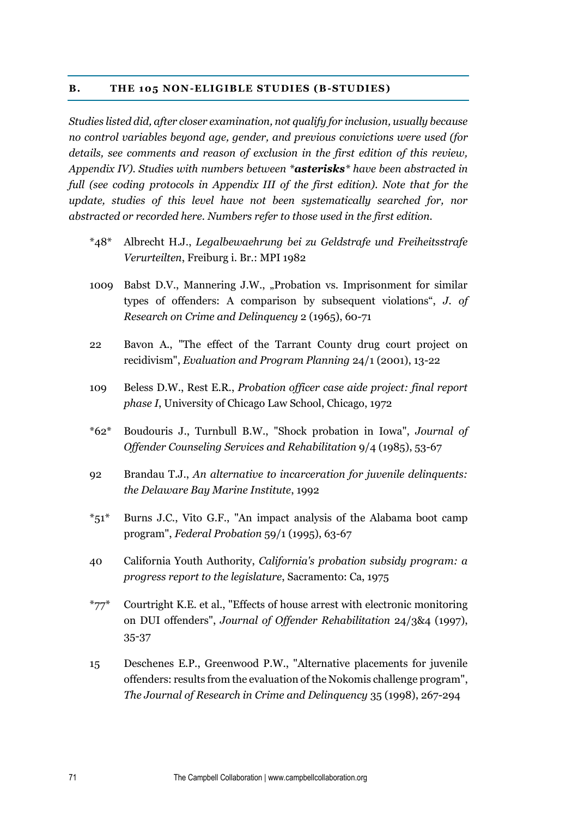#### **B. THE 105 NON-ELIGIBLE STUDIES (B-STUDIES)**

*Studies listed did, after closer examination, not qualify for inclusion, usually because no control variables beyond age, gender, and previous convictions were used (for details, see comments and reason of exclusion in the first edition of this review, Appendix IV). Studies with numbers between \*asterisks\* have been abstracted in full (see coding protocols in Appendix III of the first edition). Note that for the update, studies of this level have not been systematically searched for, nor abstracted or recorded here. Numbers refer to those used in the first edition.* 

- \*48\* Albrecht H.J., *Legalbewaehrung bei zu Geldstrafe und Freiheitsstrafe Verurteilten*, Freiburg i. Br.: MPI 1982
- 1009 Babst D.V., Mannering J.W., "Probation vs. Imprisonment for similar types of offenders: A comparison by subsequent violations", *J. of Research on Crime and Delinquency* 2 (1965), 60-71
- 22 Bavon A., "The effect of the Tarrant County drug court project on recidivism", *Evaluation and Program Planning* 24/1 (2001), 13-22
- 109 Beless D.W., Rest E.R., *Probation officer case aide project: final report phase I*, University of Chicago Law School, Chicago, 1972
- \*62\* Boudouris J., Turnbull B.W., "Shock probation in Iowa", *Journal of Offender Counseling Services and Rehabilitation* 9/4 (1985), 53-67
- 92 Brandau T.J., *An alternative to incarceration for juvenile delinquents: the Delaware Bay Marine Institute*, 1992
- \*51\* Burns J.C., Vito G.F., "An impact analysis of the Alabama boot camp program", *Federal Probation* 59/1 (1995), 63-67
- 40 California Youth Authority, *California's probation subsidy program: a progress report to the legislature*, Sacramento: Ca, 1975
- $*77*$  Courtright K.E. et al., "Effects of house arrest with electronic monitoring on DUI offenders", *Journal of Offender Rehabilitation* 24/3&4 (1997), 35-37
- 15 Deschenes E.P., Greenwood P.W., "Alternative placements for juvenile offenders: results from the evaluation of the Nokomis challenge program", *The Journal of Research in Crime and Delinquency* 35 (1998), 267-294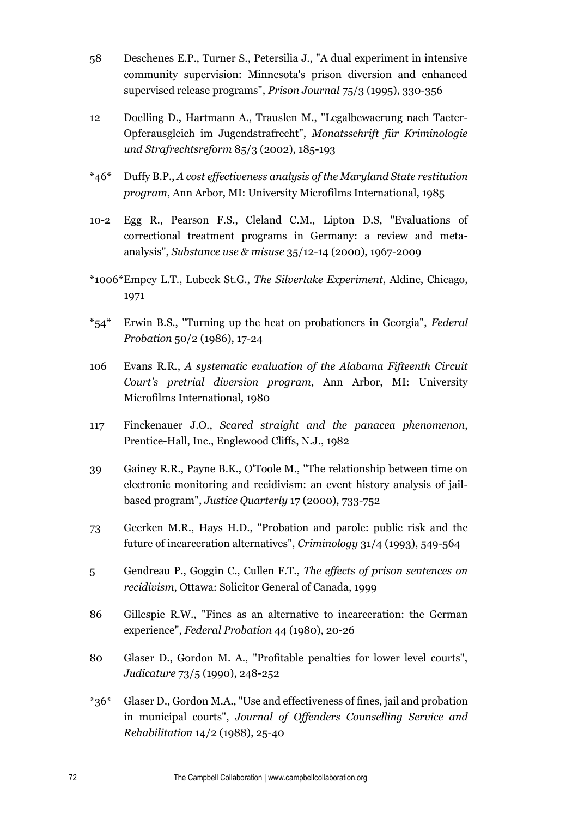- 58 Deschenes E.P., Turner S., Petersilia J., "A dual experiment in intensive community supervision: Minnesota's prison diversion and enhanced supervised release programs", *Prison Journal* 75/3 (1995), 330-356
- 12 Doelling D., Hartmann A., Trauslen M., "Legalbewaerung nach Taeter-Opferausgleich im Jugendstrafrecht", *Monatsschrift für Kriminologie und Strafrechtsreform* 85/3 (2002), 185-193
- \*46\* Duffy B.P., *A cost effectiveness analysis of the Maryland State restitution program*, Ann Arbor, MI: University Microfilms International, 1985
- 10-2 Egg R., Pearson F.S., Cleland C.M., Lipton D.S, "Evaluations of correctional treatment programs in Germany: a review and metaanalysis", *Substance use & misuse* 35/12-14 (2000), 1967-2009
- \*1006\*Empey L.T., Lubeck St.G., *The Silverlake Experiment*, Aldine, Chicago, 1971
- \*54\* Erwin B.S., "Turning up the heat on probationers in Georgia", *Federal Probation* 50/2 (1986), 17-24
- 106 Evans R.R., *A systematic evaluation of the Alabama Fifteenth Circuit Court's pretrial diversion program*, Ann Arbor, MI: University Microfilms International, 1980
- 117 Finckenauer J.O., *Scared straight and the panacea phenomenon*, Prentice-Hall, Inc., Englewood Cliffs, N.J., 1982
- 39 Gainey R.R., Payne B.K., O'Toole M., "The relationship between time on electronic monitoring and recidivism: an event history analysis of jailbased program", *Justice Quarterly* 17 (2000), 733-752
- 73 Geerken M.R., Hays H.D., "Probation and parole: public risk and the future of incarceration alternatives", *Criminology* 31/4 (1993), 549-564
- 5 Gendreau P., Goggin C., Cullen F.T., *The effects of prison sentences on recidivism*, Ottawa: Solicitor General of Canada, 1999
- 86 Gillespie R.W., "Fines as an alternative to incarceration: the German experience", *Federal Probation* 44 (1980), 20-26
- 80 Glaser D., Gordon M. A., "Profitable penalties for lower level courts", *Judicature* 73/5 (1990), 248-252
- \*36\* Glaser D., Gordon M.A., "Use and effectiveness of fines, jail and probation in municipal courts", *Journal of Offenders Counselling Service and Rehabilitation* 14/2 (1988), 25-40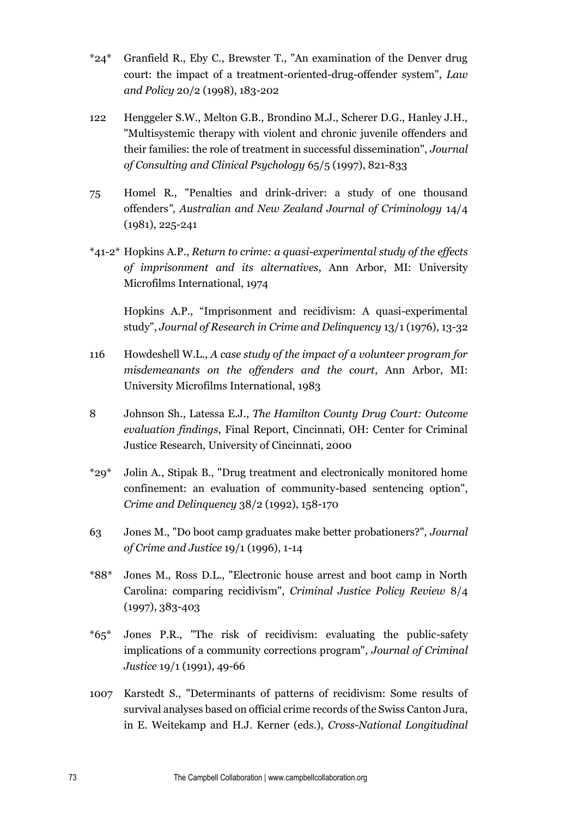- \*24\* Granfield R., Eby C., Brewster T., "An examination of the Denver drug court: the impact of a treatment-oriented-drug-offender system", *Law and Policy* 20/2 (1998), 183-202
- 122 Henggeler S.W., Melton G.B., Brondino M.J., Scherer D.G., Hanley J.H., "Multisystemic therapy with violent and chronic juvenile offenders and their families: the role of treatment in successful dissemination", *Journal of Consulting and Clinical Psychology* 65/5 (1997), 821-833
- 75 Homel R., "Penalties and drink-driver: a study of one thousand offenders*", Australian and New Zealand Journal of Criminology* 14/4 (1981), 225-241
- \*41-2\* Hopkins A.P., *Return to crime: a quasi-experimental study of the effects of imprisonment and its alternatives*, Ann Arbor, MI: University Microfilms International, 1974

Hopkins A.P., "Imprisonment and recidivism: A quasi-experimental study", *Journal of Research in Crime and Delinquency* 13/1 (1976), 13-32

- 116 Howdeshell W.L., *A case study of the impact of a volunteer program for misdemeanants on the offenders and the court*, Ann Arbor, MI: University Microfilms International, 1983
- 8 Johnson Sh., Latessa E.J., *The Hamilton County Drug Court: Outcome evaluation findings*, Final Report, Cincinnati, OH: Center for Criminal Justice Research, University of Cincinnati, 2000
- \*29\* Jolin A., Stipak B., "Drug treatment and electronically monitored home confinement: an evaluation of community-based sentencing option", *Crime and Delinquency* 38/2 (1992), 158-170
- 63 Jones M., "Do boot camp graduates make better probationers?", *Journal of Crime and Justice* 19/1 (1996), 1-14
- \*88\* Jones M., Ross D.L., "Electronic house arrest and boot camp in North Carolina: comparing recidivism", *Criminal Justice Policy Review* 8/4 (1997), 383-403
- \*65\* Jones P.R., "The risk of recidivism: evaluating the public-safety implications of a community corrections program", *Journal of Criminal Justice* 19/1 (1991), 49-66
- 1007 Karstedt S., "Determinants of patterns of recidivism: Some results of survival analyses based on official crime records of the Swiss Canton Jura, in E. Weitekamp and H.J. Kerner (eds.), *Cross-National Longitudinal*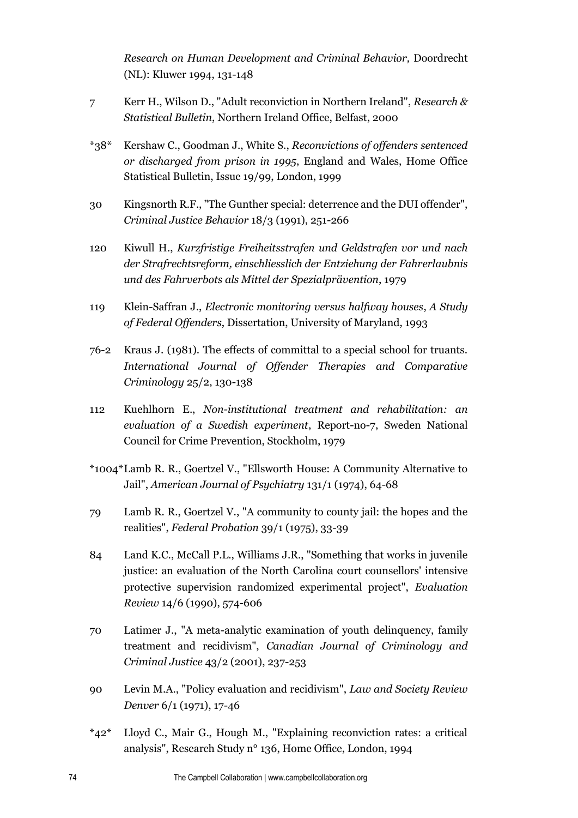*Research on Human Development and Criminal Behavior,* Doordrecht (NL): Kluwer 1994, 131-148

- 7 Kerr H., Wilson D., "Adult reconviction in Northern Ireland", *Research & Statistical Bulletin*, Northern Ireland Office, Belfast, 2000
- \*38\* Kershaw C., Goodman J., White S., *Reconvictions of offenders sentenced or discharged from prison in 1995*, England and Wales, Home Office Statistical Bulletin, Issue 19/99, London, 1999
- 30 Kingsnorth R.F., "The Gunther special: deterrence and the DUI offender", *Criminal Justice Behavior* 18/3 (1991), 251-266
- 120 Kiwull H., *Kurzfristige Freiheitsstrafen und Geldstrafen vor und nach der Strafrechtsreform, einschliesslich der Entziehung der Fahrerlaubnis und des Fahrverbots als Mittel der Spezialprävention*, 1979
- 119 Klein-Saffran J., *Electronic monitoring versus halfway houses*, *A Study of Federal Offenders*, Dissertation, University of Maryland, 1993
- 76-2 Kraus J. (1981). The effects of committal to a special school for truants. *International Journal of Offender Therapies and Comparative Criminology* 25/2, 130-138
- 112 Kuehlhorn E., *Non-institutional treatment and rehabilitation: an evaluation of a Swedish experiment*, Report-no-7, Sweden National Council for Crime Prevention, Stockholm, 1979
- \*1004\*Lamb R. R., Goertzel V., "Ellsworth House: A Community Alternative to Jail", *American Journal of Psychiatry* 131/1 (1974), 64-68
- 79 Lamb R. R., Goertzel V., "A community to county jail: the hopes and the realities", *Federal Probation* 39/1 (1975), 33-39
- 84 Land K.C., McCall P.L., Williams J.R., "Something that works in juvenile justice: an evaluation of the North Carolina court counsellors' intensive protective supervision randomized experimental project", *Evaluation Review* 14/6 (1990), 574-606
- 70 Latimer J., "A meta-analytic examination of youth delinquency, family treatment and recidivism", *Canadian Journal of Criminology and Criminal Justice* 43/2 (2001), 237-253
- 90 Levin M.A., "Policy evaluation and recidivism", *Law and Society Review Denver* 6/1 (1971), 17-46
- \*42\* Lloyd C., Mair G., Hough M., "Explaining reconviction rates: a critical analysis", Research Study n° 136, Home Office, London, 1994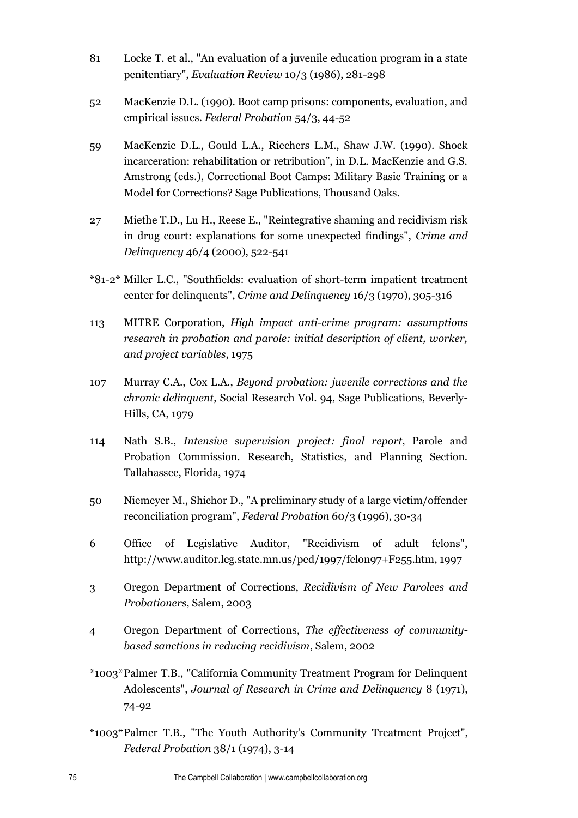- 81 Locke T. et al., "An evaluation of a juvenile education program in a state penitentiary", *Evaluation Review* 10/3 (1986), 281-298
- 52 MacKenzie D.L. (1990). Boot camp prisons: components, evaluation, and empirical issues. *Federal Probation* 54/3, 44-52
- 59 MacKenzie D.L., Gould L.A., Riechers L.M., Shaw J.W. (1990). Shock incarceration: rehabilitation or retribution", in D.L. MacKenzie and G.S. Amstrong (eds.), Correctional Boot Camps: Military Basic Training or a Model for Corrections? Sage Publications, Thousand Oaks.
- 27 Miethe T.D., Lu H., Reese E., "Reintegrative shaming and recidivism risk in drug court: explanations for some unexpected findings", *Crime and Delinquency* 46/4 (2000), 522-541
- \*81-2\* Miller L.C., "Southfields: evaluation of short-term impatient treatment center for delinquents", *Crime and Delinquency* 16/3 (1970), 305-316
- 113 MITRE Corporation, *High impact anti-crime program: assumptions research in probation and parole: initial description of client, worker, and project variables*, 1975
- 107 Murray C.A., Cox L.A., *Beyond probation: juvenile corrections and the chronic delinquent*, Social Research Vol. 94, Sage Publications, Beverly-Hills, CA, 1979
- 114 Nath S.B., *Intensive supervision project: final report*, Parole and Probation Commission. Research, Statistics, and Planning Section. Tallahassee, Florida, 1974
- 50 Niemeyer M., Shichor D., "A preliminary study of a large victim/offender reconciliation program", *Federal Probation* 60/3 (1996), 30-34
- 6 Office of Legislative Auditor, "Recidivism of adult felons", http://www.auditor.leg.state.mn.us/ped/1997/felon97+F255.htm, 1997
- 3 Oregon Department of Corrections, *Recidivism of New Parolees and Probationers*, Salem, 2003
- 4 Oregon Department of Corrections, *The effectiveness of communitybased sanctions in reducing recidivism*, Salem, 2002
- \*1003\*Palmer T.B., "California Community Treatment Program for Delinquent Adolescents", *Journal of Research in Crime and Delinquency* 8 (1971), 74-92
- \*1003\*Palmer T.B., "The Youth Authority's Community Treatment Project", *Federal Probation* 38/1 (1974), 3-14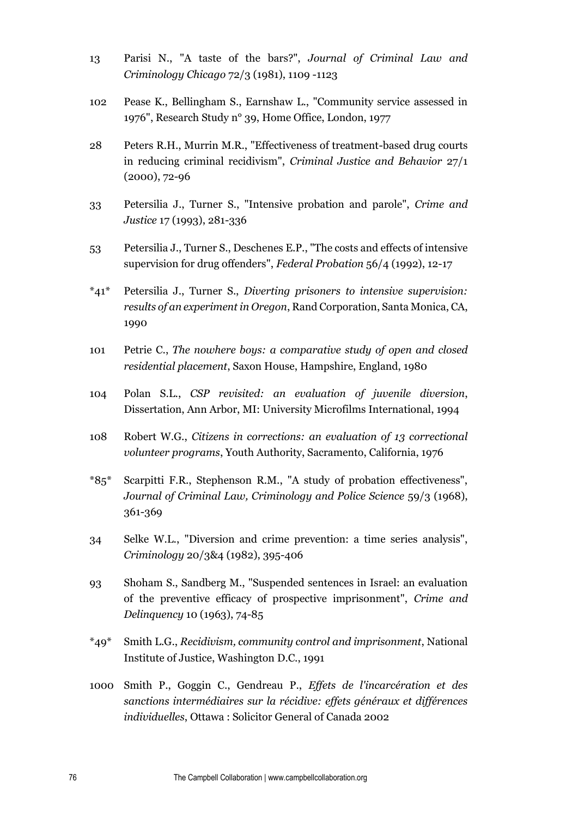- 13 Parisi N., "A taste of the bars?", *Journal of Criminal Law and Criminology Chicago* 72/3 (1981), 1109 -1123
- 102 Pease K., Bellingham S., Earnshaw L., "Community service assessed in 1976", Research Study n° 39, Home Office, London, 1977
- 28 Peters R.H., Murrin M.R., "Effectiveness of treatment-based drug courts in reducing criminal recidivism", *Criminal Justice and Behavior* 27/1 (2000), 72-96
- 33 Petersilia J., Turner S., "Intensive probation and parole", *Crime and Justice* 17 (1993), 281-336
- 53 Petersilia J., Turner S., Deschenes E.P., "The costs and effects of intensive supervision for drug offenders", *Federal Probation* 56/4 (1992), 12-17
- \*41\* Petersilia J., Turner S., *Diverting prisoners to intensive supervision: results of an experiment in Oregon*, Rand Corporation, Santa Monica, CA, 1990
- 101 Petrie C., *The nowhere boys: a comparative study of open and closed residential placement*, Saxon House, Hampshire, England, 1980
- 104 Polan S.L., *CSP revisited: an evaluation of juvenile diversion*, Dissertation, Ann Arbor, MI: University Microfilms International, 1994
- 108 Robert W.G., *Citizens in corrections: an evaluation of 13 correctional volunteer programs*, Youth Authority, Sacramento, California, 1976
- \*85\* Scarpitti F.R., Stephenson R.M., "A study of probation effectiveness", *Journal of Criminal Law, Criminology and Police Science* 59/3 (1968), 361-369
- 34 Selke W.L., "Diversion and crime prevention: a time series analysis", *Criminology* 20/3&4 (1982), 395-406
- 93 Shoham S., Sandberg M., "Suspended sentences in Israel: an evaluation of the preventive efficacy of prospective imprisonment", *Crime and Delinquency* 10 (1963), 74-85
- \*49\* Smith L.G., *Recidivism, community control and imprisonment*, National Institute of Justice, Washington D.C., 1991
- 1000 Smith P., Goggin C., Gendreau P., *Effets de l'incarcération et des sanctions intermédiaires sur la récidive: effets généraux et différences individuelles*, Ottawa : Solicitor General of Canada 2002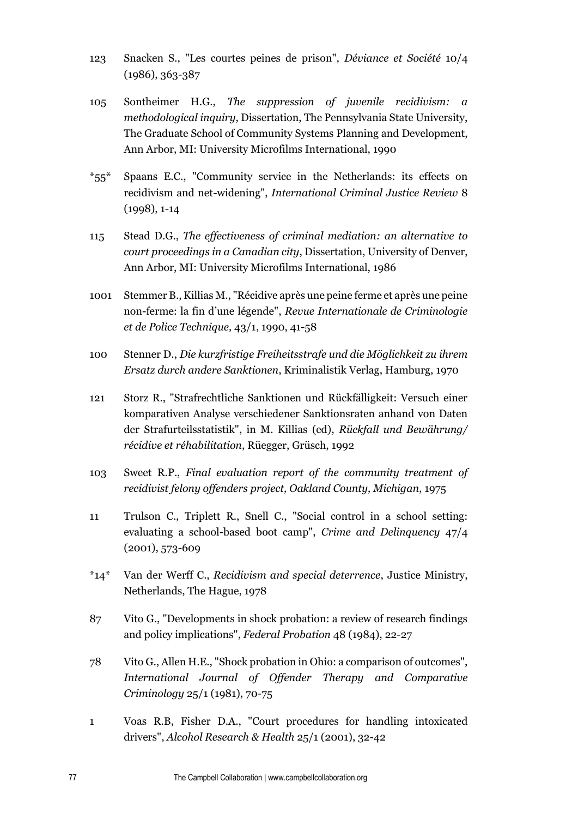- 123 Snacken S., "Les courtes peines de prison", *Déviance et Société* 10/4 (1986), 363-387
- 105 Sontheimer H.G., *The suppression of juvenile recidivism: a methodological inquiry*, Dissertation, The Pennsylvania State University, The Graduate School of Community Systems Planning and Development, Ann Arbor, MI: University Microfilms International, 1990
- \*55\* Spaans E.C., "Community service in the Netherlands: its effects on recidivism and net-widening", *International Criminal Justice Review* 8 (1998), 1-14
- 115 Stead D.G., *The effectiveness of criminal mediation: an alternative to court proceedings in a Canadian city*, Dissertation, University of Denver, Ann Arbor, MI: University Microfilms International, 1986
- 1001 Stemmer B., Killias M., "Récidive après une peine ferme et après une peine non-ferme: la fin d'une légende", *Revue Internationale de Criminologie et de Police Technique,* 43/1, 1990, 41-58
- 100 Stenner D., *Die kurzfristige Freiheitsstrafe und die Möglichkeit zu ihrem Ersatz durch andere Sanktionen*, Kriminalistik Verlag, Hamburg, 1970
- 121 Storz R., "Strafrechtliche Sanktionen und Rückfälligkeit: Versuch einer komparativen Analyse verschiedener Sanktionsraten anhand von Daten der Strafurteilsstatistik", in M. Killias (ed), *Rückfall und Bewährung/ récidive et réhabilitation*, Rüegger, Grüsch, 1992
- 103 Sweet R.P., *Final evaluation report of the community treatment of recidivist felony offenders project, Oakland County, Michigan*, 1975
- 11 Trulson C., Triplett R., Snell C., "Social control in a school setting: evaluating a school-based boot camp", *Crime and Delinquency* 47/4 (2001), 573-609
- \*14\* Van der Werff C., *Recidivism and special deterrence*, Justice Ministry, Netherlands, The Hague, 1978
- 87 Vito G., "Developments in shock probation: a review of research findings and policy implications", *Federal Probation* 48 (1984), 22-27
- 78 Vito G., Allen H.E., "Shock probation in Ohio: a comparison of outcomes", *International Journal of Offender Therapy and Comparative Criminology* 25/1 (1981), 70-75
- 1 Voas R.B, Fisher D.A., "Court procedures for handling intoxicated drivers", *Alcohol Research & Health* 25/1 (2001), 32-42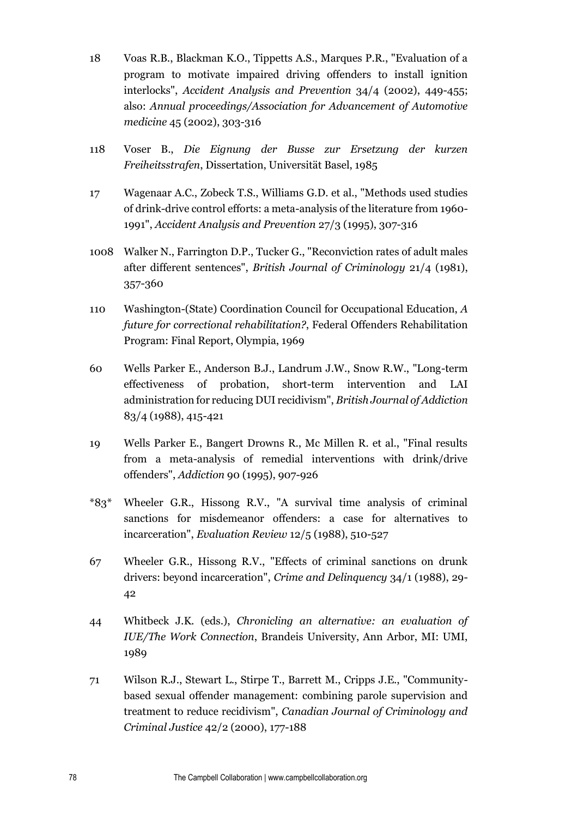- 18 Voas R.B., Blackman K.O., Tippetts A.S., Marques P.R., "Evaluation of a program to motivate impaired driving offenders to install ignition interlocks", *Accident Analysis and Prevention* 34/4 (2002), 449-455; also: *Annual proceedings/Association for Advancement of Automotive medicine* 45 (2002), 303-316
- 118 Voser B., *Die Eignung der Busse zur Ersetzung der kurzen Freiheitsstrafen*, Dissertation, Universität Basel, 1985
- 17 Wagenaar A.C., Zobeck T.S., Williams G.D. et al., "Methods used studies of drink-drive control efforts: a meta-analysis of the literature from 1960- 1991", *Accident Analysis and Prevention* 27/3 (1995), 307-316
- 1008 Walker N., Farrington D.P., Tucker G., "Reconviction rates of adult males after different sentences", *British Journal of Criminology* 21/4 (1981), 357-360
- 110 Washington-(State) Coordination Council for Occupational Education, *A future for correctional rehabilitation?*, Federal Offenders Rehabilitation Program: Final Report, Olympia, 1969
- 60 Wells Parker E., Anderson B.J., Landrum J.W., Snow R.W., "Long-term effectiveness of probation, short-term intervention and LAI administration for reducing DUI recidivism", *British Journal of Addiction*  83/4 (1988), 415-421
- 19 Wells Parker E., Bangert Drowns R., Mc Millen R. et al., "Final results from a meta-analysis of remedial interventions with drink/drive offenders", *Addiction* 90 (1995), 907-926
- \*83\* Wheeler G.R., Hissong R.V., "A survival time analysis of criminal sanctions for misdemeanor offenders: a case for alternatives to incarceration", *Evaluation Review* 12/5 (1988), 510-527
- 67 Wheeler G.R., Hissong R.V., "Effects of criminal sanctions on drunk drivers: beyond incarceration", *Crime and Delinquency* 34/1 (1988), 29- 42
- 44 Whitbeck J.K. (eds.), *Chronicling an alternative: an evaluation of IUE/The Work Connection*, Brandeis University, Ann Arbor, MI: UMI, 1989
- 71 Wilson R.J., Stewart L., Stirpe T., Barrett M., Cripps J.E., "Communitybased sexual offender management: combining parole supervision and treatment to reduce recidivism", *Canadian Journal of Criminology and Criminal Justice* 42/2 (2000), 177-188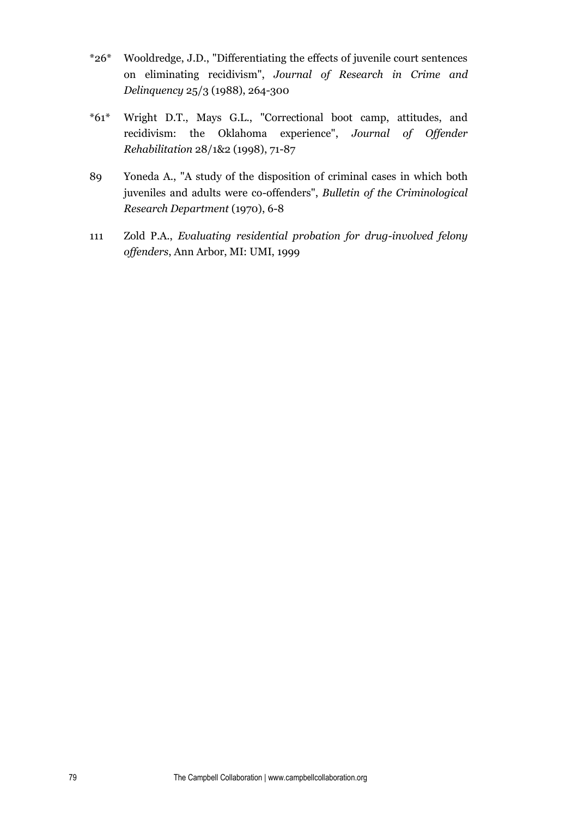- \*26\* Wooldredge, J.D., "Differentiating the effects of juvenile court sentences on eliminating recidivism", *Journal of Research in Crime and Delinquency* 25/3 (1988), 264-300
- \*61\* Wright D.T., Mays G.L., "Correctional boot camp, attitudes, and recidivism: the Oklahoma experience", *Journal of Offender Rehabilitation* 28/1&2 (1998), 71-87
- 89 Yoneda A., "A study of the disposition of criminal cases in which both juveniles and adults were co-offenders", *Bulletin of the Criminological Research Department* (1970), 6-8
- 111 Zold P.A., *Evaluating residential probation for drug-involved felony offenders*, Ann Arbor, MI: UMI, 1999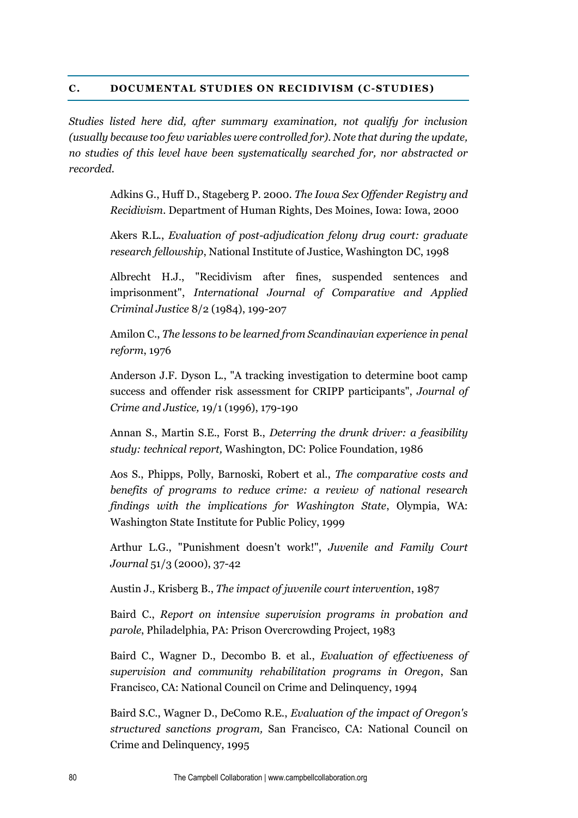## **C. DOCUMENTAL STUDIES ON RECIDIVISM (C-STUDIES)**

*Studies listed here did, after summary examination, not qualify for inclusion (usually because too few variables were controlled for). Note that during the update, no studies of this level have been systematically searched for, nor abstracted or recorded.* 

> Adkins G., Huff D., Stageberg P. 2000. *The Iowa Sex Offender Registry and Recidivism.* Department of Human Rights, Des Moines, Iowa: Iowa, 2000

> Akers R.L., *Evaluation of post-adjudication felony drug court: graduate research fellowship*, National Institute of Justice, Washington DC, 1998

> Albrecht H.J., "Recidivism after fines, suspended sentences and imprisonment", *International Journal of Comparative and Applied Criminal Justice* 8/2 (1984), 199-207

> Amilon C., *The lessons to be learned from Scandinavian experience in penal reform*, 1976

> Anderson J.F. Dyson L., "A tracking investigation to determine boot camp success and offender risk assessment for CRIPP participants", *Journal of Crime and Justice,* 19/1 (1996), 179-190

> Annan S., Martin S.E., Forst B., *Deterring the drunk driver: a feasibility study: technical report,* Washington, DC: Police Foundation, 1986

> Aos S., Phipps, Polly, Barnoski, Robert et al., *The comparative costs and benefits of programs to reduce crime: a review of national research findings with the implications for Washington State*, Olympia, WA: Washington State Institute for Public Policy, 1999

> Arthur L.G., "Punishment doesn't work!", *Juvenile and Family Court Journal* 51/3 (2000), 37-42

Austin J., Krisberg B., *The impact of juvenile court intervention*, 1987

Baird C., *Report on intensive supervision programs in probation and parole*, Philadelphia, PA: Prison Overcrowding Project, 1983

Baird C., Wagner D., Decombo B. et al., *Evaluation of effectiveness of supervision and community rehabilitation programs in Oregon*, San Francisco, CA: National Council on Crime and Delinquency, 1994

Baird S.C., Wagner D., DeComo R.E., *Evaluation of the impact of Oregon's structured sanctions program,* San Francisco, CA: National Council on Crime and Delinquency, 1995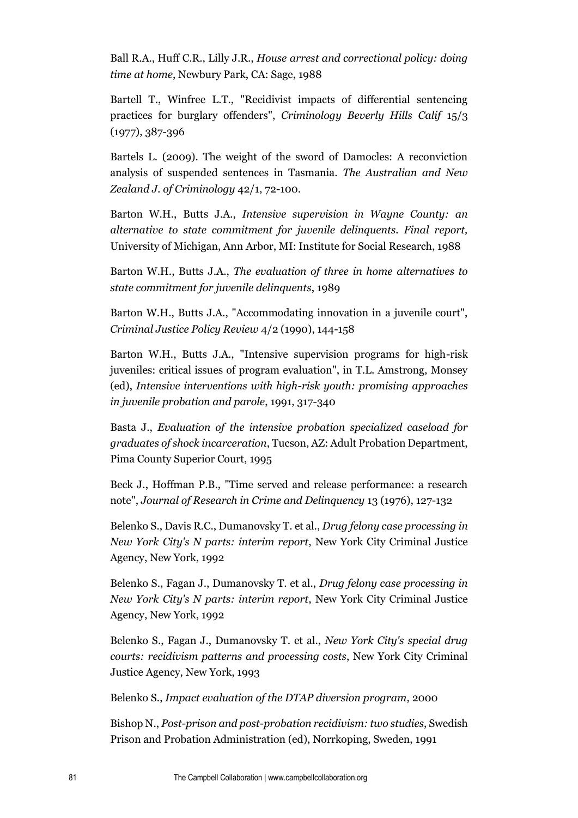Ball R.A., Huff C.R., Lilly J.R., *House arrest and correctional policy: doing time at home*, Newbury Park, CA: Sage, 1988

Bartell T., Winfree L.T., "Recidivist impacts of differential sentencing practices for burglary offenders", *Criminology Beverly Hills Calif* 15/3 (1977), 387-396

Bartels L. (2009). The weight of the sword of Damocles: A reconviction analysis of suspended sentences in Tasmania. *The Australian and New Zealand J. of Criminology* 42/1, 72-100.

Barton W.H., Butts J.A., *Intensive supervision in Wayne County: an alternative to state commitment for juvenile delinquents. Final report,*  University of Michigan, Ann Arbor, MI: Institute for Social Research, 1988

Barton W.H., Butts J.A., *The evaluation of three in home alternatives to state commitment for juvenile delinquents*, 1989

Barton W.H., Butts J.A., "Accommodating innovation in a juvenile court", *Criminal Justice Policy Review* 4/2 (1990), 144-158

Barton W.H., Butts J.A., "Intensive supervision programs for high-risk juveniles: critical issues of program evaluation", in T.L. Amstrong, Monsey (ed), *Intensive interventions with high-risk youth: promising approaches in juvenile probation and parole*, 1991, 317-340

Basta J., *Evaluation of the intensive probation specialized caseload for graduates of shock incarceration*, Tucson, AZ: Adult Probation Department, Pima County Superior Court, 1995

Beck J., Hoffman P.B., "Time served and release performance: a research note", *Journal of Research in Crime and Delinquency* 13 (1976), 127-132

Belenko S., Davis R.C., Dumanovsky T. et al., *Drug felony case processing in New York City's N parts: interim report*, New York City Criminal Justice Agency, New York, 1992

Belenko S., Fagan J., Dumanovsky T. et al., *Drug felony case processing in New York City's N parts: interim report*, New York City Criminal Justice Agency, New York, 1992

Belenko S., Fagan J., Dumanovsky T. et al., *New York City's special drug courts: recidivism patterns and processing costs*, New York City Criminal Justice Agency, New York, 1993

Belenko S., *Impact evaluation of the DTAP diversion program*, 2000

Bishop N., *Post-prison and post-probation recidivism: two studies*, Swedish Prison and Probation Administration (ed), Norrkoping, Sweden, 1991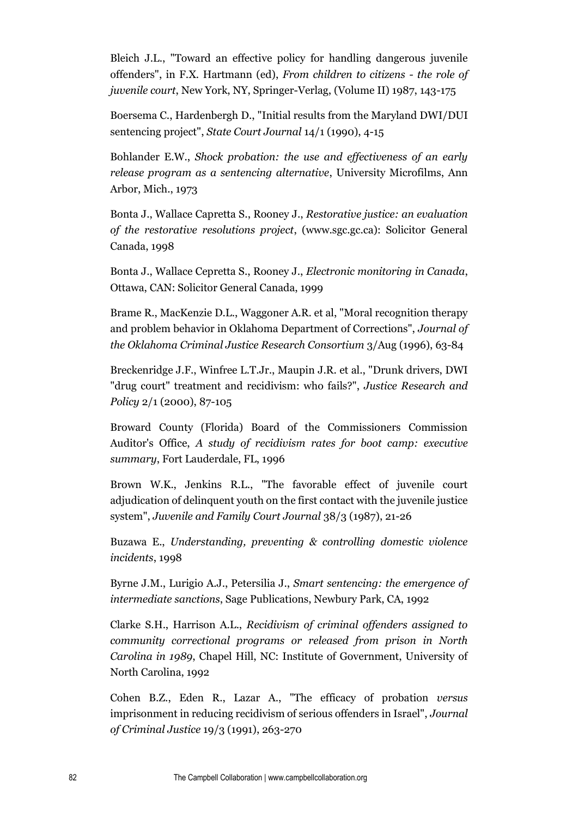Bleich J.L., "Toward an effective policy for handling dangerous juvenile offenders", in F.X. Hartmann (ed), *From children to citizens - the role of juvenile court*, New York, NY, Springer-Verlag, (Volume II) 1987, 143-175

Boersema C., Hardenbergh D., "Initial results from the Maryland DWI/DUI sentencing project", *State Court Journal* 14/1 (1990), 4-15

Bohlander E.W., *Shock probation: the use and effectiveness of an early release program as a sentencing alternative*, University Microfilms, Ann Arbor, Mich., 1973

Bonta J., Wallace Capretta S., Rooney J., *Restorative justice: an evaluation of the restorative resolutions project*, (www.sgc.gc.ca): Solicitor General Canada, 1998

Bonta J., Wallace Cepretta S., Rooney J., *Electronic monitoring in Canada*, Ottawa, CAN: Solicitor General Canada, 1999

Brame R., MacKenzie D.L., Waggoner A.R. et al, "Moral recognition therapy and problem behavior in Oklahoma Department of Corrections", *Journal of the Oklahoma Criminal Justice Research Consortium* 3/Aug (1996), 63-84

Breckenridge J.F., Winfree L.T.Jr., Maupin J.R. et al., "Drunk drivers, DWI "drug court" treatment and recidivism: who fails?", *Justice Research and Policy* 2/1 (2000), 87-105

Broward County (Florida) Board of the Commissioners Commission Auditor's Office, *A study of recidivism rates for boot camp: executive summary*, Fort Lauderdale, FL, 1996

Brown W.K., Jenkins R.L., "The favorable effect of juvenile court adjudication of delinquent youth on the first contact with the juvenile justice system", *Juvenile and Family Court Journal* 38/3 (1987), 21-26

Buzawa E., *Understanding, preventing & controlling domestic violence incidents*, 1998

Byrne J.M., Lurigio A.J., Petersilia J., *Smart sentencing: the emergence of intermediate sanctions*, Sage Publications, Newbury Park, CA, 1992

Clarke S.H., Harrison A.L., *Recidivism of criminal offenders assigned to community correctional programs or released from prison in North Carolina in 1989*, Chapel Hill, NC: Institute of Government, University of North Carolina, 1992

Cohen B.Z., Eden R., Lazar A., "The efficacy of probation *versus* imprisonment in reducing recidivism of serious offenders in Israel", *Journal of Criminal Justice* 19/3 (1991), 263-270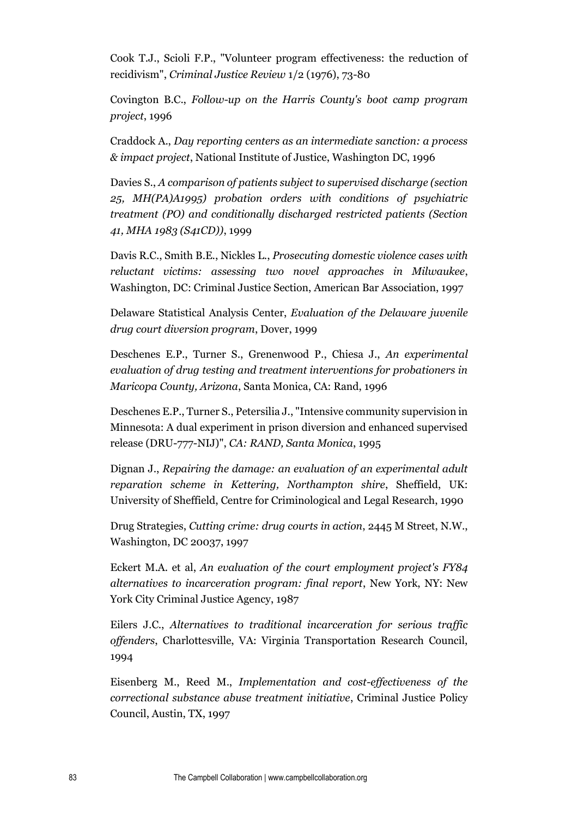Cook T.J., Scioli F.P., "Volunteer program effectiveness: the reduction of recidivism", *Criminal Justice Review* 1/2 (1976), 73-80

Covington B.C., *Follow-up on the Harris County's boot camp program project*, 1996

Craddock A., *Day reporting centers as an intermediate sanction: a process & impact project*, National Institute of Justice, Washington DC, 1996

Davies S., *A comparison of patients subject to supervised discharge (section 25, MH(PA)A1995) probation orders with conditions of psychiatric treatment (PO) and conditionally discharged restricted patients (Section 41, MHA 1983 (S41CD))*, 1999

Davis R.C., Smith B.E., Nickles L., *Prosecuting domestic violence cases with reluctant victims: assessing two novel approaches in Milwaukee*, Washington, DC: Criminal Justice Section, American Bar Association, 1997

Delaware Statistical Analysis Center, *Evaluation of the Delaware juvenile drug court diversion program*, Dover, 1999

Deschenes E.P., Turner S., Grenenwood P., Chiesa J., *An experimental evaluation of drug testing and treatment interventions for probationers in Maricopa County, Arizona*, Santa Monica, CA: Rand, 1996

Deschenes E.P., Turner S., Petersilia J., "Intensive community supervision in Minnesota: A dual experiment in prison diversion and enhanced supervised release (DRU-777-NIJ)", *CA: RAND, Santa Monica*, 1995

Dignan J., *Repairing the damage: an evaluation of an experimental adult reparation scheme in Kettering, Northampton shire*, Sheffield, UK: University of Sheffield, Centre for Criminological and Legal Research, 1990

Drug Strategies, *Cutting crime: drug courts in action*, 2445 M Street, N.W., Washington, DC 20037, 1997

Eckert M.A. et al, *An evaluation of the court employment project's FY84 alternatives to incarceration program: final report*, New York, NY: New York City Criminal Justice Agency, 1987

Eilers J.C., *Alternatives to traditional incarceration for serious traffic offenders*, Charlottesville, VA: Virginia Transportation Research Council, 1994

Eisenberg M., Reed M., *Implementation and cost-effectiveness of the correctional substance abuse treatment initiative*, Criminal Justice Policy Council, Austin, TX, 1997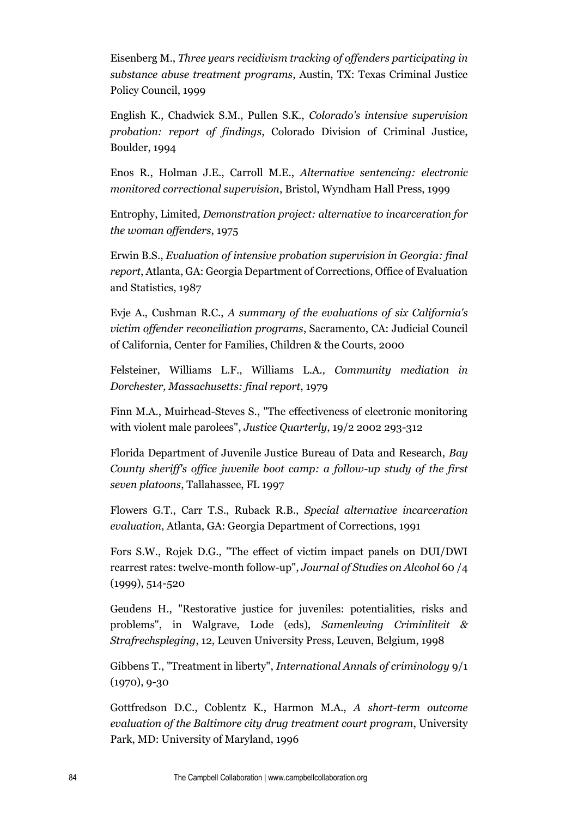Eisenberg M., *Three years recidivism tracking of offenders participating in substance abuse treatment programs*, Austin, TX: Texas Criminal Justice Policy Council, 1999

English K., Chadwick S.M., Pullen S.K., *Colorado's intensive supervision probation: report of findings*, Colorado Division of Criminal Justice, Boulder, 1994

Enos R., Holman J.E., Carroll M.E., *Alternative sentencing: electronic monitored correctional supervision*, Bristol, Wyndham Hall Press, 1999

Entrophy, Limited*, Demonstration project: alternative to incarceration for the woman offenders*, 1975

Erwin B.S., *Evaluation of intensive probation supervision in Georgia: final report*, Atlanta, GA: Georgia Department of Corrections, Office of Evaluation and Statistics, 1987

Evje A., Cushman R.C., *A summary of the evaluations of six California's victim offender reconciliation programs*, Sacramento, CA: Judicial Council of California, Center for Families, Children & the Courts, 2000

Felsteiner, Williams L.F., Williams L.A*., Community mediation in Dorchester, Massachusetts: final report*, 1979

Finn M.A., Muirhead-Steves S., "The effectiveness of electronic monitoring with violent male parolees", *Justice Quarterly*, 19/2 2002 293-312

Florida Department of Juvenile Justice Bureau of Data and Research, *Bay County sheriff's office juvenile boot camp: a follow-up study of the first seven platoons*, Tallahassee, FL 1997

Flowers G.T., Carr T.S., Ruback R.B., *Special alternative incarceration evaluation*, Atlanta, GA: Georgia Department of Corrections, 1991

Fors S.W., Rojek D.G., "The effect of victim impact panels on DUI/DWI rearrest rates: twelve-month follow-up", *Journal of Studies on Alcohol* 60 /4 (1999), 514-520

Geudens H., "Restorative justice for juveniles: potentialities, risks and problems", in Walgrave, Lode (eds), *Samenleving Criminliteit & Strafrechspleging*, 12, Leuven University Press, Leuven, Belgium, 1998

Gibbens T., "Treatment in liberty", *International Annals of criminology* 9/1 (1970), 9-30

Gottfredson D.C., Coblentz K., Harmon M.A., *A short-term outcome evaluation of the Baltimore city drug treatment court program*, University Park, MD: University of Maryland, 1996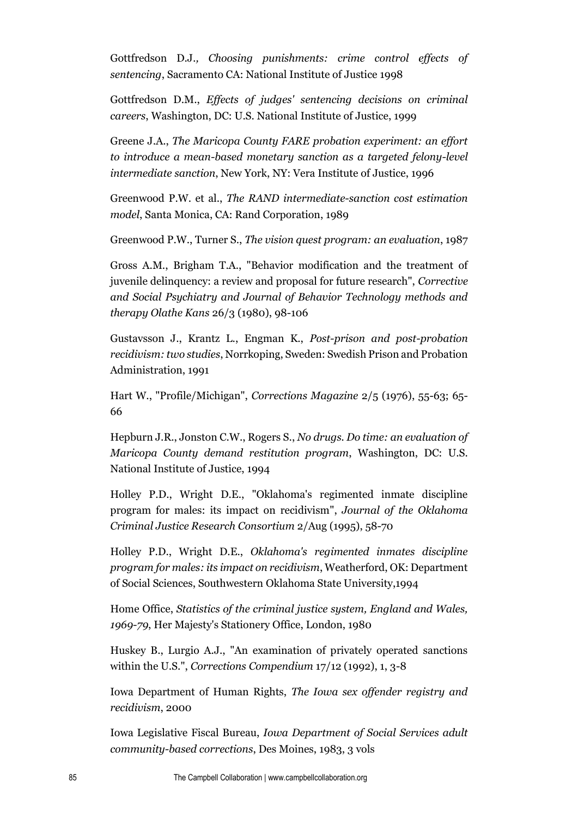Gottfredson D.J*., Choosing punishments: crime control effects of sentencing*, Sacramento CA: National Institute of Justice 1998

Gottfredson D.M., *Effects of judges' sentencing decisions on criminal careers*, Washington, DC: U.S. National Institute of Justice, 1999

Greene J.A., *The Maricopa County FARE probation experiment: an effort to introduce a mean-based monetary sanction as a targeted felony-level intermediate sanction*, New York, NY: Vera Institute of Justice, 1996

Greenwood P.W. et al., *The RAND intermediate-sanction cost estimation model*, Santa Monica, CA: Rand Corporation, 1989

Greenwood P.W., Turner S., *The vision quest program: an evaluation*, 1987

Gross A.M., Brigham T.A., "Behavior modification and the treatment of juvenile delinquency: a review and proposal for future research", *Corrective and Social Psychiatry and Journal of Behavior Technology methods and therapy Olathe Kans* 26/3 (1980), 98-106

Gustavsson J., Krantz L., Engman K., *Post-prison and post-probation recidivism: two studies*, Norrkoping, Sweden: Swedish Prison and Probation Administration, 1991

Hart W., "Profile/Michigan", *Corrections Magazine* 2/5 (1976), 55-63; 65- 66

Hepburn J.R., Jonston C.W., Rogers S., *No drugs. Do time: an evaluation of Maricopa County demand restitution program*, Washington, DC: U.S. National Institute of Justice, 1994

Holley P.D., Wright D.E., "Oklahoma's regimented inmate discipline program for males: its impact on recidivism", *Journal of the Oklahoma Criminal Justice Research Consortium* 2/Aug (1995), 58-70

Holley P.D., Wright D.E., *Oklahoma's regimented inmates discipline program for males: its impact on recidivism*, Weatherford, OK: Department of Social Sciences, Southwestern Oklahoma State University,1994

Home Office, *Statistics of the criminal justice system, England and Wales, 1969-79*, Her Majesty's Stationery Office, London, 1980

Huskey B., Lurgio A.J., "An examination of privately operated sanctions within the U.S.", *Corrections Compendium* 17/12 (1992), 1, 3-8

Iowa Department of Human Rights, *The Iowa sex offender registry and recidivism*, 2000

Iowa Legislative Fiscal Bureau, *Iowa Department of Social Services adult community-based corrections*, Des Moines, 1983, 3 vols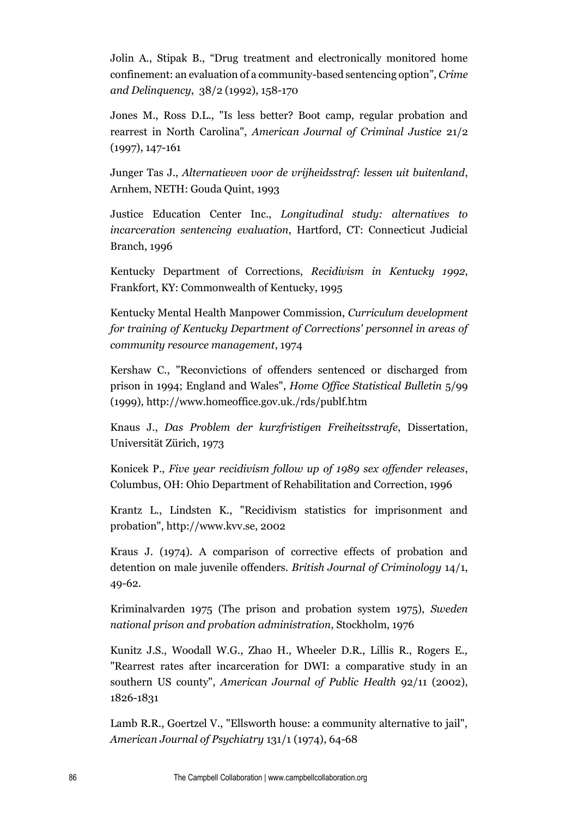Jolin A., Stipak B., "Drug treatment and electronically monitored home confinement: an evaluation of a community-based sentencing option", *Crime and Delinquency*, 38/2 (1992), 158-170

Jones M., Ross D.L., "Is less better? Boot camp, regular probation and rearrest in North Carolina", *American Journal of Criminal Justice* 21/2 (1997), 147-161

Junger Tas J., *Alternatieven voor de vrijheidsstraf: lessen uit buitenland*, Arnhem, NETH: Gouda Quint, 1993

Justice Education Center Inc., *Longitudinal study: alternatives to incarceration sentencing evaluation*, Hartford, CT: Connecticut Judicial Branch, 1996

Kentucky Department of Corrections, *Recidivism in Kentucky 1992*, Frankfort, KY: Commonwealth of Kentucky, 1995

Kentucky Mental Health Manpower Commission, *Curriculum development for training of Kentucky Department of Corrections' personnel in areas of community resource management*, 1974

Kershaw C., "Reconvictions of offenders sentenced or discharged from prison in 1994; England and Wales", *Home Office Statistical Bulletin* 5/99 (1999), http://www.homeoffice.gov.uk./rds/publf.htm

Knaus J., *Das Problem der kurzfristigen Freiheitsstrafe*, Dissertation, Universität Zürich, 1973

Konicek P., *Five year recidivism follow up of 1989 sex offender releases*, Columbus, OH: Ohio Department of Rehabilitation and Correction, 1996

Krantz L., Lindsten K., "Recidivism statistics for imprisonment and probation", http://www.kvv.se, 2002

Kraus J. (1974). A comparison of corrective effects of probation and detention on male juvenile offenders. *British Journal of Criminology* 14/1, 49-62.

Kriminalvarden 1975 (The prison and probation system 1975), *Sweden national prison and probation administration*, Stockholm, 1976

Kunitz J.S., Woodall W.G., Zhao H., Wheeler D.R., Lillis R., Rogers E., "Rearrest rates after incarceration for DWI: a comparative study in an southern US county", *American Journal of Public Health* 92/11 (2002), 1826-1831

Lamb R.R., Goertzel V., "Ellsworth house: a community alternative to jail", *American Journal of Psychiatry* 131/1 (1974), 64-68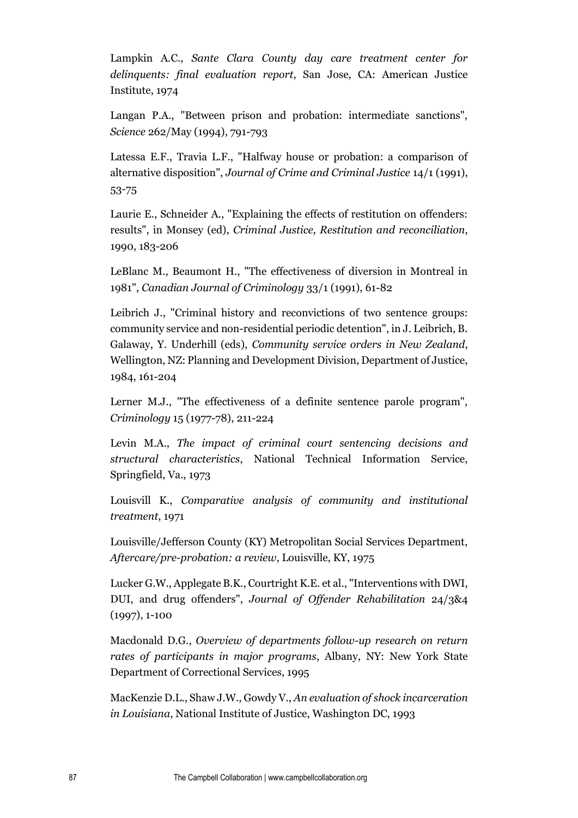Lampkin A.C., *Sante Clara County day care treatment center for delinquents: final evaluation report*, San Jose, CA: American Justice Institute, 1974

Langan P.A., "Between prison and probation: intermediate sanctions", *Science* 262/May (1994), 791-793

Latessa E.F., Travia L.F., "Halfway house or probation: a comparison of alternative disposition", *Journal of Crime and Criminal Justice* 14/1 (1991), 53-75

Laurie E., Schneider A., "Explaining the effects of restitution on offenders: results", in Monsey (ed), *Criminal Justice, Restitution and reconciliation*, 1990, 183-206

LeBlanc M., Beaumont H., "The effectiveness of diversion in Montreal in 1981", *Canadian Journal of Criminology* 33/1 (1991), 61-82

Leibrich J., "Criminal history and reconvictions of two sentence groups: community service and non-residential periodic detention", in J. Leibrich, B. Galaway, Y. Underhill (eds), *Community service orders in New Zealand*, Wellington, NZ: Planning and Development Division, Department of Justice, 1984, 161-204

Lerner M.J., "The effectiveness of a definite sentence parole program", *Criminology* 15 (1977-78), 211-224

Levin M.A., *The impact of criminal court sentencing decisions and structural characteristics*, National Technical Information Service, Springfield, Va., 1973

Louisvill K., *Comparative analysis of community and institutional treatment*, 1971

Louisville/Jefferson County (KY) Metropolitan Social Services Department, *Aftercare/pre-probation: a review*, Louisville, KY, 1975

Lucker G.W., Applegate B.K., Courtright K.E. et al., "Interventions with DWI, DUI, and drug offenders", *Journal of Offender Rehabilitation* 24/3&4 (1997), 1-100

Macdonald D.G., *Overview of departments follow-up research on return rates of participants in major programs*, Albany, NY: New York State Department of Correctional Services, 1995

MacKenzie D.L., Shaw J.W., Gowdy V., *An evaluation of shock incarceration in Louisiana*, National Institute of Justice, Washington DC, 1993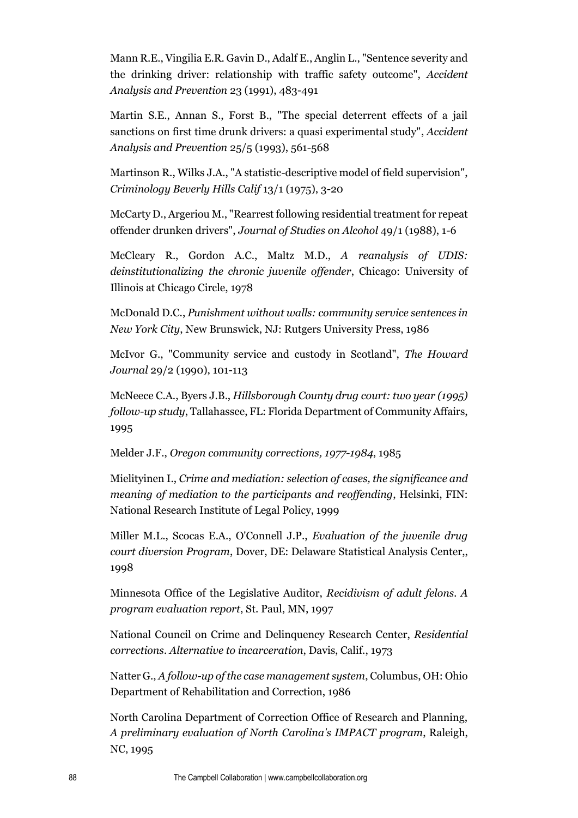Mann R.E., Vingilia E.R. Gavin D., Adalf E., Anglin L., "Sentence severity and the drinking driver: relationship with traffic safety outcome", *Accident Analysis and Prevention* 23 (1991), 483-491

Martin S.E., Annan S., Forst B., "The special deterrent effects of a jail sanctions on first time drunk drivers: a quasi experimental study", *Accident Analysis and Prevention* 25/5 (1993), 561-568

Martinson R., Wilks J.A., "A statistic-descriptive model of field supervision", *Criminology Beverly Hills Calif* 13/1 (1975), 3-20

McCarty D., Argeriou M., "Rearrest following residential treatment for repeat offender drunken drivers", *Journal of Studies on Alcohol* 49/1 (1988), 1-6

McCleary R., Gordon A.C., Maltz M.D., *A reanalysis of UDIS: deinstitutionalizing the chronic juvenile offender*, Chicago: University of Illinois at Chicago Circle, 1978

McDonald D.C., *Punishment without walls: community service sentences in New York City*, New Brunswick, NJ: Rutgers University Press, 1986

McIvor G., "Community service and custody in Scotland", *The Howard Journal* 29/2 (1990), 101-113

McNeece C.A., Byers J.B., *Hillsborough County drug court: two year (1995) follow-up study*, Tallahassee, FL: Florida Department of Community Affairs, 1995

Melder J.F., *Oregon community corrections, 1977-1984*, 1985

Mielityinen I., *Crime and mediation: selection of cases, the significance and meaning of mediation to the participants and reoffending*, Helsinki, FIN: National Research Institute of Legal Policy, 1999

Miller M.L., Scocas E.A., O'Connell J.P., *Evaluation of the juvenile drug court diversion Program*, Dover, DE: Delaware Statistical Analysis Center,, 1998

Minnesota Office of the Legislative Auditor, *Recidivism of adult felons. A program evaluation report*, St. Paul, MN, 1997

National Council on Crime and Delinquency Research Center, *Residential corrections. Alternative to incarceration*, Davis, Calif., 1973

Natter G., *A follow-up of the case management system*, Columbus, OH: Ohio Department of Rehabilitation and Correction, 1986

North Carolina Department of Correction Office of Research and Planning, *A preliminary evaluation of North Carolina's IMPACT program*, Raleigh, NC, 1995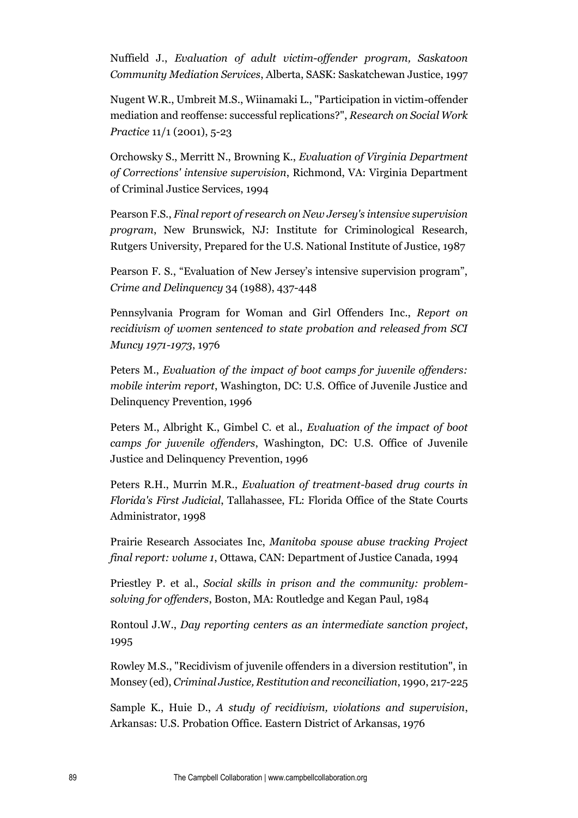Nuffield J., *Evaluation of adult victim-offender program, Saskatoon Community Mediation Services*, Alberta, SASK: Saskatchewan Justice, 1997

Nugent W.R., Umbreit M.S., Wiinamaki L., "Participation in victim-offender mediation and reoffense: successful replications?", *Research on Social Work Practice* 11/1 (2001), 5-23

Orchowsky S., Merritt N., Browning K., *Evaluation of Virginia Department of Corrections' intensive supervision*, Richmond, VA: Virginia Department of Criminal Justice Services, 1994

Pearson F.S., *Final report of research on New Jersey's intensive supervision program*, New Brunswick, NJ: Institute for Criminological Research, Rutgers University, Prepared for the U.S. National Institute of Justice, 1987

Pearson F. S., "Evaluation of New Jersey's intensive supervision program", *Crime and Delinquency* 34 (1988), 437-448

Pennsylvania Program for Woman and Girl Offenders Inc., *Report on recidivism of women sentenced to state probation and released from SCI Muncy 1971-1973*, 1976

Peters M., *Evaluation of the impact of boot camps for juvenile offenders: mobile interim report*, Washington, DC: U.S. Office of Juvenile Justice and Delinquency Prevention, 1996

Peters M., Albright K., Gimbel C. et al., *Evaluation of the impact of boot camps for juvenile offenders*, Washington, DC: U.S. Office of Juvenile Justice and Delinquency Prevention, 1996

Peters R.H., Murrin M.R., *Evaluation of treatment-based drug courts in Florida's First Judicial*, Tallahassee, FL: Florida Office of the State Courts Administrator, 1998

Prairie Research Associates Inc, *Manitoba spouse abuse tracking Project final report: volume 1*, Ottawa, CAN: Department of Justice Canada, 1994

Priestley P. et al., *Social skills in prison and the community: problemsolving for offenders*, Boston, MA: Routledge and Kegan Paul, 1984

Rontoul J.W., *Day reporting centers as an intermediate sanction project*, 1995

Rowley M.S., "Recidivism of juvenile offenders in a diversion restitution", in Monsey (ed), *Criminal Justice, Restitution and reconciliation*, 1990, 217-225

Sample K., Huie D., *A study of recidivism, violations and supervision*, Arkansas: U.S. Probation Office. Eastern District of Arkansas, 1976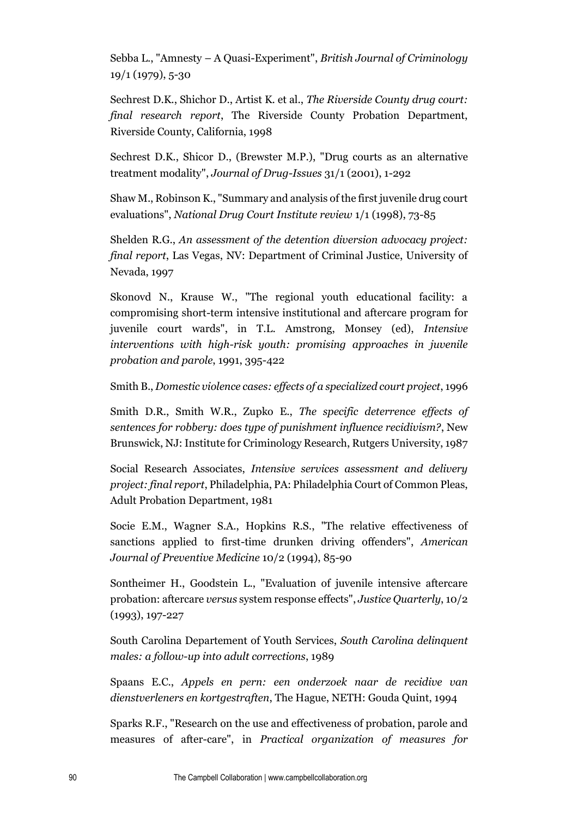Sebba L., "Amnesty – A Quasi-Experiment", *British Journal of Criminology*  19/1 (1979), 5-30

Sechrest D.K., Shichor D., Artist K. et al., *The Riverside County drug court: final research report*, The Riverside County Probation Department, Riverside County, California, 1998

Sechrest D.K., Shicor D., (Brewster M.P.), "Drug courts as an alternative treatment modality", *Journal of Drug-Issues* 31/1 (2001), 1-292

Shaw M., Robinson K., "Summary and analysis of the first juvenile drug court evaluations", *National Drug Court Institute review* 1/1 (1998), 73-85

Shelden R.G., *An assessment of the detention diversion advocacy project: final report*, Las Vegas, NV: Department of Criminal Justice, University of Nevada, 1997

Skonovd N., Krause W., "The regional youth educational facility: a compromising short-term intensive institutional and aftercare program for juvenile court wards", in T.L. Amstrong, Monsey (ed), *Intensive interventions with high-risk youth: promising approaches in juvenile probation and parole*, 1991, 395-422

Smith B., *Domestic violence cases: effects of a specialized court project*, 1996

Smith D.R., Smith W.R., Zupko E., *The specific deterrence effects of sentences for robbery: does type of punishment influence recidivism?*, New Brunswick, NJ: Institute for Criminology Research, Rutgers University, 1987

Social Research Associates, *Intensive services assessment and delivery project: final report*, Philadelphia, PA: Philadelphia Court of Common Pleas, Adult Probation Department, 1981

Socie E.M., Wagner S.A., Hopkins R.S., "The relative effectiveness of sanctions applied to first-time drunken driving offenders", *American Journal of Preventive Medicine* 10/2 (1994), 85-90

Sontheimer H., Goodstein L., "Evaluation of juvenile intensive aftercare probation: aftercare *versus* system response effects", *Justice Quarterly*, 10/2 (1993), 197-227

South Carolina Departement of Youth Services, *South Carolina delinquent males: a follow-up into adult corrections*, 1989

Spaans E.C., *Appels en pern: een onderzoek naar de recidive van dienstverleners en kortgestraften*, The Hague, NETH: Gouda Quint, 1994

Sparks R.F., "Research on the use and effectiveness of probation, parole and measures of after-care", in *Practical organization of measures for*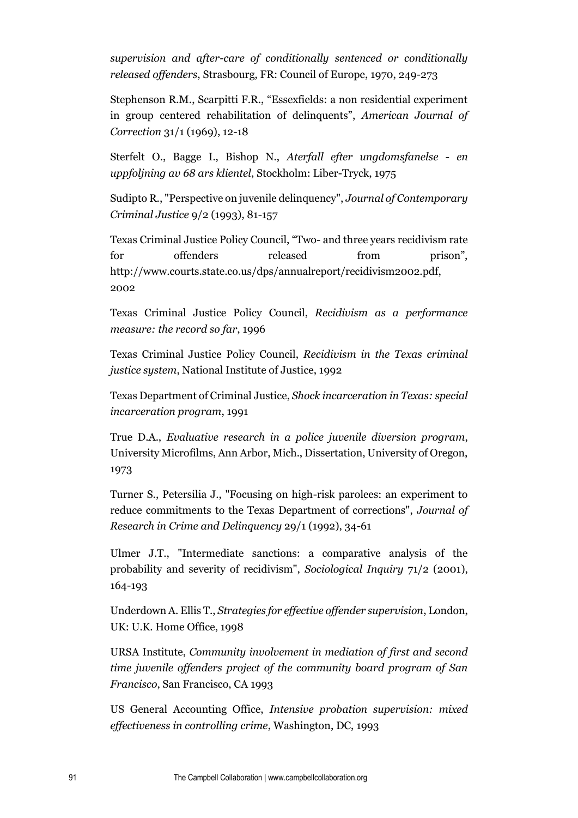*supervision and after-care of conditionally sentenced or conditionally released offenders*, Strasbourg, FR: Council of Europe, 1970, 249-273

Stephenson R.M., Scarpitti F.R., "Essexfields: a non residential experiment in group centered rehabilitation of delinquents", *American Journal of Correction* 31/1 (1969), 12-18

Sterfelt O., Bagge I., Bishop N., *Aterfall efter ungdomsfanelse - en uppfoljning av 68 ars klientel*, Stockholm: Liber-Tryck, 1975

Sudipto R., "Perspective on juvenile delinquency", *Journal of Contemporary Criminal Justice* 9/2 (1993), 81-157

Texas Criminal Justice Policy Council, "Two- and three years recidivism rate for offenders released from prison", http://www.courts.state.co.us/dps/annualreport/recidivism2002.pdf, 2002

Texas Criminal Justice Policy Council, *Recidivism as a performance measure: the record so far*, 1996

Texas Criminal Justice Policy Council, *Recidivism in the Texas criminal justice system*, National Institute of Justice, 1992

Texas Department of Criminal Justice, *Shock incarceration in Texas: special incarceration program*, 1991

True D.A., *Evaluative research in a police juvenile diversion program*, University Microfilms, Ann Arbor, Mich., Dissertation, University of Oregon, 1973

Turner S., Petersilia J., "Focusing on high-risk parolees: an experiment to reduce commitments to the Texas Department of corrections", *Journal of Research in Crime and Delinquency* 29/1 (1992), 34-61

Ulmer J.T., "Intermediate sanctions: a comparative analysis of the probability and severity of recidivism", *Sociological Inquiry* 71/2 (2001), 164-193

Underdown A. Ellis T., *Strategies for effective offender supervision*, London, UK: U.K. Home Office, 1998

URSA Institute, *Community involvement in mediation of first and second time juvenile offenders project of the community board program of San Francisco*, San Francisco, CA 1993

US General Accounting Office, *Intensive probation supervision: mixed effectiveness in controlling crime*, Washington, DC, 1993